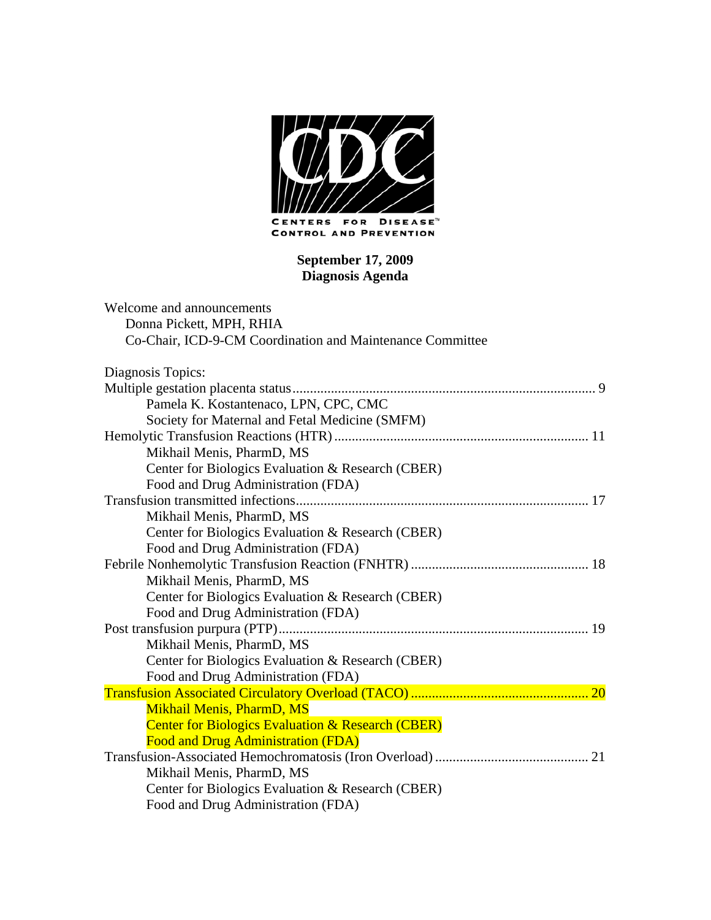

#### **September 17, 2009 Diagnosis Agenda**

| Welcome and announcements                                    |  |
|--------------------------------------------------------------|--|
| Donna Pickett, MPH, RHIA                                     |  |
| Co-Chair, ICD-9-CM Coordination and Maintenance Committee    |  |
| Diagnosis Topics:                                            |  |
|                                                              |  |
| Pamela K. Kostantenaco, LPN, CPC, CMC                        |  |
| Society for Maternal and Fetal Medicine (SMFM)               |  |
|                                                              |  |
| Mikhail Menis, PharmD, MS                                    |  |
| Center for Biologics Evaluation & Research (CBER)            |  |
| Food and Drug Administration (FDA)                           |  |
|                                                              |  |
| Mikhail Menis, PharmD, MS                                    |  |
| Center for Biologics Evaluation & Research (CBER)            |  |
| Food and Drug Administration (FDA)                           |  |
|                                                              |  |
| Mikhail Menis, PharmD, MS                                    |  |
| Center for Biologics Evaluation & Research (CBER)            |  |
| Food and Drug Administration (FDA)                           |  |
|                                                              |  |
| Mikhail Menis, PharmD, MS                                    |  |
| Center for Biologics Evaluation & Research (CBER)            |  |
| Food and Drug Administration (FDA)                           |  |
|                                                              |  |
| Mikhail Menis, PharmD, MS                                    |  |
| <b>Center for Biologics Evaluation &amp; Research (CBER)</b> |  |
| <b>Food and Drug Administration (FDA)</b>                    |  |
|                                                              |  |
| Mikhail Menis, PharmD, MS                                    |  |
| Center for Biologics Evaluation & Research (CBER)            |  |
| Food and Drug Administration (FDA)                           |  |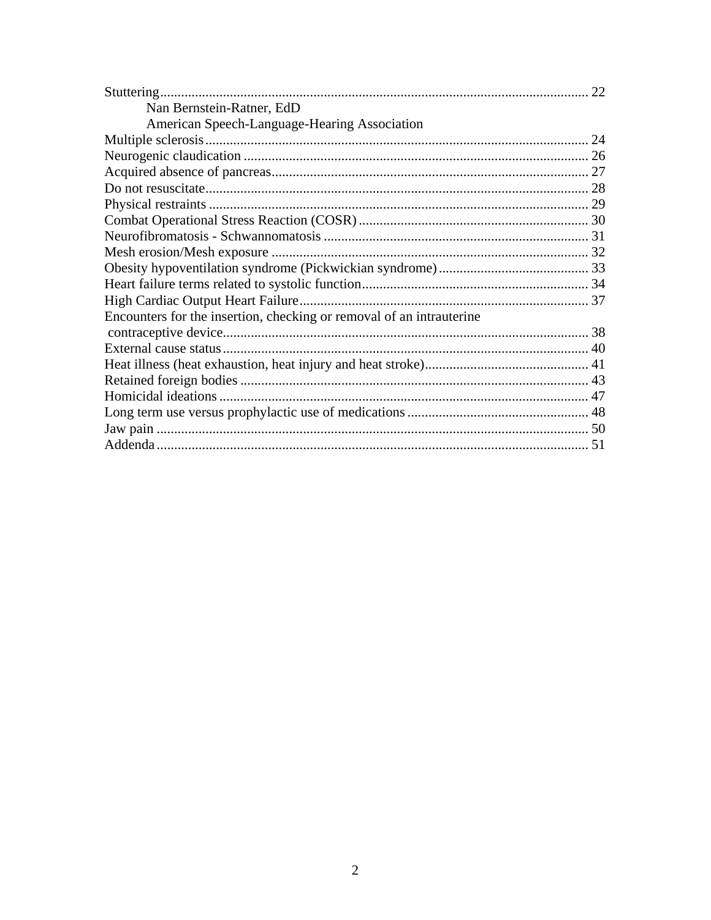|                                                                      | 22 |
|----------------------------------------------------------------------|----|
| Nan Bernstein-Ratner, EdD                                            |    |
| American Speech-Language-Hearing Association                         |    |
|                                                                      |    |
|                                                                      |    |
|                                                                      |    |
|                                                                      |    |
|                                                                      |    |
|                                                                      |    |
|                                                                      |    |
|                                                                      |    |
|                                                                      |    |
|                                                                      |    |
|                                                                      |    |
| Encounters for the insertion, checking or removal of an intrauterine |    |
|                                                                      |    |
|                                                                      |    |
|                                                                      |    |
|                                                                      |    |
|                                                                      |    |
|                                                                      |    |
|                                                                      |    |
|                                                                      |    |
|                                                                      |    |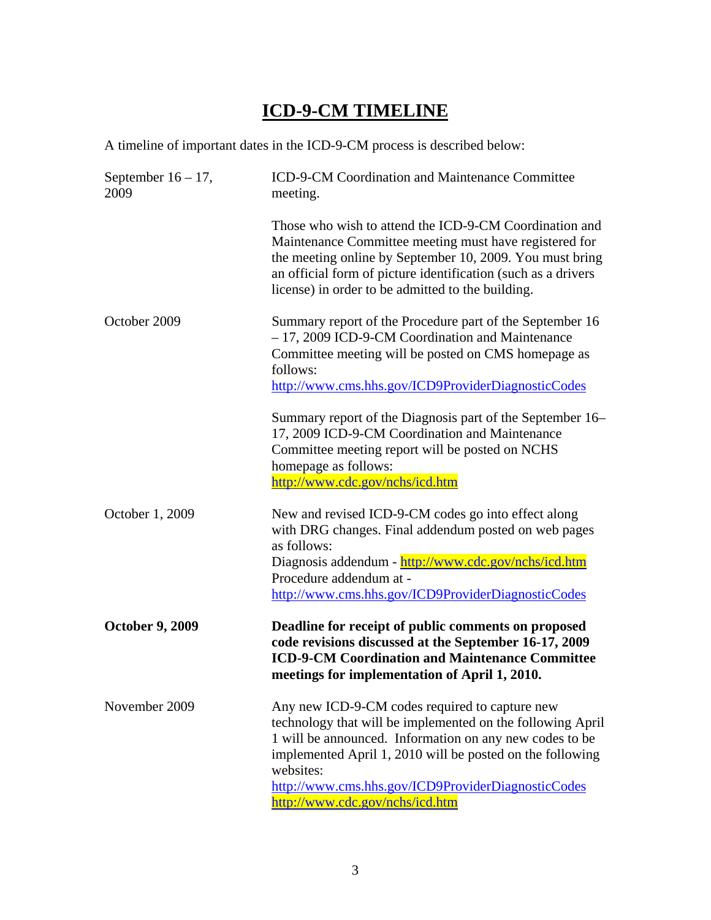# **ICD-9-CM TIMELINE**

A timeline of important dates in the ICD-9-CM process is described below:

| September $16 - 17$ ,<br>2009 | ICD-9-CM Coordination and Maintenance Committee<br>meeting.                                                                                                                                                                                                                                                                                |
|-------------------------------|--------------------------------------------------------------------------------------------------------------------------------------------------------------------------------------------------------------------------------------------------------------------------------------------------------------------------------------------|
|                               | Those who wish to attend the ICD-9-CM Coordination and<br>Maintenance Committee meeting must have registered for<br>the meeting online by September 10, 2009. You must bring<br>an official form of picture identification (such as a drivers<br>license) in order to be admitted to the building.                                         |
| October 2009                  | Summary report of the Procedure part of the September 16<br>- 17, 2009 ICD-9-CM Coordination and Maintenance<br>Committee meeting will be posted on CMS homepage as<br>follows:<br>http://www.cms.hhs.gov/ICD9ProviderDiagnosticCodes                                                                                                      |
|                               | Summary report of the Diagnosis part of the September 16–<br>17, 2009 ICD-9-CM Coordination and Maintenance<br>Committee meeting report will be posted on NCHS<br>homepage as follows:<br>http://www.cdc.gov/nchs/icd.htm                                                                                                                  |
| October 1, 2009               | New and revised ICD-9-CM codes go into effect along<br>with DRG changes. Final addendum posted on web pages<br>as follows:<br>Diagnosis addendum - http://www.cdc.gov/nchs/icd.htm<br>Procedure addendum at -<br>http://www.cms.hhs.gov/ICD9ProviderDiagnosticCodes                                                                        |
| <b>October 9, 2009</b>        | Deadline for receipt of public comments on proposed<br>code revisions discussed at the September 16-17, 2009<br><b>ICD-9-CM Coordination and Maintenance Committee</b><br>meetings for implementation of April 1, 2010.                                                                                                                    |
| November 2009                 | Any new ICD-9-CM codes required to capture new<br>technology that will be implemented on the following April<br>1 will be announced. Information on any new codes to be<br>implemented April 1, 2010 will be posted on the following<br>websites:<br>http://www.cms.hhs.gov/ICD9ProviderDiagnosticCodes<br>http://www.cdc.gov/nchs/icd.htm |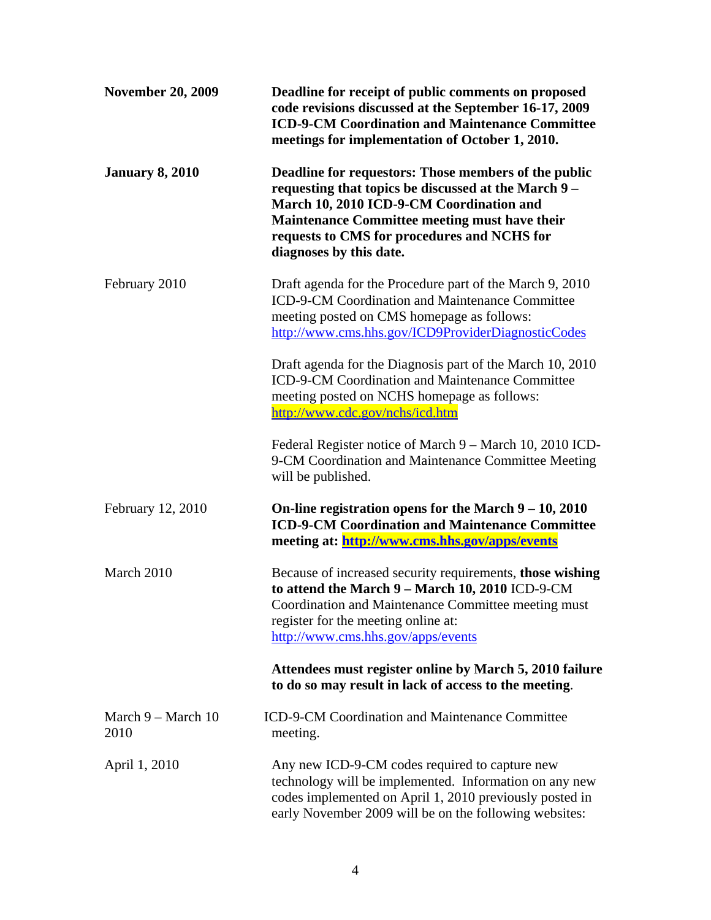| <b>November 20, 2009</b>             | Deadline for receipt of public comments on proposed<br>code revisions discussed at the September 16-17, 2009<br><b>ICD-9-CM Coordination and Maintenance Committee</b><br>meetings for implementation of October 1, 2010.                                                                  |
|--------------------------------------|--------------------------------------------------------------------------------------------------------------------------------------------------------------------------------------------------------------------------------------------------------------------------------------------|
| <b>January 8, 2010</b>               | Deadline for requestors: Those members of the public<br>requesting that topics be discussed at the March 9 –<br>March 10, 2010 ICD-9-CM Coordination and<br><b>Maintenance Committee meeting must have their</b><br>requests to CMS for procedures and NCHS for<br>diagnoses by this date. |
| February 2010                        | Draft agenda for the Procedure part of the March 9, 2010<br>ICD-9-CM Coordination and Maintenance Committee<br>meeting posted on CMS homepage as follows:<br>http://www.cms.hhs.gov/ICD9ProviderDiagnosticCodes                                                                            |
|                                      | Draft agenda for the Diagnosis part of the March 10, 2010<br><b>ICD-9-CM Coordination and Maintenance Committee</b><br>meeting posted on NCHS homepage as follows:<br>http://www.cdc.gov/nchs/icd.htm                                                                                      |
|                                      | Federal Register notice of March 9 - March 10, 2010 ICD-<br>9-CM Coordination and Maintenance Committee Meeting<br>will be published.                                                                                                                                                      |
| February 12, 2010                    | On-line registration opens for the March $9 - 10$ , 2010<br><b>ICD-9-CM Coordination and Maintenance Committee</b><br>meeting at: http://www.cms.hhs.gov/apps/events                                                                                                                       |
| March 2010                           | Because of increased security requirements, those wishing<br>to attend the March 9 - March 10, 2010 ICD-9-CM<br>Coordination and Maintenance Committee meeting must<br>register for the meeting online at:<br>http://www.cms.hhs.gov/apps/events                                           |
|                                      | Attendees must register online by March 5, 2010 failure<br>to do so may result in lack of access to the meeting.                                                                                                                                                                           |
| March $9 - \text{March } 10$<br>2010 | <b>ICD-9-CM Coordination and Maintenance Committee</b><br>meeting.                                                                                                                                                                                                                         |
| April 1, 2010                        | Any new ICD-9-CM codes required to capture new<br>technology will be implemented. Information on any new<br>codes implemented on April 1, 2010 previously posted in<br>early November 2009 will be on the following websites:                                                              |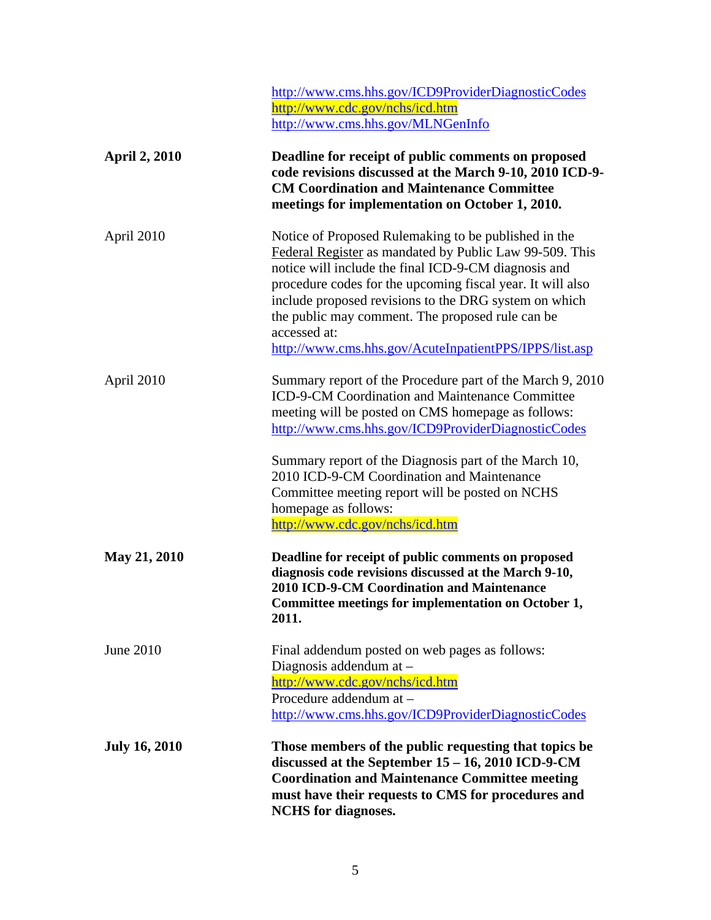|                      | http://www.cms.hhs.gov/ICD9ProviderDiagnosticCodes<br>http://www.cdc.gov/nchs/icd.htm<br>http://www.cms.hhs.gov/MLNGenInfo                                                                                                                                                                                                                                                                                                                    |
|----------------------|-----------------------------------------------------------------------------------------------------------------------------------------------------------------------------------------------------------------------------------------------------------------------------------------------------------------------------------------------------------------------------------------------------------------------------------------------|
| <b>April 2, 2010</b> | Deadline for receipt of public comments on proposed<br>code revisions discussed at the March 9-10, 2010 ICD-9-<br><b>CM Coordination and Maintenance Committee</b><br>meetings for implementation on October 1, 2010.                                                                                                                                                                                                                         |
| April 2010           | Notice of Proposed Rulemaking to be published in the<br>Federal Register as mandated by Public Law 99-509. This<br>notice will include the final ICD-9-CM diagnosis and<br>procedure codes for the upcoming fiscal year. It will also<br>include proposed revisions to the DRG system on which<br>the public may comment. The proposed rule can be<br>accessed at:<br>http://www.cms.hhs.gov/AcuteInpatientPPS/IPPS/list.asp                  |
| April 2010           | Summary report of the Procedure part of the March 9, 2010<br>ICD-9-CM Coordination and Maintenance Committee<br>meeting will be posted on CMS homepage as follows:<br>http://www.cms.hhs.gov/ICD9ProviderDiagnosticCodes<br>Summary report of the Diagnosis part of the March 10,<br>2010 ICD-9-CM Coordination and Maintenance<br>Committee meeting report will be posted on NCHS<br>homepage as follows:<br>http://www.cdc.gov/nchs/icd.htm |
| May 21, 2010         | Deadline for receipt of public comments on proposed<br>diagnosis code revisions discussed at the March 9-10,<br>2010 ICD-9-CM Coordination and Maintenance<br>Committee meetings for implementation on October 1,<br>2011.                                                                                                                                                                                                                    |
| June 2010            | Final addendum posted on web pages as follows:<br>Diagnosis addendum at -<br>http://www.cdc.gov/nchs/icd.htm<br>Procedure addendum at -<br>http://www.cms.hhs.gov/ICD9ProviderDiagnosticCodes                                                                                                                                                                                                                                                 |
| <b>July 16, 2010</b> | Those members of the public requesting that topics be<br>discussed at the September 15 - 16, 2010 ICD-9-CM<br><b>Coordination and Maintenance Committee meeting</b><br>must have their requests to CMS for procedures and<br><b>NCHS</b> for diagnoses.                                                                                                                                                                                       |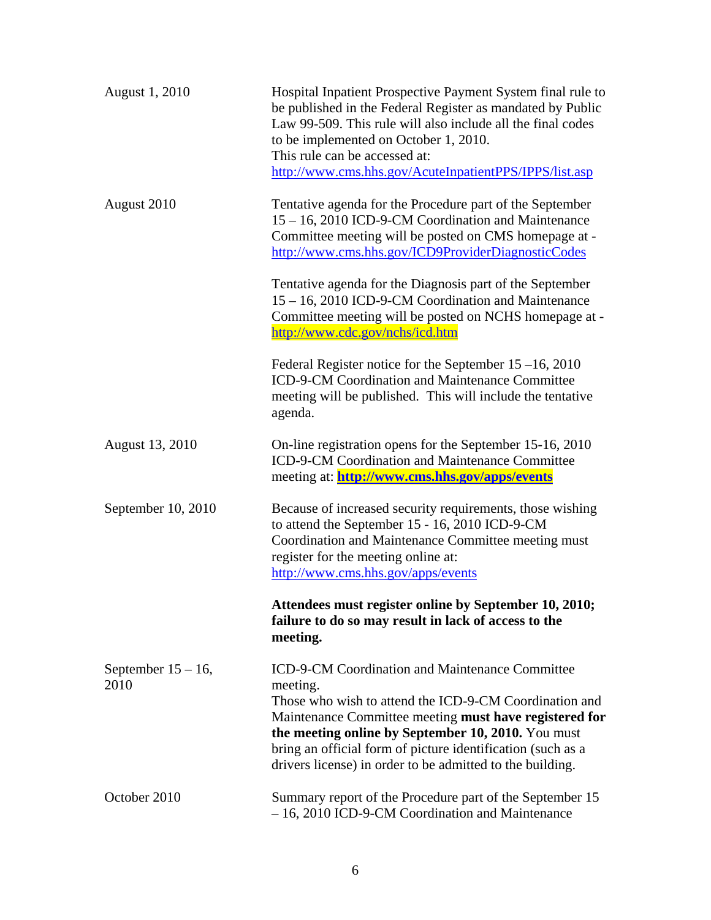| August 1, 2010                | Hospital Inpatient Prospective Payment System final rule to<br>be published in the Federal Register as mandated by Public<br>Law 99-509. This rule will also include all the final codes<br>to be implemented on October 1, 2010.<br>This rule can be accessed at:<br>http://www.cms.hhs.gov/AcuteInpatientPPS/IPPS/list.asp                                      |
|-------------------------------|-------------------------------------------------------------------------------------------------------------------------------------------------------------------------------------------------------------------------------------------------------------------------------------------------------------------------------------------------------------------|
| August 2010                   | Tentative agenda for the Procedure part of the September<br>15 - 16, 2010 ICD-9-CM Coordination and Maintenance<br>Committee meeting will be posted on CMS homepage at -<br>http://www.cms.hhs.gov/ICD9ProviderDiagnosticCodes                                                                                                                                    |
|                               | Tentative agenda for the Diagnosis part of the September<br>15 - 16, 2010 ICD-9-CM Coordination and Maintenance<br>Committee meeting will be posted on NCHS homepage at -<br>http://www.cdc.gov/nchs/icd.htm                                                                                                                                                      |
|                               | Federal Register notice for the September $15-16$ , 2010<br>ICD-9-CM Coordination and Maintenance Committee<br>meeting will be published. This will include the tentative<br>agenda.                                                                                                                                                                              |
| August 13, 2010               | On-line registration opens for the September 15-16, 2010<br>ICD-9-CM Coordination and Maintenance Committee<br>meeting at: http://www.cms.hhs.gov/apps/events                                                                                                                                                                                                     |
| September 10, 2010            | Because of increased security requirements, those wishing<br>to attend the September 15 - 16, 2010 ICD-9-CM<br>Coordination and Maintenance Committee meeting must<br>register for the meeting online at:<br>http://www.cms.hhs.gov/apps/events                                                                                                                   |
|                               | Attendees must register online by September 10, 2010;<br>failure to do so may result in lack of access to the<br>meeting.                                                                                                                                                                                                                                         |
| September $15 - 16$ ,<br>2010 | ICD-9-CM Coordination and Maintenance Committee<br>meeting.<br>Those who wish to attend the ICD-9-CM Coordination and<br>Maintenance Committee meeting must have registered for<br>the meeting online by September 10, 2010. You must<br>bring an official form of picture identification (such as a<br>drivers license) in order to be admitted to the building. |
| October 2010                  | Summary report of the Procedure part of the September 15<br>- 16, 2010 ICD-9-CM Coordination and Maintenance                                                                                                                                                                                                                                                      |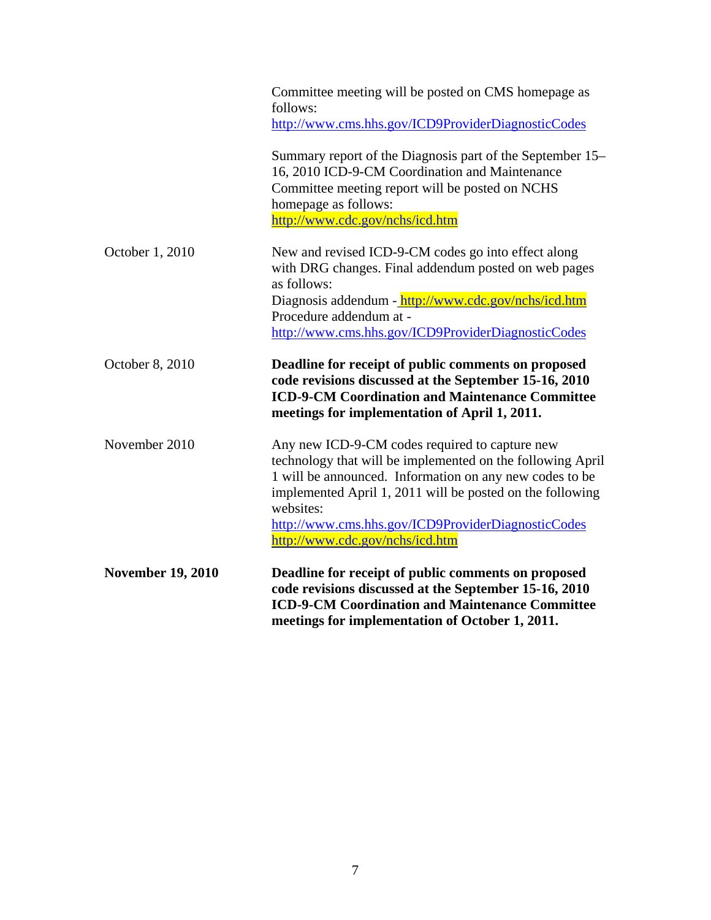|                          | Committee meeting will be posted on CMS homepage as<br>follows:                                                                                                                                                                                                                                                                            |
|--------------------------|--------------------------------------------------------------------------------------------------------------------------------------------------------------------------------------------------------------------------------------------------------------------------------------------------------------------------------------------|
|                          | http://www.cms.hhs.gov/ICD9ProviderDiagnosticCodes                                                                                                                                                                                                                                                                                         |
|                          | Summary report of the Diagnosis part of the September 15–<br>16, 2010 ICD-9-CM Coordination and Maintenance<br>Committee meeting report will be posted on NCHS<br>homepage as follows:<br>http://www.cdc.gov/nchs/icd.htm                                                                                                                  |
| October 1, 2010          | New and revised ICD-9-CM codes go into effect along<br>with DRG changes. Final addendum posted on web pages<br>as follows:                                                                                                                                                                                                                 |
|                          | Diagnosis addendum - http://www.cdc.gov/nchs/icd.htm<br>Procedure addendum at -<br>http://www.cms.hhs.gov/ICD9ProviderDiagnosticCodes                                                                                                                                                                                                      |
| October 8, 2010          | Deadline for receipt of public comments on proposed<br>code revisions discussed at the September 15-16, 2010<br><b>ICD-9-CM Coordination and Maintenance Committee</b><br>meetings for implementation of April 1, 2011.                                                                                                                    |
| November 2010            | Any new ICD-9-CM codes required to capture new<br>technology that will be implemented on the following April<br>1 will be announced. Information on any new codes to be<br>implemented April 1, 2011 will be posted on the following<br>websites:<br>http://www.cms.hhs.gov/ICD9ProviderDiagnosticCodes<br>http://www.cdc.gov/nchs/icd.htm |
| <b>November 19, 2010</b> | Deadline for receipt of public comments on proposed<br>code revisions discussed at the September 15-16, 2010<br><b>ICD-9-CM Coordination and Maintenance Committee</b><br>meetings for implementation of October 1, 2011.                                                                                                                  |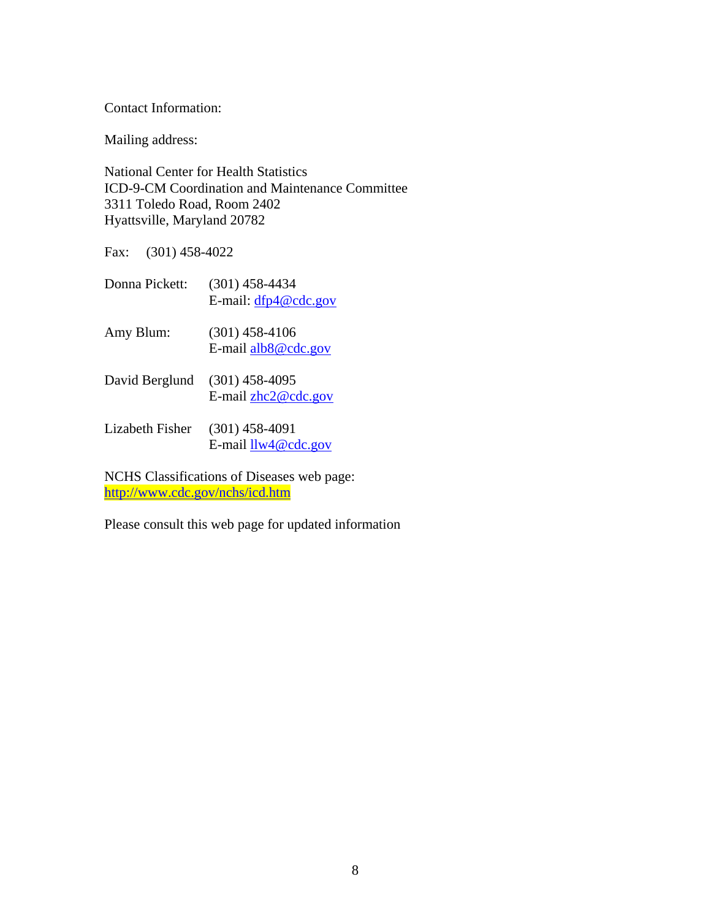Contact Information:

Mailing address:

National Center for Health Statistics ICD-9-CM Coordination and Maintenance Committee 3311 Toledo Road, Room 2402 Hyattsville, Maryland 20782

Fax: (301) 458-4022

| Donna Pickett:  | $(301)$ 458-4434<br>E-mail: $dfp4@cdc.gov$ |
|-----------------|--------------------------------------------|
| Amy Blum:       | $(301)$ 458-4106<br>E-mail alb8@cdc.gov    |
| David Berglund  | $(301)$ 458-4095<br>E-mail $zhc2@cdc.gov$  |
| Lizabeth Fisher | $(301)$ 458-4091<br>E-mail $llw4@cdc.gov$  |

NCHS Classifications of Diseases web page: <http://www.cdc.gov/nchs/icd.htm>

Please consult this web page for updated information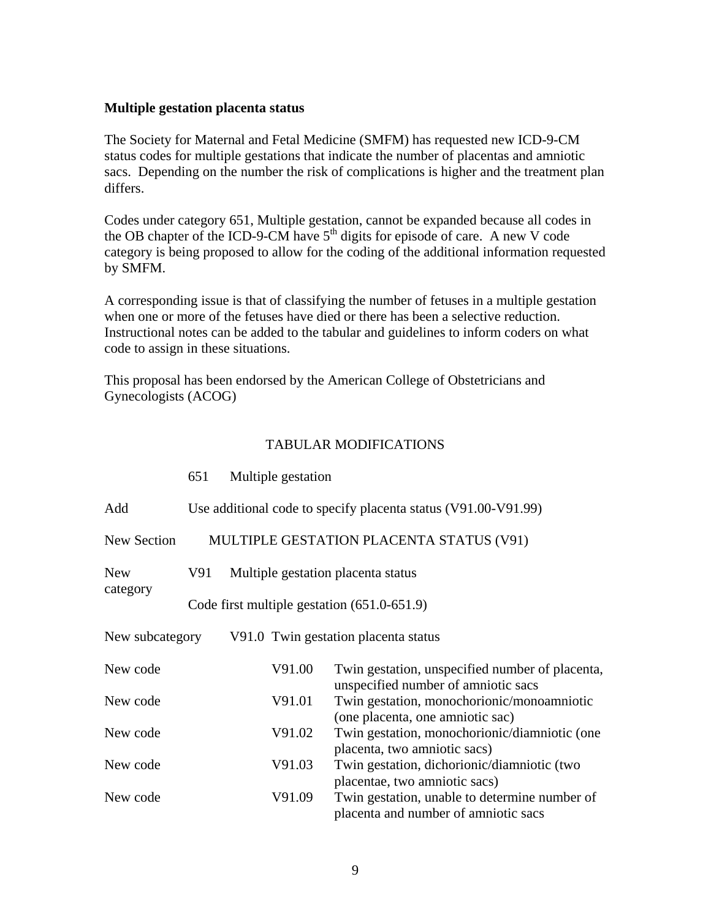#### <span id="page-8-0"></span>**Multiple gestation placenta status**

The Society for Maternal and Fetal Medicine (SMFM) has requested new ICD-9-CM status codes for multiple gestations that indicate the number of placentas and amniotic sacs. Depending on the number the risk of complications is higher and the treatment plan differs.

Codes under category 651, Multiple gestation, cannot be expanded because all codes in the OB chapter of the ICD-9-CM have  $5<sup>th</sup>$  digits for episode of care. A new V code category is being proposed to allow for the coding of the additional information requested by SMFM.

A corresponding issue is that of classifying the number of fetuses in a multiple gestation when one or more of the fetuses have died or there has been a selective reduction. Instructional notes can be added to the tabular and guidelines to inform coders on what code to assign in these situations.

This proposal has been endorsed by the American College of Obstetricians and Gynecologists (ACOG)

|                 | 651 | Multiple gestation                                             |                                                                                        |  |  |  |
|-----------------|-----|----------------------------------------------------------------|----------------------------------------------------------------------------------------|--|--|--|
| Add             |     | Use additional code to specify placenta status (V91.00-V91.99) |                                                                                        |  |  |  |
| New Section     |     | MULTIPLE GESTATION PLACENTA STATUS (V91)                       |                                                                                        |  |  |  |
| <b>New</b>      | V91 | Multiple gestation placenta status                             |                                                                                        |  |  |  |
| category        |     | Code first multiple gestation $(651.0-651.9)$                  |                                                                                        |  |  |  |
| New subcategory |     |                                                                | V91.0 Twin gestation placenta status                                                   |  |  |  |
| New code        |     | V91.00                                                         | Twin gestation, unspecified number of placenta,<br>unspecified number of amniotic sacs |  |  |  |
| New code        |     | V91.01                                                         | Twin gestation, monochorionic/monoamniotic<br>(one placenta, one amniotic sac)         |  |  |  |
| New code        |     | V91.02                                                         | Twin gestation, monochorionic/diamniotic (one<br>placenta, two amniotic sacs)          |  |  |  |
| New code        |     | V91.03                                                         | Twin gestation, dichorionic/diamniotic (two<br>placentae, two amniotic sacs)           |  |  |  |
| New code        |     | V91.09                                                         | Twin gestation, unable to determine number of<br>placenta and number of amniotic sacs  |  |  |  |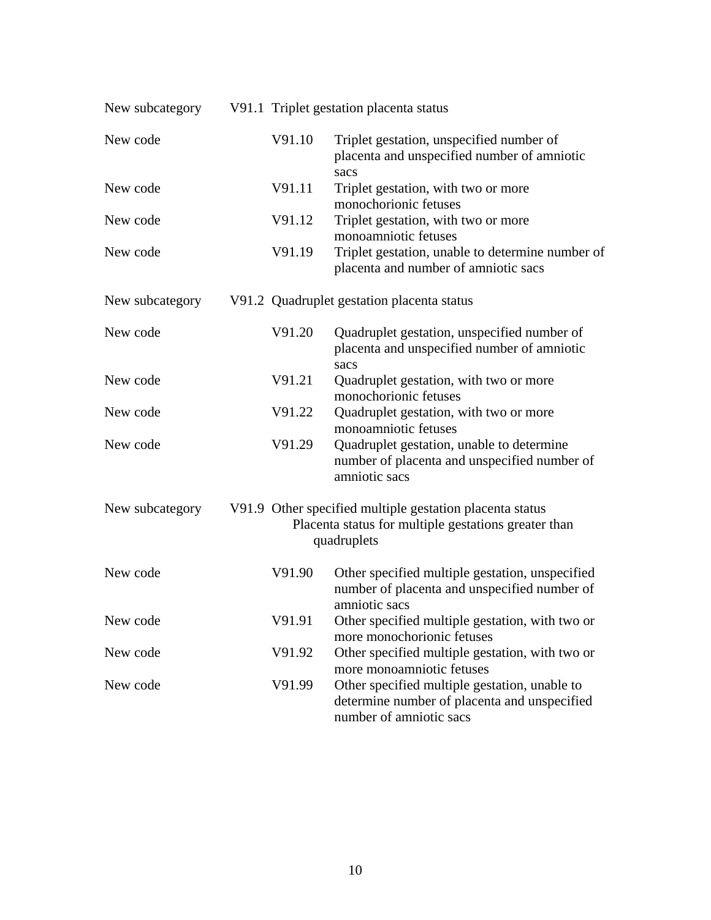| New subcategory |        | V91.1 Triplet gestation placenta status                                                                                         |
|-----------------|--------|---------------------------------------------------------------------------------------------------------------------------------|
| New code        | V91.10 | Triplet gestation, unspecified number of<br>placenta and unspecified number of amniotic<br>sacs                                 |
| New code        | V91.11 | Triplet gestation, with two or more<br>monochorionic fetuses                                                                    |
| New code        | V91.12 | Triplet gestation, with two or more<br>monoamniotic fetuses                                                                     |
| New code        | V91.19 | Triplet gestation, unable to determine number of<br>placenta and number of amniotic sacs                                        |
| New subcategory |        | V91.2 Quadruplet gestation placenta status                                                                                      |
| New code        | V91.20 | Quadruplet gestation, unspecified number of<br>placenta and unspecified number of amniotic<br>sacs                              |
| New code        | V91.21 | Quadruplet gestation, with two or more<br>monochorionic fetuses                                                                 |
| New code        | V91.22 | Quadruplet gestation, with two or more<br>monoamniotic fetuses                                                                  |
| New code        | V91.29 | Quadruplet gestation, unable to determine<br>number of placenta and unspecified number of<br>amniotic sacs                      |
| New subcategory |        | V91.9 Other specified multiple gestation placenta status<br>Placenta status for multiple gestations greater than<br>quadruplets |
| New code        | V91.90 | Other specified multiple gestation, unspecified<br>number of placenta and unspecified number of<br>amniotic sacs                |
| New code        | V91.91 | Other specified multiple gestation, with two or<br>more monochorionic fetuses                                                   |
| New code        | V91.92 | Other specified multiple gestation, with two or<br>more monoamniotic fetuses                                                    |
| New code        | V91.99 | Other specified multiple gestation, unable to<br>determine number of placenta and unspecified<br>number of amniotic sacs        |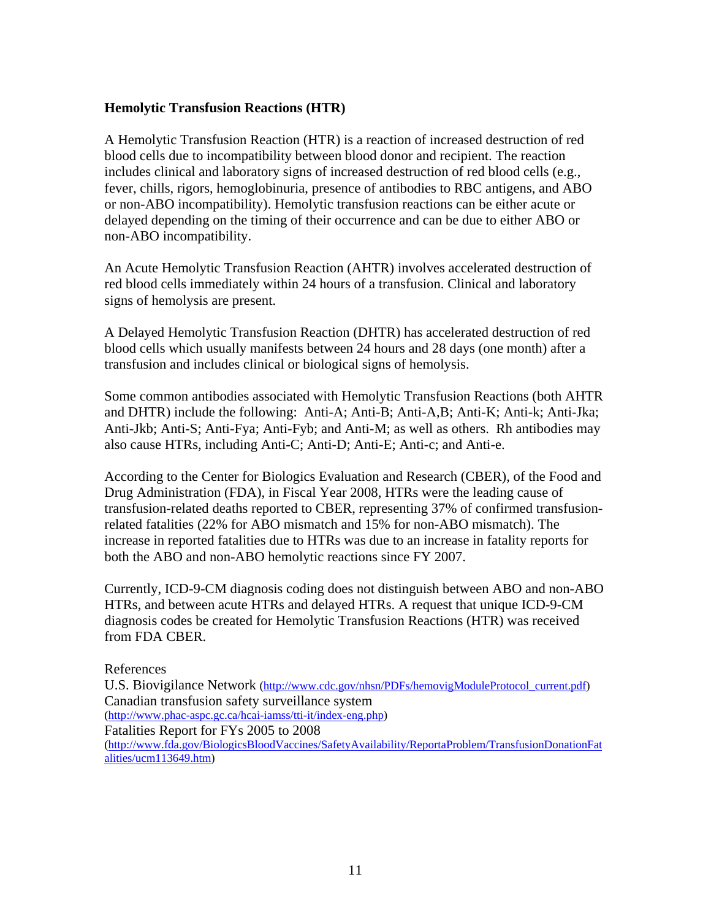#### <span id="page-10-0"></span>**Hemolytic Transfusion Reactions (HTR)**

A Hemolytic Transfusion Reaction (HTR) is a reaction of increased destruction of red blood cells due to incompatibility between blood donor and recipient. The reaction includes clinical and laboratory signs of increased destruction of red blood cells (e.g., fever, chills, rigors, hemoglobinuria, presence of antibodies to RBC antigens, and ABO or non-ABO incompatibility). Hemolytic transfusion reactions can be either acute or delayed depending on the timing of their occurrence and can be due to either ABO or non-ABO incompatibility.

An Acute Hemolytic Transfusion Reaction (AHTR) involves accelerated destruction of red blood cells immediately within 24 hours of a transfusion. Clinical and laboratory signs of hemolysis are present.

A Delayed Hemolytic Transfusion Reaction (DHTR) has accelerated destruction of red blood cells which usually manifests between 24 hours and 28 days (one month) after a transfusion and includes clinical or biological signs of hemolysis.

Some common antibodies associated with Hemolytic Transfusion Reactions (both AHTR and DHTR) include the following: Anti-A; Anti-B; Anti-A,B; Anti-K; Anti-k; Anti-Jka; Anti-Jkb; Anti-S; Anti-Fya; Anti-Fyb; and Anti-M; as well as others. Rh antibodies may also cause HTRs, including Anti-C; Anti-D; Anti-E; Anti-c; and Anti-e.

According to the Center for Biologics Evaluation and Research (CBER), of the Food and Drug Administration (FDA), in Fiscal Year 2008, HTRs were the leading cause of transfusion-related deaths reported to CBER, representing 37% of confirmed transfusionrelated fatalities (22% for ABO mismatch and 15% for non-ABO mismatch). The increase in reported fatalities due to HTRs was due to an increase in fatality reports for both the ABO and non-ABO hemolytic reactions since FY 2007.

Currently, ICD-9-CM diagnosis coding does not distinguish between ABO and non-ABO HTRs, and between acute HTRs and delayed HTRs. A request that unique ICD-9-CM diagnosis codes be created for Hemolytic Transfusion Reactions (HTR) was received from FDA CBER.

References U.S. Biovigilance Network [\(http://www.cdc.gov/nhsn/PDFs/hemovigModuleProtocol\\_current.pdf](http://www.cdc.gov/nhsn/PDFs/hemovigModuleProtocol_current.pdf)) Canadian transfusion safety surveillance system [\(http://www.phac-aspc.gc.ca/hcai-iamss/tti-it/index-eng.php\)](http://www.phac-aspc.gc.ca/hcai-iamss/tti-it/index-eng.php) Fatalities Report for FYs 2005 to 2008 [\(http://www.fda.gov/BiologicsBloodVaccines/SafetyAvailability/ReportaProblem/TransfusionDonationFat](http://www.fda.gov/BiologicsBloodVaccines/SafetyAvailability/ReportaProblem/TransfusionDonationFatalities/ucm113649.htm) [alities/ucm113649.htm\)](http://www.fda.gov/BiologicsBloodVaccines/SafetyAvailability/ReportaProblem/TransfusionDonationFatalities/ucm113649.htm)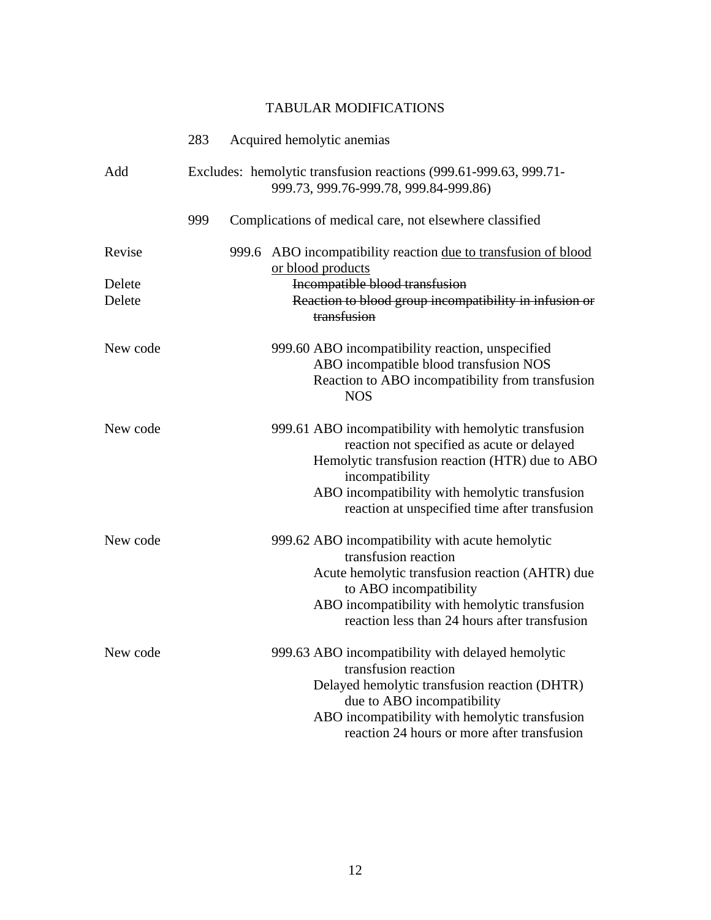|          | 283                                                                                                        |       | Acquired hemolytic anemias                                                                                                                                                                                                                                                    |
|----------|------------------------------------------------------------------------------------------------------------|-------|-------------------------------------------------------------------------------------------------------------------------------------------------------------------------------------------------------------------------------------------------------------------------------|
| Add      | Excludes: hemolytic transfusion reactions (999.61-999.63, 999.71-<br>999.73, 999.76-999.78, 999.84-999.86) |       |                                                                                                                                                                                                                                                                               |
|          | 999                                                                                                        |       | Complications of medical care, not elsewhere classified                                                                                                                                                                                                                       |
| Revise   |                                                                                                            | 999.6 | ABO incompatibility reaction due to transfusion of blood<br>or blood products                                                                                                                                                                                                 |
| Delete   |                                                                                                            |       | Incompatible blood transfusion                                                                                                                                                                                                                                                |
| Delete   |                                                                                                            |       | Reaction to blood group incompatibility in infusion or<br>transfusion                                                                                                                                                                                                         |
| New code |                                                                                                            |       | 999.60 ABO incompatibility reaction, unspecified<br>ABO incompatible blood transfusion NOS<br>Reaction to ABO incompatibility from transfusion<br><b>NOS</b>                                                                                                                  |
| New code |                                                                                                            |       | 999.61 ABO incompatibility with hemolytic transfusion<br>reaction not specified as acute or delayed<br>Hemolytic transfusion reaction (HTR) due to ABO<br>incompatibility<br>ABO incompatibility with hemolytic transfusion<br>reaction at unspecified time after transfusion |
| New code |                                                                                                            |       | 999.62 ABO incompatibility with acute hemolytic<br>transfusion reaction<br>Acute hemolytic transfusion reaction (AHTR) due<br>to ABO incompatibility<br>ABO incompatibility with hemolytic transfusion<br>reaction less than 24 hours after transfusion                       |
| New code |                                                                                                            |       | 999.63 ABO incompatibility with delayed hemolytic<br>transfusion reaction<br>Delayed hemolytic transfusion reaction (DHTR)<br>due to ABO incompatibility<br>ABO incompatibility with hemolytic transfusion<br>reaction 24 hours or more after transfusion                     |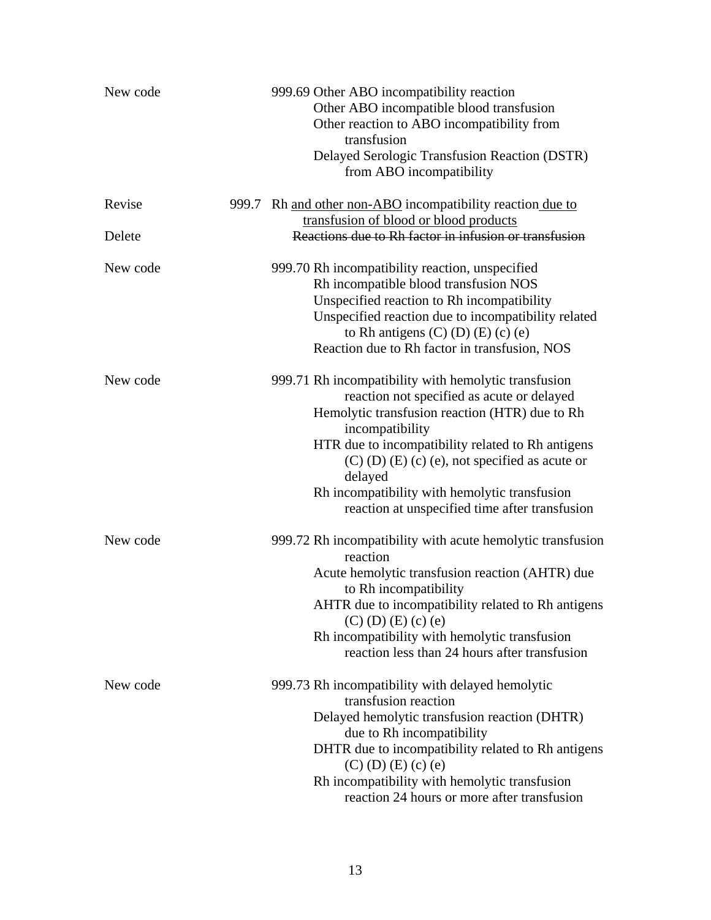| New code | 999.69 Other ABO incompatibility reaction<br>Other ABO incompatible blood transfusion<br>Other reaction to ABO incompatibility from<br>transfusion<br>Delayed Serologic Transfusion Reaction (DSTR)<br>from ABO incompatibility                                                                                                                                                                         |
|----------|---------------------------------------------------------------------------------------------------------------------------------------------------------------------------------------------------------------------------------------------------------------------------------------------------------------------------------------------------------------------------------------------------------|
| Revise   | 999.7 Rh and other non-ABO incompatibility reaction due to<br>transfusion of blood or blood products                                                                                                                                                                                                                                                                                                    |
| Delete   | Reactions due to Rh factor in infusion or transfusion                                                                                                                                                                                                                                                                                                                                                   |
| New code | 999.70 Rh incompatibility reaction, unspecified<br>Rh incompatible blood transfusion NOS<br>Unspecified reaction to Rh incompatibility<br>Unspecified reaction due to incompatibility related<br>to Rh antigens $(C)$ $(D)$ $(E)$ $(c)$ $(e)$<br>Reaction due to Rh factor in transfusion, NOS                                                                                                          |
| New code | 999.71 Rh incompatibility with hemolytic transfusion<br>reaction not specified as acute or delayed<br>Hemolytic transfusion reaction (HTR) due to Rh<br>incompatibility<br>HTR due to incompatibility related to Rh antigens<br>$(C)$ $(D)$ $(E)$ $(c)$ $(e)$ , not specified as acute or<br>delayed<br>Rh incompatibility with hemolytic transfusion<br>reaction at unspecified time after transfusion |
| New code | 999.72 Rh incompatibility with acute hemolytic transfusion<br>reaction<br>Acute hemolytic transfusion reaction (AHTR) due<br>to Rh incompatibility<br>AHTR due to incompatibility related to Rh antigens<br>$(C)$ (D) $(E)$ (c) (e)<br>Rh incompatibility with hemolytic transfusion<br>reaction less than 24 hours after transfusion                                                                   |
| New code | 999.73 Rh incompatibility with delayed hemolytic<br>transfusion reaction<br>Delayed hemolytic transfusion reaction (DHTR)<br>due to Rh incompatibility<br>DHTR due to incompatibility related to Rh antigens<br>$(C)$ (D) (E) (c) (e)<br>Rh incompatibility with hemolytic transfusion<br>reaction 24 hours or more after transfusion                                                                   |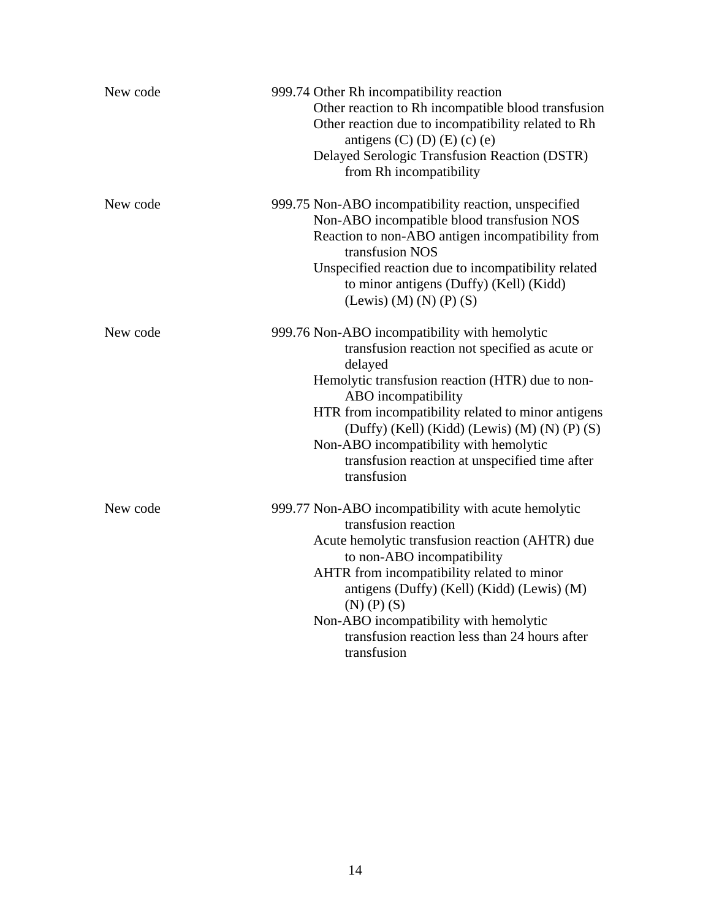| New code | 999.74 Other Rh incompatibility reaction<br>Other reaction to Rh incompatible blood transfusion<br>Other reaction due to incompatibility related to Rh<br>antigens $(C)$ $(D)$ $(E)$ $(c)$ $(e)$<br>Delayed Serologic Transfusion Reaction (DSTR)<br>from Rh incompatibility                                                                                                                              |
|----------|-----------------------------------------------------------------------------------------------------------------------------------------------------------------------------------------------------------------------------------------------------------------------------------------------------------------------------------------------------------------------------------------------------------|
| New code | 999.75 Non-ABO incompatibility reaction, unspecified<br>Non-ABO incompatible blood transfusion NOS<br>Reaction to non-ABO antigen incompatibility from<br>transfusion NOS<br>Unspecified reaction due to incompatibility related<br>to minor antigens (Duffy) (Kell) (Kidd)<br>(Lewis) (M) (N) (P) (S)                                                                                                    |
| New code | 999.76 Non-ABO incompatibility with hemolytic<br>transfusion reaction not specified as acute or<br>delayed<br>Hemolytic transfusion reaction (HTR) due to non-<br>ABO incompatibility<br>HTR from incompatibility related to minor antigens<br>$(Duffy)$ (Kell) (Kidd) (Lewis) (M) (N) (P) (S)<br>Non-ABO incompatibility with hemolytic<br>transfusion reaction at unspecified time after<br>transfusion |
| New code | 999.77 Non-ABO incompatibility with acute hemolytic<br>transfusion reaction<br>Acute hemolytic transfusion reaction (AHTR) due<br>to non-ABO incompatibility<br>AHTR from incompatibility related to minor<br>antigens (Duffy) (Kell) (Kidd) (Lewis) (M)<br>$(N)$ $(P)$ $(S)$<br>Non-ABO incompatibility with hemolytic<br>transfusion reaction less than 24 hours after<br>transfusion                   |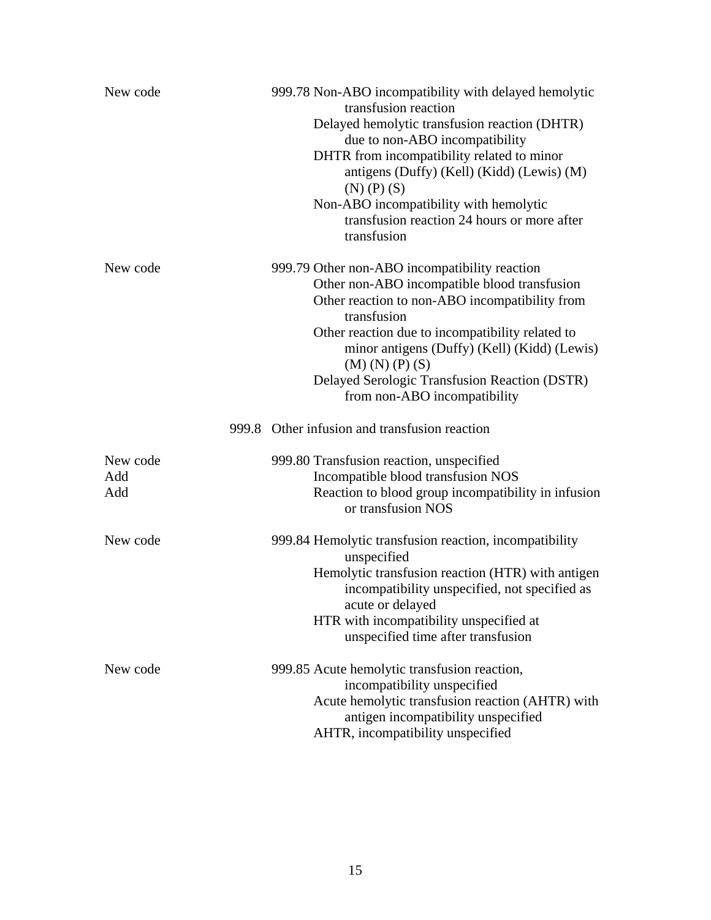| New code               | 999.78 Non-ABO incompatibility with delayed hemolytic<br>transfusion reaction<br>Delayed hemolytic transfusion reaction (DHTR)<br>due to non-ABO incompatibility<br>DHTR from incompatibility related to minor<br>antigens (Duffy) (Kell) (Kidd) (Lewis) (M)<br>$(N)$ $(P)$ $(S)$<br>Non-ABO incompatibility with hemolytic<br>transfusion reaction 24 hours or more after<br>transfusion |
|------------------------|-------------------------------------------------------------------------------------------------------------------------------------------------------------------------------------------------------------------------------------------------------------------------------------------------------------------------------------------------------------------------------------------|
| New code               | 999.79 Other non-ABO incompatibility reaction<br>Other non-ABO incompatible blood transfusion<br>Other reaction to non-ABO incompatibility from<br>transfusion<br>Other reaction due to incompatibility related to<br>minor antigens (Duffy) (Kell) (Kidd) (Lewis)<br>$(M)$ $(N)$ $(P)$ $(S)$<br>Delayed Serologic Transfusion Reaction (DSTR)<br>from non-ABO incompatibility            |
|                        | 999.8 Other infusion and transfusion reaction                                                                                                                                                                                                                                                                                                                                             |
| New code<br>Add<br>Add | 999.80 Transfusion reaction, unspecified<br>Incompatible blood transfusion NOS<br>Reaction to blood group incompatibility in infusion<br>or transfusion NOS                                                                                                                                                                                                                               |
| New code               | 999.84 Hemolytic transfusion reaction, incompatibility<br>unspecified<br>Hemolytic transfusion reaction (HTR) with antigen<br>incompatibility unspecified, not specified as<br>acute or delayed<br>HTR with incompatibility unspecified at<br>unspecified time after transfusion                                                                                                          |
| New code               | 999.85 Acute hemolytic transfusion reaction,<br>incompatibility unspecified<br>Acute hemolytic transfusion reaction (AHTR) with<br>antigen incompatibility unspecified<br>AHTR, incompatibility unspecified                                                                                                                                                                               |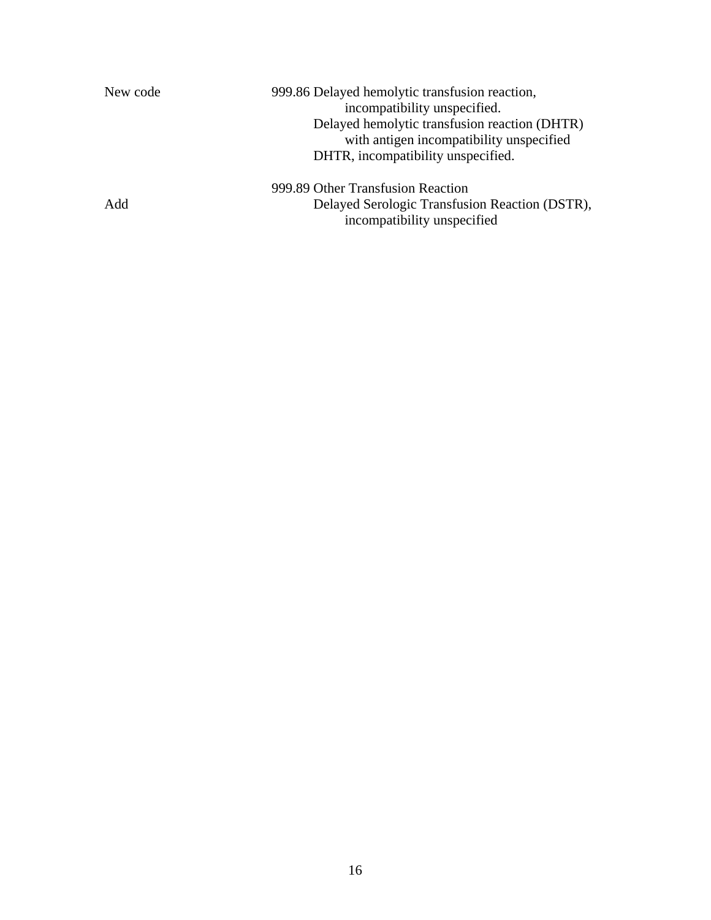| New code | 999.86 Delayed hemolytic transfusion reaction,<br>incompatibility unspecified.<br>Delayed hemolytic transfusion reaction (DHTR)<br>with antigen incompatibility unspecified<br>DHTR, incompatibility unspecified. |
|----------|-------------------------------------------------------------------------------------------------------------------------------------------------------------------------------------------------------------------|
| Add      | 999.89 Other Transfusion Reaction<br>Delayed Serologic Transfusion Reaction (DSTR),<br>incompatibility unspecified                                                                                                |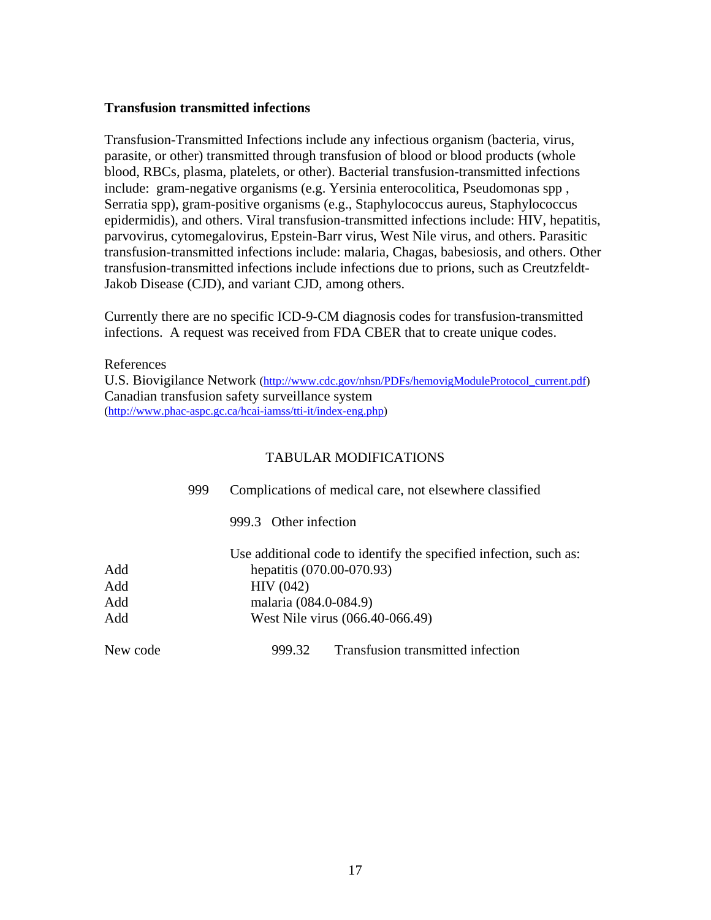#### <span id="page-16-0"></span>**Transfusion transmitted infections**

Transfusion-Transmitted Infections include any infectious organism (bacteria, virus, parasite, or other) transmitted through transfusion of blood or blood products (whole blood, RBCs, plasma, platelets, or other). Bacterial transfusion-transmitted infections include: gram-negative organisms (e.g. Yersinia enterocolitica, Pseudomonas spp , Serratia spp), gram-positive organisms (e.g., Staphylococcus aureus, Staphylococcus epidermidis), and others. Viral transfusion-transmitted infections include: HIV, hepatitis, parvovirus, cytomegalovirus, Epstein-Barr virus, West Nile virus, and others. Parasitic transfusion-transmitted infections include: malaria, Chagas, babesiosis, and others. Other transfusion-transmitted infections include infections due to prions, such as Creutzfeldt-Jakob Disease (CJD), and variant CJD, among others.

Currently there are no specific ICD-9-CM diagnosis codes for transfusion-transmitted infections. A request was received from FDA CBER that to create unique codes.

References U.S. Biovigilance Network [\(http://www.cdc.gov/nhsn/PDFs/hemovigModuleProtocol\\_current.pdf](http://www.cdc.gov/nhsn/PDFs/hemovigModuleProtocol_current.pdf)) Canadian transfusion safety surveillance system [\(http://www.phac-aspc.gc.ca/hcai-iamss/tti-it/index-eng.php\)](http://www.phac-aspc.gc.ca/hcai-iamss/tti-it/index-eng.php)

|          | 999 | Complications of medical care, not elsewhere classified           |
|----------|-----|-------------------------------------------------------------------|
|          |     | 999.3 Other infection                                             |
|          |     | Use additional code to identify the specified infection, such as: |
| Add      |     | hepatitis (070.00-070.93)                                         |
| Add      |     | HIV(042)                                                          |
| Add      |     | malaria (084.0-084.9)                                             |
| Add      |     | West Nile virus (066.40-066.49)                                   |
| New code |     | Transfusion transmitted infection<br>999.32                       |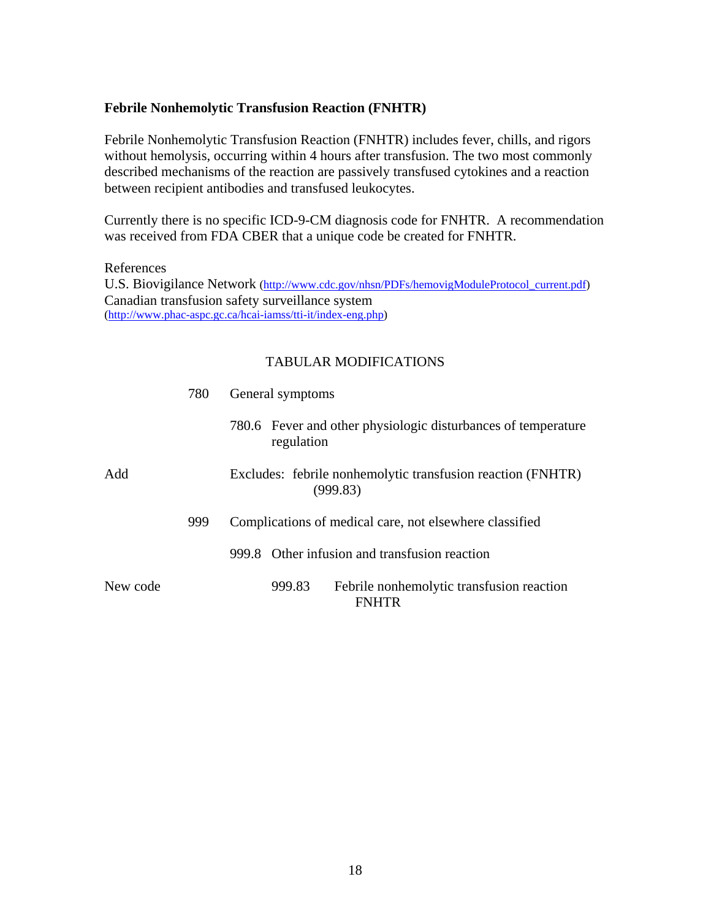#### <span id="page-17-0"></span>**Febrile Nonhemolytic Transfusion Reaction (FNHTR)**

Febrile Nonhemolytic Transfusion Reaction (FNHTR) includes fever, chills, and rigors without hemolysis, occurring within 4 hours after transfusion. The two most commonly described mechanisms of the reaction are passively transfused cytokines and a reaction between recipient antibodies and transfused leukocytes.

Currently there is no specific ICD-9-CM diagnosis code for FNHTR. A recommendation was received from FDA CBER that a unique code be created for FNHTR.

References U.S. Biovigilance Network [\(http://www.cdc.gov/nhsn/PDFs/hemovigModuleProtocol\\_current.pdf](http://www.cdc.gov/nhsn/PDFs/hemovigModuleProtocol_current.pdf)) Canadian transfusion safety surveillance system [\(http://www.phac-aspc.gc.ca/hcai-iamss/tti-it/index-eng.php\)](http://www.phac-aspc.gc.ca/hcai-iamss/tti-it/index-eng.php)

|          | 780                                                                     | General symptoms                                                            |  |
|----------|-------------------------------------------------------------------------|-----------------------------------------------------------------------------|--|
|          |                                                                         | 780.6 Fever and other physiologic disturbances of temperature<br>regulation |  |
| Add      | Excludes: febrile nonhemolytic transfusion reaction (FNHTR)<br>(999.83) |                                                                             |  |
|          | 999                                                                     | Complications of medical care, not elsewhere classified                     |  |
|          |                                                                         | 999.8 Other infusion and transfusion reaction                               |  |
| New code |                                                                         | 999.83<br>Febrile nonhemolytic transfusion reaction<br><b>FNHTR</b>         |  |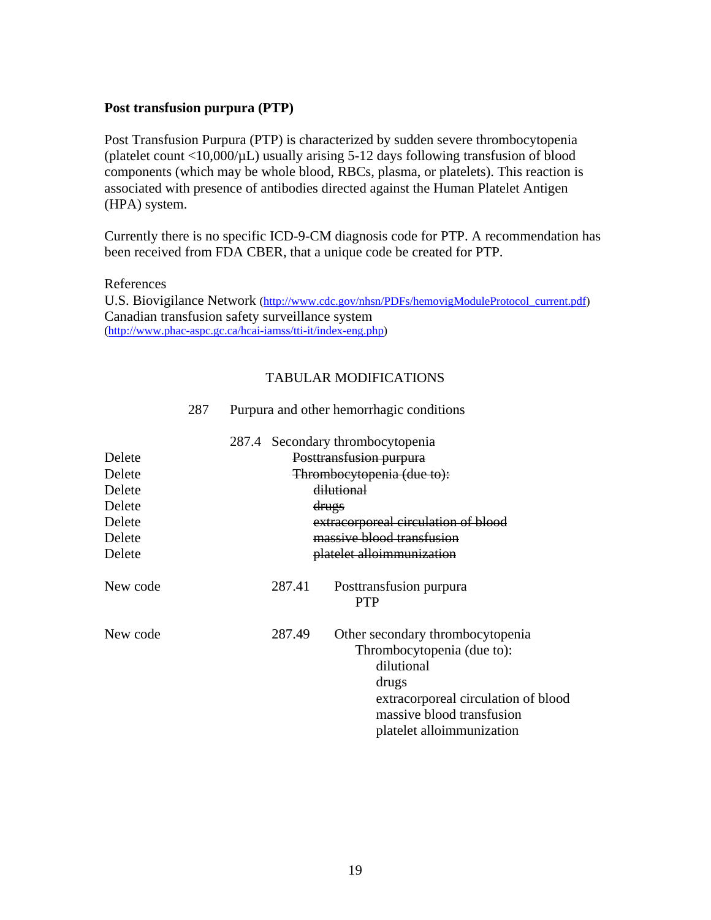#### <span id="page-18-0"></span>**Post transfusion purpura (PTP)**

Post Transfusion Purpura (PTP) is characterized by sudden severe thrombocytopenia (platelet count  $\langle 10,000/\mu L \rangle$ ) usually arising 5-12 days following transfusion of blood components (which may be whole blood, RBCs, plasma, or platelets). This reaction is associated with presence of antibodies directed against the Human Platelet Antigen (HPA) system.

Currently there is no specific ICD-9-CM diagnosis code for PTP. A recommendation has been received from FDA CBER, that a unique code be created for PTP.

References U.S. Biovigilance Network [\(http://www.cdc.gov/nhsn/PDFs/hemovigModuleProtocol\\_current.pdf](http://www.cdc.gov/nhsn/PDFs/hemovigModuleProtocol_current.pdf)) Canadian transfusion safety surveillance system [\(http://www.phac-aspc.gc.ca/hcai-iamss/tti-it/index-eng.php\)](http://www.phac-aspc.gc.ca/hcai-iamss/tti-it/index-eng.php)

#### TABULAR MODIFICATIONS

| Delete<br>Delete<br>Delete<br>Delete<br>Delete<br>Delete<br>Delete | 287.4 |        | Secondary thrombocytopenia<br>Posttransfusion purpura<br>Thrombocytopenia (due to):<br>dilutional<br>drugs<br>extracorporeal circulation of blood<br>massive blood transfusion<br>platelet alloimmunization |
|--------------------------------------------------------------------|-------|--------|-------------------------------------------------------------------------------------------------------------------------------------------------------------------------------------------------------------|
| New code                                                           |       | 287.41 | Posttransfusion purpura<br><b>PTP</b>                                                                                                                                                                       |
| New code                                                           |       | 287.49 | Other secondary thrombocytopenia<br>Thrombocytopenia (due to):<br>dilutional<br>drugs<br>extracorporeal circulation of blood<br>massive blood transfusion<br>platelet alloimmunization                      |

#### 287 Purpura and other hemorrhagic conditions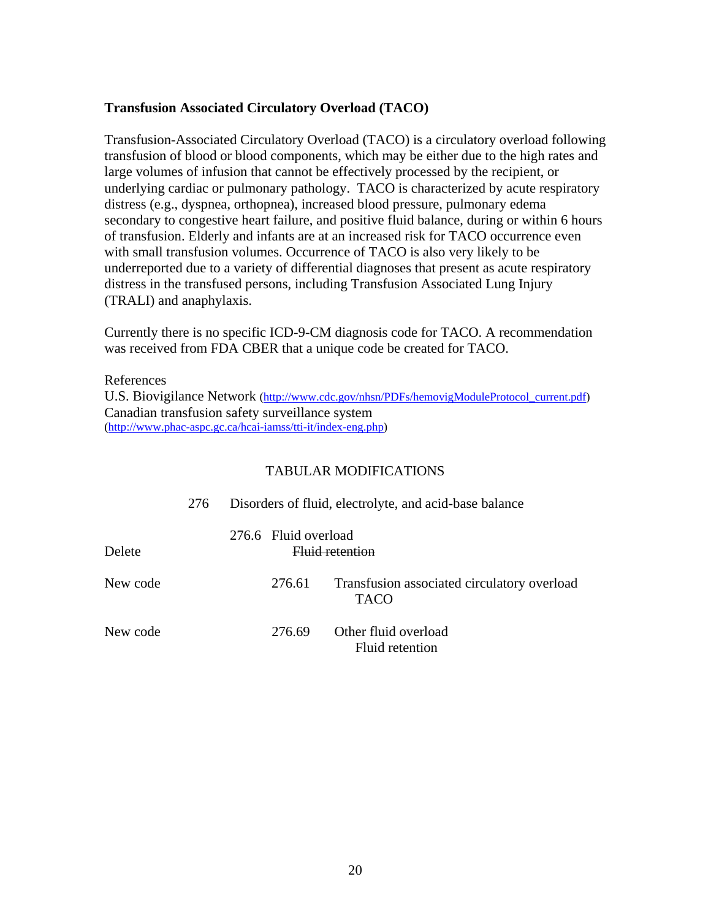#### **Transfusion Associated Circulatory Overload (TACO)**

Transfusion-Associated Circulatory Overload (TACO) is a circulatory overload following transfusion of blood or blood components, which may be either due to the high rates and large volumes of infusion that cannot be effectively processed by the recipient, or underlying cardiac or pulmonary pathology. TACO is characterized by acute respiratory distress (e.g., dyspnea, orthopnea), increased blood pressure, pulmonary edema secondary to congestive heart failure, and positive fluid balance, during or within 6 hours of transfusion. Elderly and infants are at an increased risk for TACO occurrence even with small transfusion volumes. Occurrence of TACO is also very likely to be underreported due to a variety of differential diagnoses that present as acute respiratory distress in the transfused persons, including Transfusion Associated Lung Injury (TRALI) and anaphylaxis.

Currently there is no specific ICD-9-CM diagnosis code for TACO. A recommendation was received from FDA CBER that a unique code be created for TACO.

References U.S. Biovigilance Network [\(http://www.cdc.gov/nhsn/PDFs/hemovigModuleProtocol\\_current.pdf](http://www.cdc.gov/nhsn/PDFs/hemovigModuleProtocol_current.pdf)) Canadian transfusion safety surveillance system [\(http://www.phac-aspc.gc.ca/hcai-iamss/tti-it/index-eng.php\)](http://www.phac-aspc.gc.ca/hcai-iamss/tti-it/index-eng.php)

|          | 276 | Disorders of fluid, electrolyte, and acid-base balance |                      |                                                            |  |
|----------|-----|--------------------------------------------------------|----------------------|------------------------------------------------------------|--|
| Delete   |     |                                                        | 276.6 Fluid overload | Eluid retention                                            |  |
| New code |     |                                                        | 276.61               | Transfusion associated circulatory overload<br><b>TACO</b> |  |
| New code |     |                                                        | 276.69               | Other fluid overload<br>Fluid retention                    |  |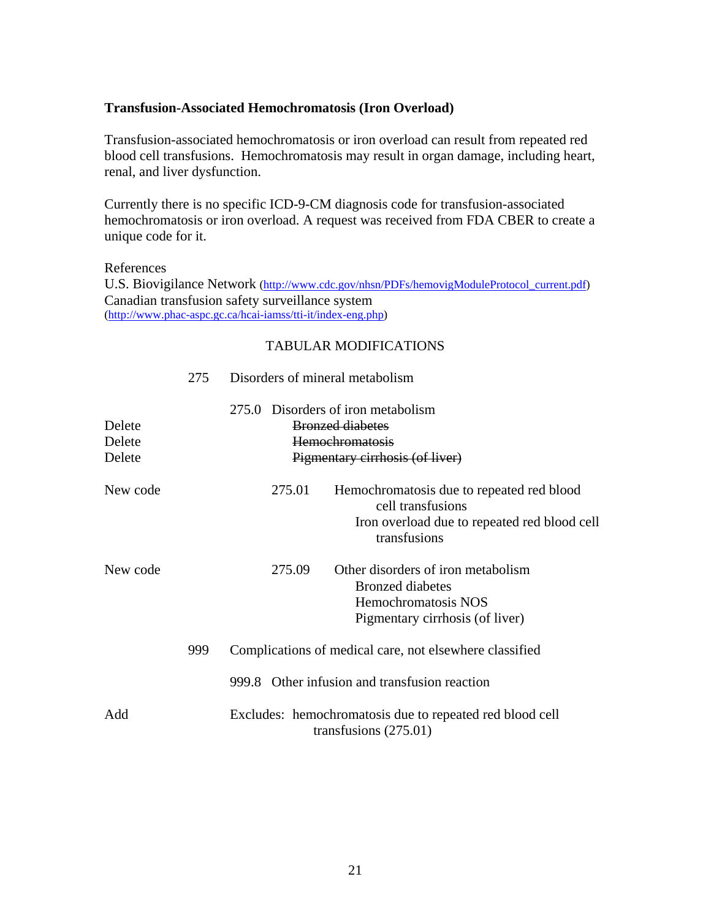#### <span id="page-20-0"></span>**Transfusion-Associated Hemochromatosis (Iron Overload)**

Transfusion-associated hemochromatosis or iron overload can result from repeated red blood cell transfusions. Hemochromatosis may result in organ damage, including heart, renal, and liver dysfunction.

Currently there is no specific ICD-9-CM diagnosis code for transfusion-associated hemochromatosis or iron overload. A request was received from FDA CBER to create a unique code for it.

#### References

U.S. Biovigilance Network [\(http://www.cdc.gov/nhsn/PDFs/hemovigModuleProtocol\\_current.pdf](http://www.cdc.gov/nhsn/PDFs/hemovigModuleProtocol_current.pdf)) Canadian transfusion safety surveillance system [\(http://www.phac-aspc.gc.ca/hcai-iamss/tti-it/index-eng.php\)](http://www.phac-aspc.gc.ca/hcai-iamss/tti-it/index-eng.php)

#### TABULAR MODIFICATIONS

|                            | 275 | Disorders of mineral metabolism                                                                                                          |  |  |
|----------------------------|-----|------------------------------------------------------------------------------------------------------------------------------------------|--|--|
| Delete<br>Delete<br>Delete |     | 275.0 Disorders of iron metabolism<br><b>Bronzed diabetes</b><br><b>Hemochromatosis</b><br>Pigmentary cirrhosis (of liver)               |  |  |
| New code                   |     | 275.01<br>Hemochromatosis due to repeated red blood<br>cell transfusions<br>Iron overload due to repeated red blood cell<br>transfusions |  |  |
| New code                   |     | Other disorders of iron metabolism<br>275.09<br><b>Bronzed</b> diabetes<br>Hemochromatosis NOS<br>Pigmentary cirrhosis (of liver)        |  |  |
|                            | 999 | Complications of medical care, not elsewhere classified                                                                                  |  |  |
|                            |     | 999.8 Other infusion and transfusion reaction                                                                                            |  |  |
| Add                        |     | Excludes: hemochromatosis due to repeated red blood cell<br>transfusions $(275.01)$                                                      |  |  |

### 21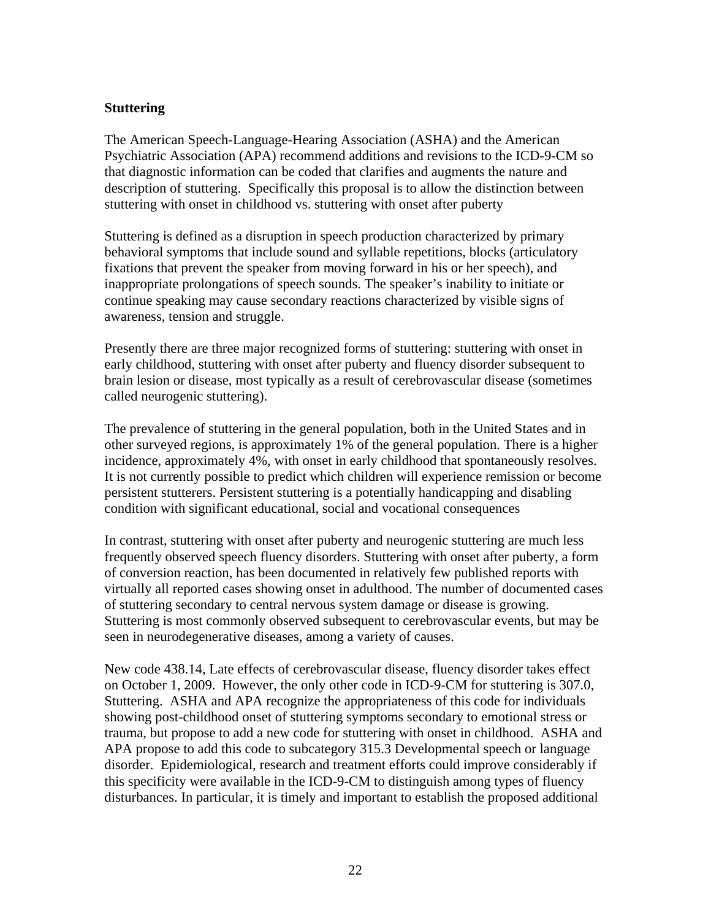#### <span id="page-21-0"></span>**Stuttering**

The American Speech-Language-Hearing Association (ASHA) and the American Psychiatric Association (APA) recommend additions and revisions to the ICD-9-CM so that diagnostic information can be coded that clarifies and augments the nature and description of stuttering. Specifically this proposal is to allow the distinction between stuttering with onset in childhood vs. stuttering with onset after puberty

Stuttering is defined as a disruption in speech production characterized by primary behavioral symptoms that include sound and syllable repetitions, blocks (articulatory fixations that prevent the speaker from moving forward in his or her speech), and inappropriate prolongations of speech sounds. The speaker's inability to initiate or continue speaking may cause secondary reactions characterized by visible signs of awareness, tension and struggle.

Presently there are three major recognized forms of stuttering: stuttering with onset in early childhood, stuttering with onset after puberty and fluency disorder subsequent to brain lesion or disease, most typically as a result of cerebrovascular disease (sometimes called neurogenic stuttering).

The prevalence of stuttering in the general population, both in the United States and in other surveyed regions, is approximately 1% of the general population. There is a higher incidence, approximately 4%, with onset in early childhood that spontaneously resolves. It is not currently possible to predict which children will experience remission or become persistent stutterers. Persistent stuttering is a potentially handicapping and disabling condition with significant educational, social and vocational consequences

In contrast, stuttering with onset after puberty and neurogenic stuttering are much less frequently observed speech fluency disorders. Stuttering with onset after puberty, a form of conversion reaction, has been documented in relatively few published reports with virtually all reported cases showing onset in adulthood. The number of documented cases of stuttering secondary to central nervous system damage or disease is growing. Stuttering is most commonly observed subsequent to cerebrovascular events, but may be seen in neurodegenerative diseases, among a variety of causes.

New code 438.14, Late effects of cerebrovascular disease, fluency disorder takes effect on October 1, 2009. However, the only other code in ICD-9-CM for stuttering is 307.0, Stuttering. ASHA and APA recognize the appropriateness of this code for individuals showing post-childhood onset of stuttering symptoms secondary to emotional stress or trauma, but propose to add a new code for stuttering with onset in childhood. ASHA and APA propose to add this code to subcategory 315.3 Developmental speech or language disorder. Epidemiological, research and treatment efforts could improve considerably if this specificity were available in the ICD-9-CM to distinguish among types of fluency disturbances. In particular, it is timely and important to establish the proposed additional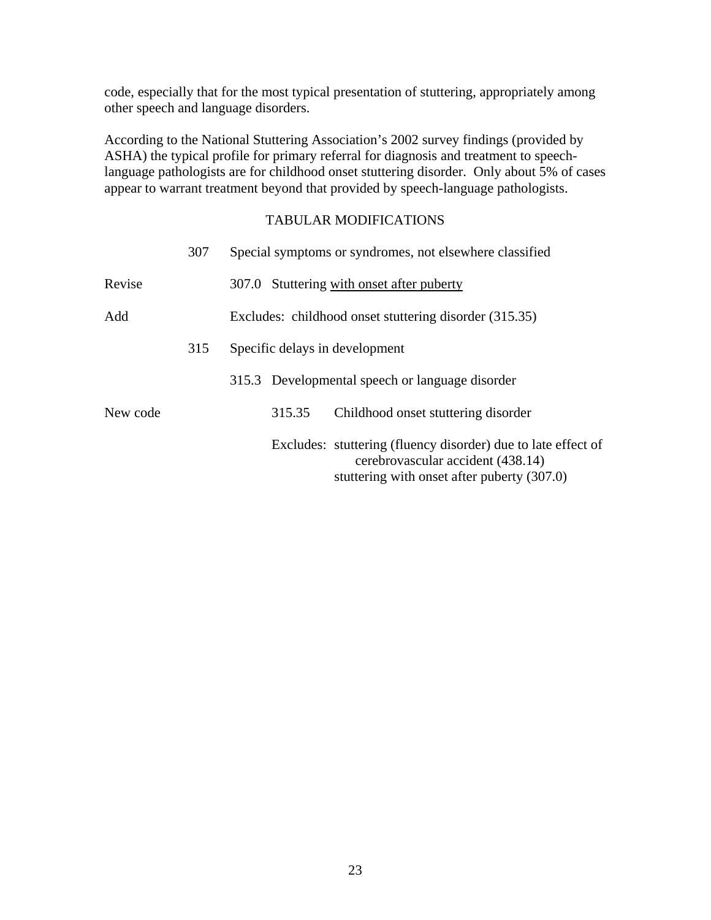code, especially that for the most typical presentation of stuttering, appropriately among other speech and language disorders.

According to the National Stuttering Association's 2002 survey findings (provided by ASHA) the typical profile for primary referral for diagnosis and treatment to speechlanguage pathologists are for childhood onset stuttering disorder. Only about 5% of cases appear to warrant treatment beyond that provided by speech-language pathologists.

|          | 307 |                                                        |        | Special symptoms or syndromes, not elsewhere classified                                                                                           |
|----------|-----|--------------------------------------------------------|--------|---------------------------------------------------------------------------------------------------------------------------------------------------|
| Revise   |     |                                                        |        | 307.0 Stuttering with onset after puberty                                                                                                         |
| Add      |     | Excludes: childhood onset stuttering disorder (315.35) |        |                                                                                                                                                   |
|          | 315 |                                                        |        | Specific delays in development                                                                                                                    |
|          |     |                                                        |        | 315.3 Developmental speech or language disorder                                                                                                   |
| New code |     |                                                        | 315.35 | Childhood onset stuttering disorder                                                                                                               |
|          |     |                                                        |        | Excludes: stuttering (fluency disorder) due to late effect of<br>cerebrovascular accident (438.14)<br>stuttering with onset after puberty (307.0) |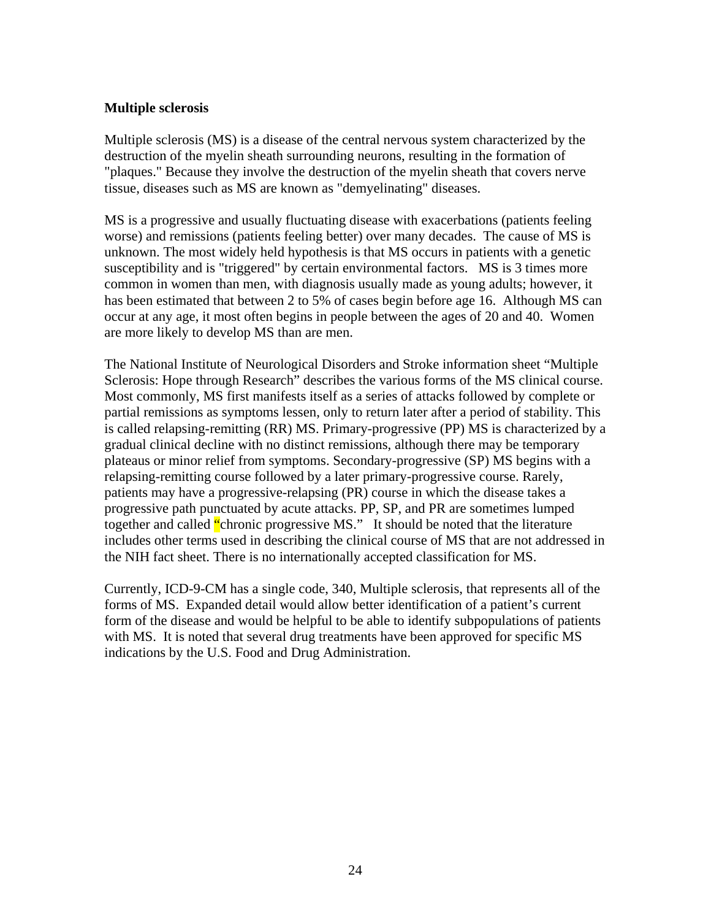#### <span id="page-23-0"></span>**Multiple sclerosis**

Multiple sclerosis (MS) is a disease of the central nervous system characterized by the destruction of the myelin sheath surrounding neurons, resulting in the formation of "plaques." Because they involve the destruction of the myelin sheath that covers nerve tissue, diseases such as MS are known as "demyelinating" diseases.

MS is a progressive and usually fluctuating disease with exacerbations (patients feeling worse) and remissions (patients feeling better) over many decades. The cause of MS is unknown. The most widely held hypothesis is that MS occurs in patients with a genetic susceptibility and is "triggered" by certain environmental factors. MS is 3 times more common in women than men, with diagnosis usually made as young adults; however, it has been estimated that between 2 to 5% of cases begin before age 16. Although MS can occur at any age, it most often begins in people between the ages of 20 and 40. Women are more likely to develop MS than are men.

The National Institute of Neurological Disorders and Stroke information sheet "Multiple Sclerosis: Hope through Research" describes the various forms of the MS clinical course. Most commonly, MS first manifests itself as a series of attacks followed by complete or partial remissions as symptoms lessen, only to return later after a period of stability. This is called relapsing-remitting (RR) MS. Primary-progressive (PP) MS is characterized by a gradual clinical decline with no distinct remissions, although there may be temporary plateaus or minor relief from symptoms. Secondary-progressive (SP) MS begins with a relapsing-remitting course followed by a later primary-progressive course. Rarely, patients may have a progressive-relapsing (PR) course in which the disease takes a progressive path punctuated by acute attacks. PP, SP, and PR are sometimes lumped together and called "chronic progressive MS." It should be noted that the literature includes other terms used in describing the clinical course of MS that are not addressed in the NIH fact sheet. There is no internationally accepted classification for MS.

Currently, ICD-9-CM has a single code, 340, Multiple sclerosis, that represents all of the forms of MS. Expanded detail would allow better identification of a patient's current form of the disease and would be helpful to be able to identify subpopulations of patients with MS. It is noted that several drug treatments have been approved for specific MS indications by the U.S. Food and Drug Administration.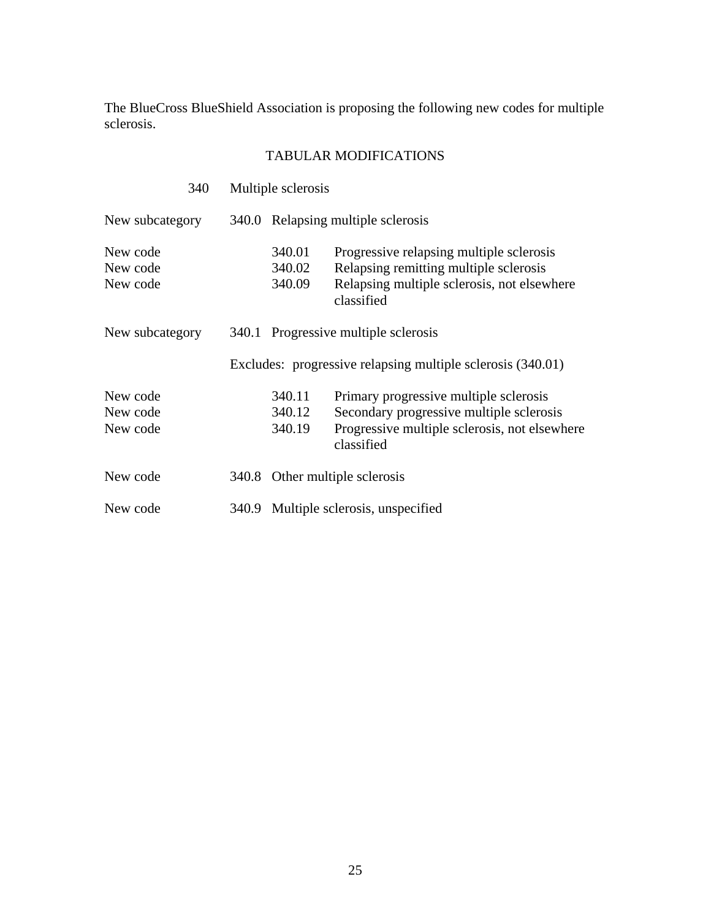The BlueCross BlueShield Association is proposing the following new codes for multiple sclerosis.

| 340                              |       | Multiple sclerosis              |                                                                                                                                                   |  |
|----------------------------------|-------|---------------------------------|---------------------------------------------------------------------------------------------------------------------------------------------------|--|
| New subcategory                  |       |                                 | 340.0 Relapsing multiple sclerosis                                                                                                                |  |
| New code<br>New code<br>New code |       | 340.01<br>340.02<br>340.09      | Progressive relapsing multiple sclerosis<br>Relapsing remitting multiple sclerosis<br>Relapsing multiple sclerosis, not elsewhere<br>classified   |  |
| New subcategory                  |       |                                 | 340.1 Progressive multiple sclerosis                                                                                                              |  |
|                                  |       |                                 | Excludes: progressive relapsing multiple sclerosis (340.01)                                                                                       |  |
| New code<br>New code<br>New code |       | 340.11<br>340.12<br>340.19      | Primary progressive multiple sclerosis<br>Secondary progressive multiple sclerosis<br>Progressive multiple sclerosis, not elsewhere<br>classified |  |
| New code                         |       | 340.8 Other multiple sclerosis  |                                                                                                                                                   |  |
| New code                         | 340.9 | Multiple sclerosis, unspecified |                                                                                                                                                   |  |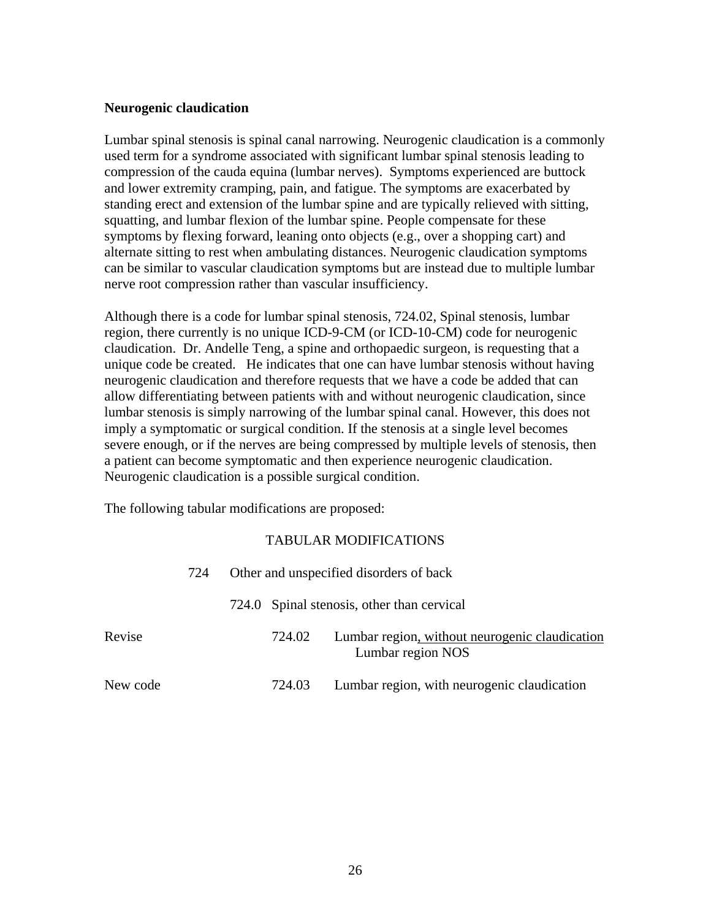#### <span id="page-25-0"></span>**Neurogenic claudication**

Lumbar spinal stenosis is spinal canal narrowing. Neurogenic claudication is a commonly used term for a syndrome associated with significant lumbar spinal stenosis leading to compression of the cauda equina (lumbar nerves). Symptoms experienced are buttock and lower extremity cramping, pain, and fatigue. The symptoms are exacerbated by standing erect and extension of the lumbar spine and are typically relieved with sitting, squatting, and lumbar flexion of the lumbar spine. People compensate for these symptoms by flexing forward, leaning onto objects (e.g., over a shopping cart) and alternate sitting to rest when ambulating distances. Neurogenic claudication symptoms can be similar to vascular claudication symptoms but are instead due to multiple lumbar nerve root compression rather than vascular insufficiency.

Although there is a code for lumbar spinal stenosis, 724.02, Spinal stenosis, lumbar region, there currently is no unique ICD-9-CM (or ICD-10-CM) code for neurogenic claudication. Dr. Andelle Teng, a spine and orthopaedic surgeon, is requesting that a unique code be created. He indicates that one can have lumbar stenosis without having neurogenic claudication and therefore requests that we have a code be added that can allow differentiating between patients with and without neurogenic claudication, since lumbar stenosis is simply narrowing of the lumbar spinal canal. However, this does not imply a symptomatic or surgical condition. If the stenosis at a single level becomes severe enough, or if the nerves are being compressed by multiple levels of stenosis, then a patient can become symptomatic and then experience neurogenic claudication. Neurogenic claudication is a possible surgical condition.

The following tabular modifications are proposed:

| 724      |  |        | Other and unspecified disorders of back                             |  |  |
|----------|--|--------|---------------------------------------------------------------------|--|--|
|          |  |        | 724.0 Spinal stenosis, other than cervical                          |  |  |
| Revise   |  | 724.02 | Lumbar region, without neurogenic claudication<br>Lumbar region NOS |  |  |
| New code |  | 724.03 | Lumbar region, with neurogenic claudication                         |  |  |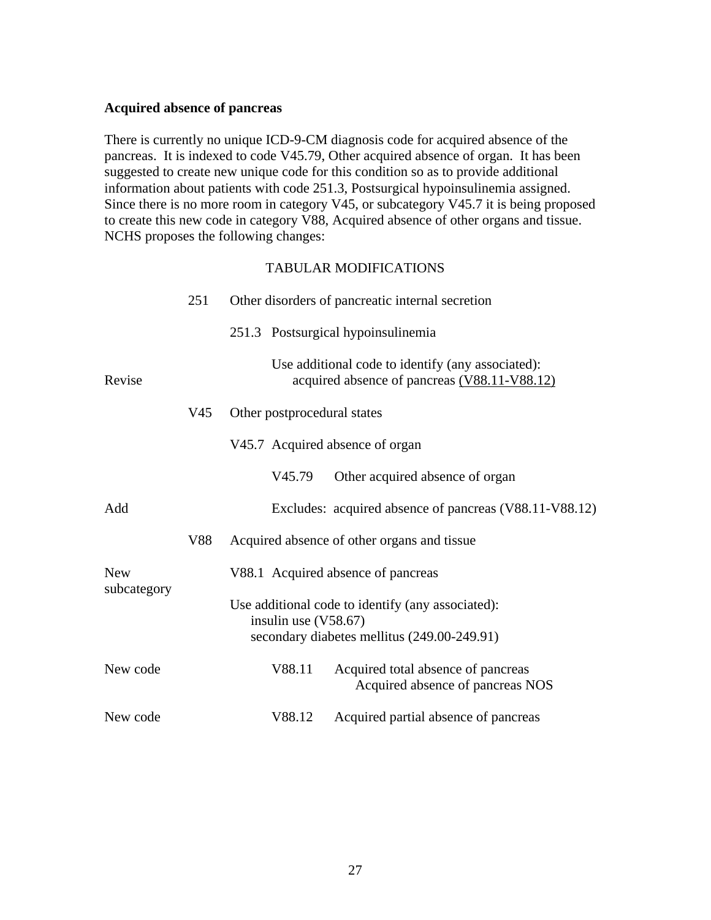#### <span id="page-26-0"></span>**Acquired absence of pancreas**

There is currently no unique ICD-9-CM diagnosis code for acquired absence of the pancreas. It is indexed to code V45.79, Other acquired absence of organ. It has been suggested to create new unique code for this condition so as to provide additional information about patients with code 251.3, Postsurgical hypoinsulinemia assigned. Since there is no more room in category V45, or subcategory V45.7 it is being proposed to create this new code in category V88, Acquired absence of other organs and tissue. NCHS proposes the following changes:

|             | 251             | Other disorders of pancreatic internal secretion                                                                           |
|-------------|-----------------|----------------------------------------------------------------------------------------------------------------------------|
|             |                 | 251.3 Postsurgical hypoinsulinemia                                                                                         |
| Revise      |                 | Use additional code to identify (any associated):<br>acquired absence of pancreas (V88.11-V88.12)                          |
|             | V <sub>45</sub> | Other postprocedural states                                                                                                |
|             |                 | V45.7 Acquired absence of organ                                                                                            |
|             |                 | Other acquired absence of organ<br>V45.79                                                                                  |
| Add         |                 | Excludes: acquired absence of pancreas (V88.11-V88.12)                                                                     |
|             | V88             | Acquired absence of other organs and tissue                                                                                |
| <b>New</b>  |                 | V88.1 Acquired absence of pancreas                                                                                         |
| subcategory |                 | Use additional code to identify (any associated):<br>insulin use $(V58.67)$<br>secondary diabetes mellitus (249.00-249.91) |
| New code    |                 | Acquired total absence of pancreas<br>V88.11<br>Acquired absence of pancreas NOS                                           |
| New code    |                 | Acquired partial absence of pancreas<br>V88.12                                                                             |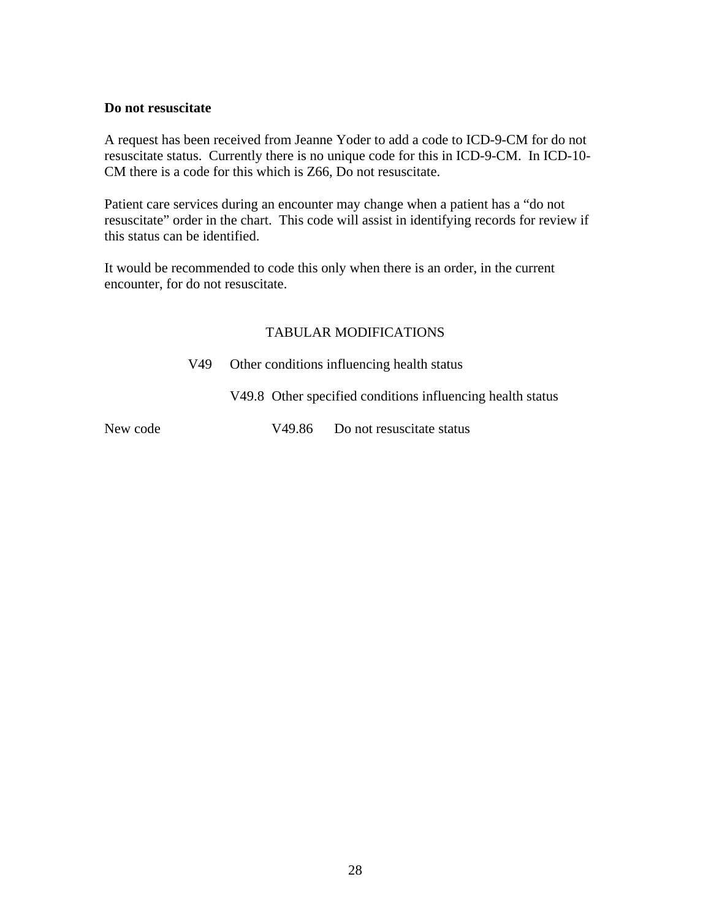#### <span id="page-27-0"></span>**Do not resuscitate**

A request has been received from Jeanne Yoder to add a code to ICD-9-CM for do not resuscitate status. Currently there is no unique code for this in ICD-9-CM. In ICD-10- CM there is a code for this which is Z66, Do not resuscitate.

Patient care services during an encounter may change when a patient has a "do not resuscitate" order in the chart. This code will assist in identifying records for review if this status can be identified.

It would be recommended to code this only when there is an order, in the current encounter, for do not resuscitate.

#### TABULAR MODIFICATIONS

V49 Other conditions influencing health status

V49.8 Other specified conditions influencing health status

New code V49.86 Do not resuscitate status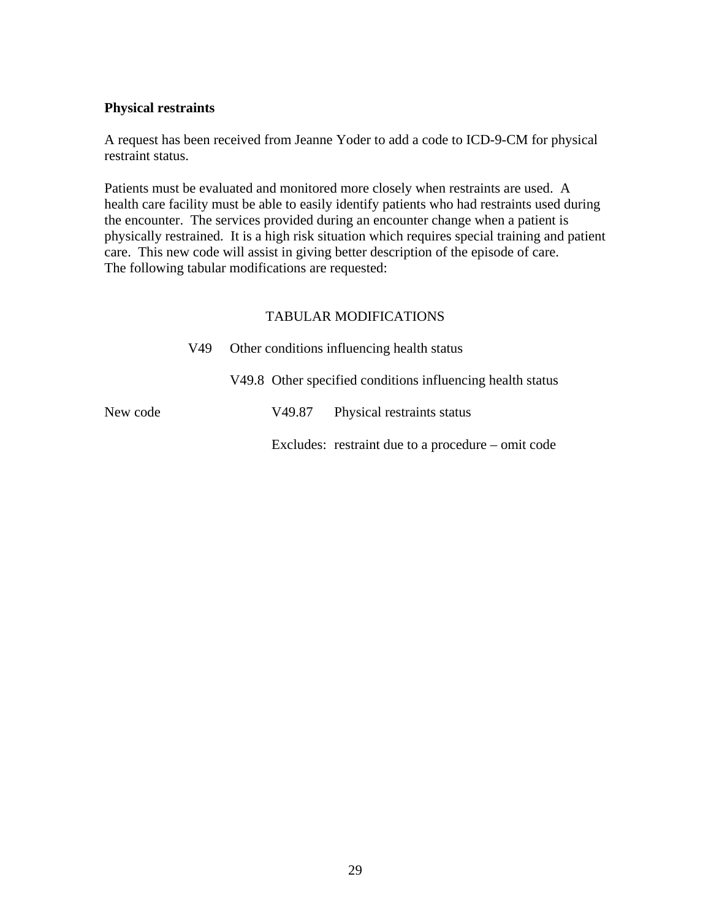#### <span id="page-28-0"></span>**Physical restraints**

A request has been received from Jeanne Yoder to add a code to ICD-9-CM for physical restraint status.

Patients must be evaluated and monitored more closely when restraints are used. A health care facility must be able to easily identify patients who had restraints used during the encounter. The services provided during an encounter change when a patient is physically restrained. It is a high risk situation which requires special training and patient care. This new code will assist in giving better description of the episode of care. The following tabular modifications are requested:

|          | V49. | Other conditions influencing health status |        |                                                            |
|----------|------|--------------------------------------------|--------|------------------------------------------------------------|
|          |      |                                            |        | V49.8 Other specified conditions influencing health status |
| New code |      |                                            | V49.87 | Physical restraints status                                 |
|          |      |                                            |        | Excludes: restraint due to a procedure $-$ omit code       |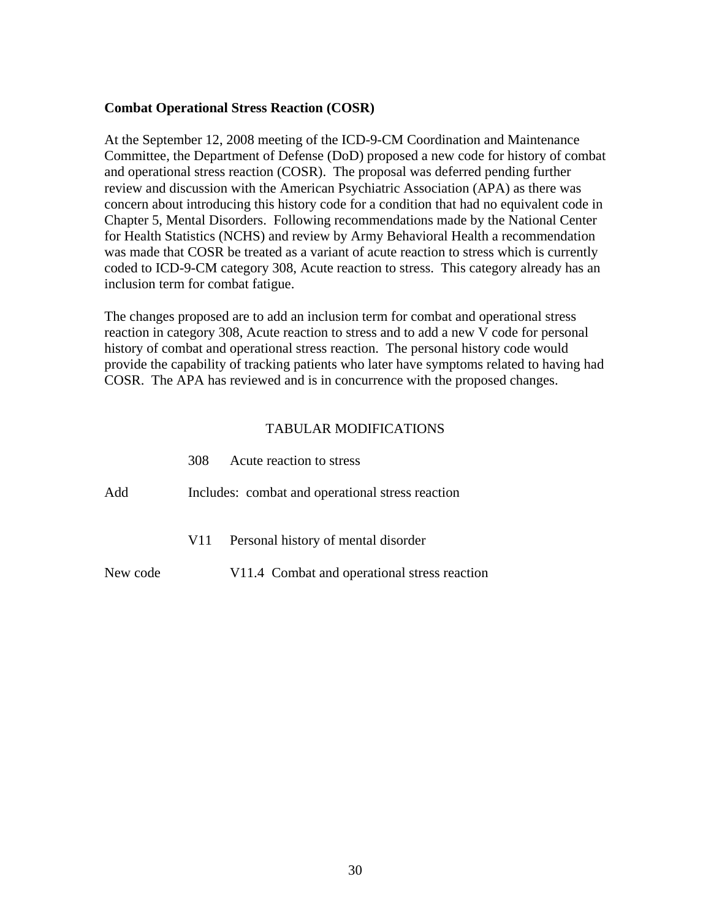#### <span id="page-29-0"></span>**Combat Operational Stress Reaction (COSR)**

At the September 12, 2008 meeting of the ICD-9-CM Coordination and Maintenance Committee, the Department of Defense (DoD) proposed a new code for history of combat and operational stress reaction (COSR). The proposal was deferred pending further review and discussion with the American Psychiatric Association (APA) as there was concern about introducing this history code for a condition that had no equivalent code in Chapter 5, Mental Disorders. Following recommendations made by the National Center for Health Statistics (NCHS) and review by Army Behavioral Health a recommendation was made that COSR be treated as a variant of acute reaction to stress which is currently coded to ICD-9-CM category 308, Acute reaction to stress. This category already has an inclusion term for combat fatigue.

The changes proposed are to add an inclusion term for combat and operational stress reaction in category 308, Acute reaction to stress and to add a new V code for personal history of combat and operational stress reaction. The personal history code would provide the capability of tracking patients who later have symptoms related to having had COSR. The APA has reviewed and is in concurrence with the proposed changes.

|          | 308                                              | Acute reaction to stress                     |  |  |  |
|----------|--------------------------------------------------|----------------------------------------------|--|--|--|
| Add      | Includes: combat and operational stress reaction |                                              |  |  |  |
|          | V <sub>1</sub>                                   | Personal history of mental disorder          |  |  |  |
| New code |                                                  | V11.4 Combat and operational stress reaction |  |  |  |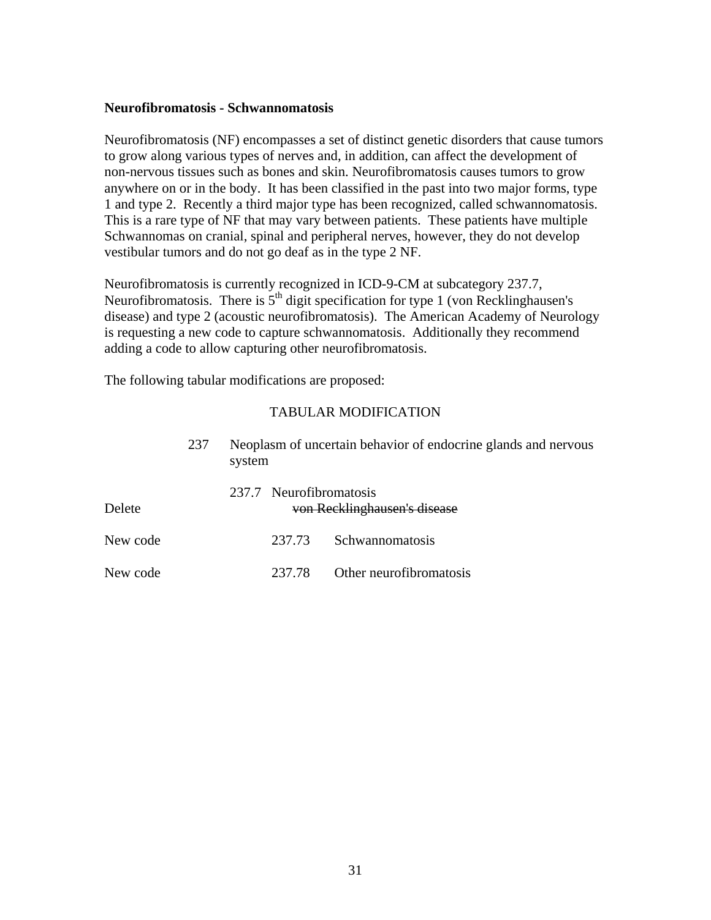#### <span id="page-30-0"></span>**Neurofibromatosis - Schwannomatosis**

Neurofibromatosis (NF) encompasses a set of distinct genetic disorders that cause tumors to grow along various types of nerves and, in addition, can affect the development of non-nervous tissues such as bones and skin. Neurofibromatosis causes tumors to grow anywhere on or in the body. It has been classified in the past into two major forms, type 1 and type 2. Recently a third major type has been recognized, called schwannomatosis. This is a rare type of NF that may vary between patients. These patients have multiple Schwannomas on cranial, spinal and peripheral nerves, however, they do not develop vestibular tumors and do not go deaf as in the type 2 NF.

Neurofibromatosis is currently recognized in ICD-9-CM at subcategory 237.7, Neurofibromatosis. There is  $5<sup>th</sup>$  digit specification for type 1 (von Recklinghausen's disease) and type 2 (acoustic neurofibromatosis). The American Academy of Neurology is requesting a new code to capture schwannomatosis. Additionally they recommend adding a code to allow capturing other neurofibromatosis.

The following tabular modifications are proposed:

|          | 237 | system                  | Neoplasm of uncertain behavior of endocrine glands and nervous |
|----------|-----|-------------------------|----------------------------------------------------------------|
| Delete   |     | 237.7 Neurofibromatosis | von Recklinghausen's disease                                   |
| New code |     | 237.73                  | Schwannomatosis                                                |
| New code |     | 237.78                  | Other neurofibromatosis                                        |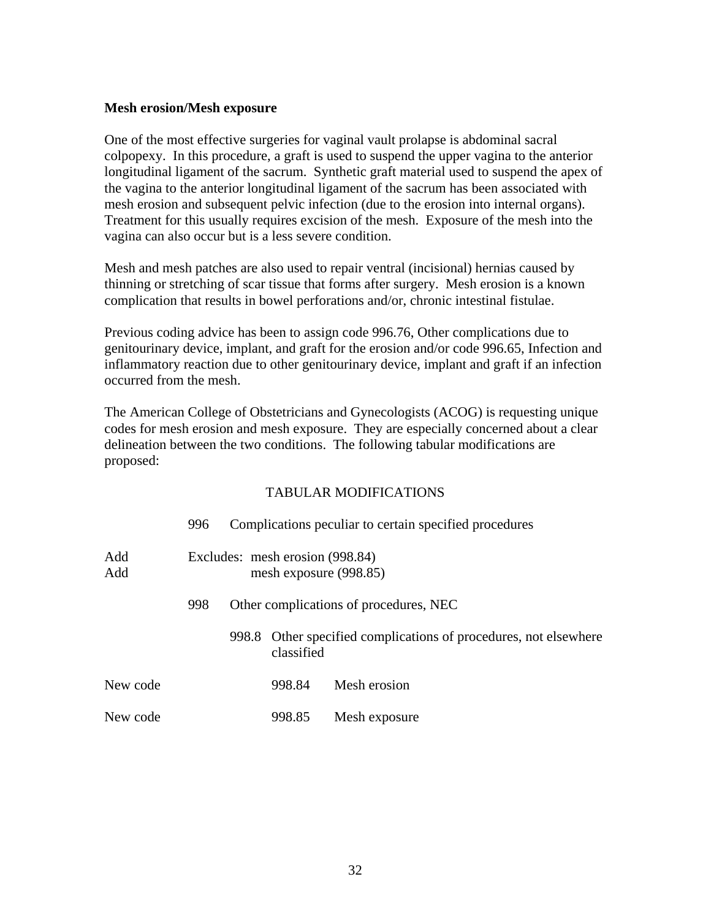#### <span id="page-31-0"></span>**Mesh erosion/Mesh exposure**

One of the most effective surgeries for vaginal vault prolapse is abdominal sacral colpopexy. In this procedure, a graft is used to suspend the upper vagina to the anterior longitudinal ligament of the sacrum. Synthetic graft material used to suspend the apex of the vagina to the anterior longitudinal ligament of the sacrum has been associated with mesh erosion and subsequent pelvic infection (due to the erosion into internal organs). Treatment for this usually requires excision of the mesh. Exposure of the mesh into the vagina can also occur but is a less severe condition.

Mesh and mesh patches are also used to repair ventral (incisional) hernias caused by thinning or stretching of scar tissue that forms after surgery. Mesh erosion is a known complication that results in bowel perforations and/or, chronic intestinal fistulae.

Previous coding advice has been to assign code 996.76, Other complications due to genitourinary device, implant, and graft for the erosion and/or code 996.65, Infection and inflammatory reaction due to other genitourinary device, implant and graft if an infection occurred from the mesh.

The American College of Obstetricians and Gynecologists (ACOG) is requesting unique codes for mesh erosion and mesh exposure. They are especially concerned about a clear delineation between the two conditions. The following tabular modifications are proposed:

|            | 996 |                                                           |            | Complications peculiar to certain specified procedures           |  |
|------------|-----|-----------------------------------------------------------|------------|------------------------------------------------------------------|--|
| Add<br>Add |     | Excludes: mesh erosion (998.84)<br>mesh exposure (998.85) |            |                                                                  |  |
|            | 998 |                                                           |            | Other complications of procedures, NEC                           |  |
|            |     |                                                           | classified | 998.8 Other specified complications of procedures, not elsewhere |  |
| New code   |     |                                                           | 998.84     | Mesh erosion                                                     |  |
| New code   |     |                                                           | 998.85     | Mesh exposure                                                    |  |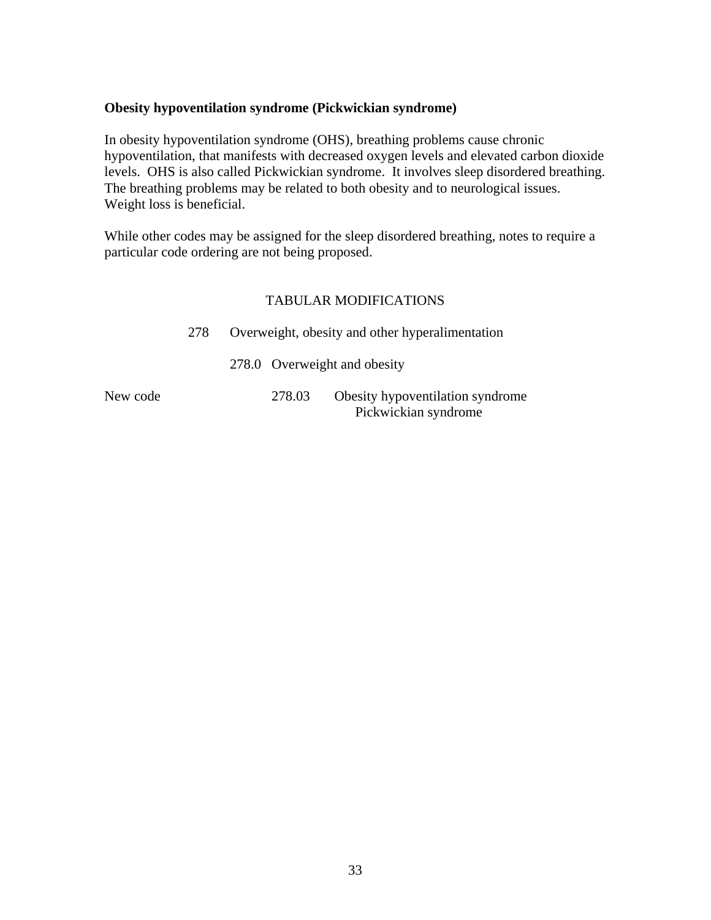#### <span id="page-32-0"></span>**Obesity hypoventilation syndrome (Pickwickian syndrome)**

In obesity hypoventilation syndrome (OHS), breathing problems cause chronic hypoventilation, that manifests with decreased oxygen levels and elevated carbon dioxide levels. OHS is also called Pickwickian syndrome. It involves sleep disordered breathing. The breathing problems may be related to both obesity and to neurological issues. Weight loss is beneficial.

While other codes may be assigned for the sleep disordered breathing, notes to require a particular code ordering are not being proposed.

#### TABULAR MODIFICATIONS

|          | 278 | Overweight, obesity and other hyperalimentation |                                                          |  |  |
|----------|-----|-------------------------------------------------|----------------------------------------------------------|--|--|
|          |     | 278.0 Overweight and obesity                    |                                                          |  |  |
| New code |     | 278.03                                          | Obesity hypoventilation syndrome<br>Pickwickian syndrome |  |  |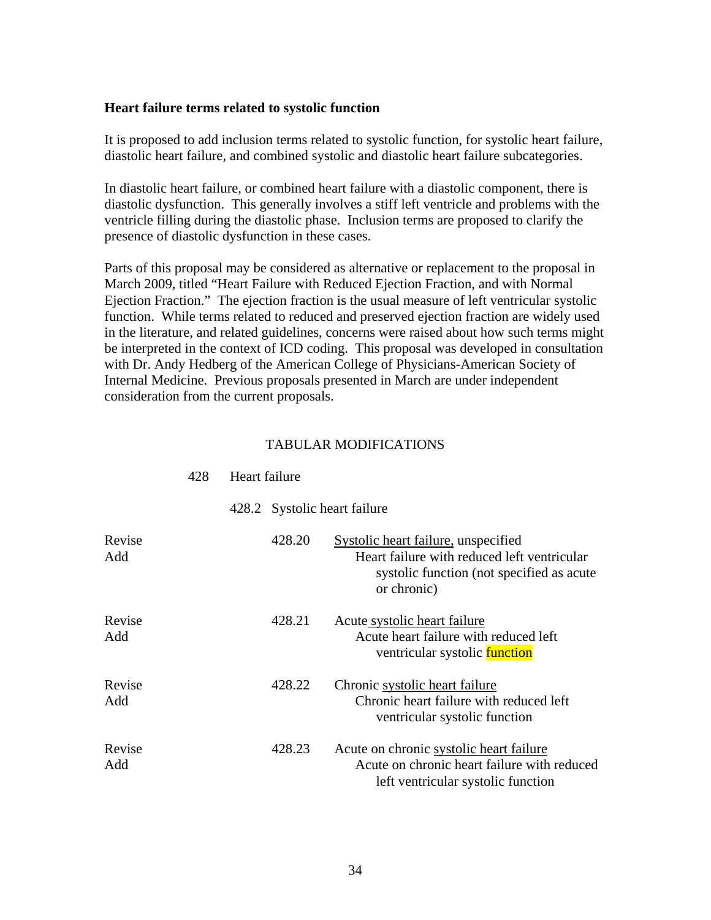#### <span id="page-33-0"></span>**Heart failure terms related to systolic function**

It is proposed to add inclusion terms related to systolic function, for systolic heart failure, diastolic heart failure, and combined systolic and diastolic heart failure subcategories.

In diastolic heart failure, or combined heart failure with a diastolic component, there is diastolic dysfunction. This generally involves a stiff left ventricle and problems with the ventricle filling during the diastolic phase. Inclusion terms are proposed to clarify the presence of diastolic dysfunction in these cases.

Parts of this proposal may be considered as alternative or replacement to the proposal in March 2009, titled "Heart Failure with Reduced Ejection Fraction, and with Normal Ejection Fraction." The ejection fraction is the usual measure of left ventricular systolic function. While terms related to reduced and preserved ejection fraction are widely used in the literature, and related guidelines, concerns were raised about how such terms might be interpreted in the context of ICD coding. This proposal was developed in consultation with Dr. Andy Hedberg of the American College of Physicians-American Society of Internal Medicine. Previous proposals presented in March are under independent consideration from the current proposals.

|               | 428 | Heart failure |                              |                                                                                                                                                |
|---------------|-----|---------------|------------------------------|------------------------------------------------------------------------------------------------------------------------------------------------|
|               |     |               | 428.2 Systolic heart failure |                                                                                                                                                |
| Revise<br>Add |     |               | 428.20                       | Systolic heart failure, unspecified<br>Heart failure with reduced left ventricular<br>systolic function (not specified as acute<br>or chronic) |
| Revise<br>Add |     |               | 428.21                       | Acute systolic heart failure<br>Acute heart failure with reduced left<br>ventricular systolic function                                         |
| Revise<br>Add |     |               | 428.22                       | Chronic systolic heart failure<br>Chronic heart failure with reduced left<br>ventricular systolic function                                     |
| Revise<br>Add |     |               | 428.23                       | Acute on chronic systolic heart failure<br>Acute on chronic heart failure with reduced<br>left ventricular systolic function                   |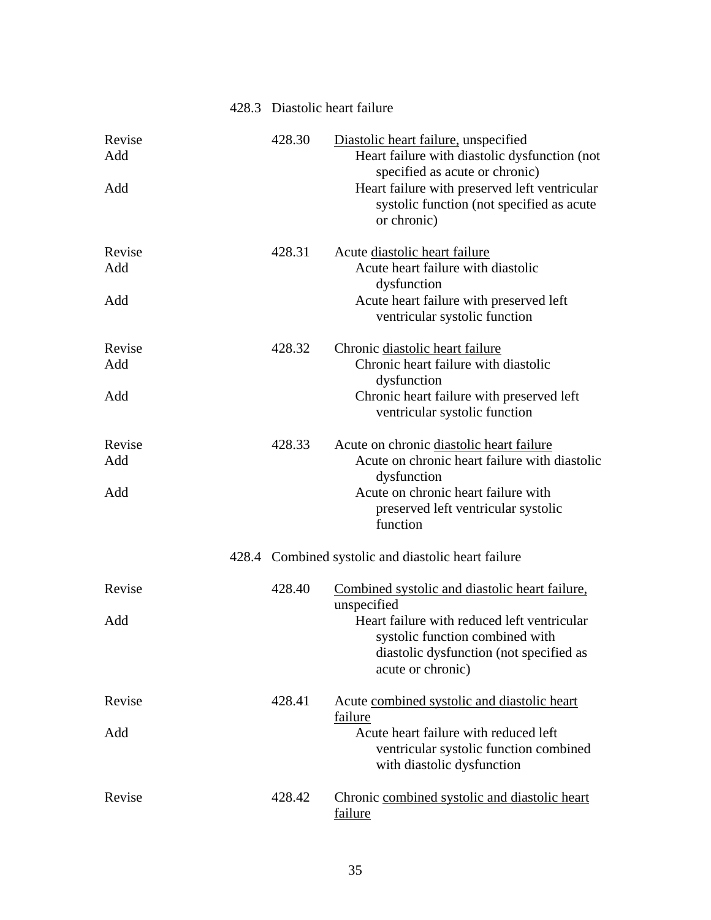|                      | 428.3 Diastolic heart failure |                                                                                                                                                                                                                                      |
|----------------------|-------------------------------|--------------------------------------------------------------------------------------------------------------------------------------------------------------------------------------------------------------------------------------|
| Revise<br>Add<br>Add | 428.30                        | Diastolic heart failure, unspecified<br>Heart failure with diastolic dysfunction (not<br>specified as acute or chronic)<br>Heart failure with preserved left ventricular<br>systolic function (not specified as acute<br>or chronic) |
| Revise<br>Add<br>Add | 428.31                        | Acute diastolic heart failure<br>Acute heart failure with diastolic<br>dysfunction<br>Acute heart failure with preserved left<br>ventricular systolic function                                                                       |
| Revise<br>Add<br>Add | 428.32                        | Chronic diastolic heart failure<br>Chronic heart failure with diastolic<br>dysfunction<br>Chronic heart failure with preserved left<br>ventricular systolic function                                                                 |
| Revise<br>Add<br>Add | 428.33                        | Acute on chronic diastolic heart failure<br>Acute on chronic heart failure with diastolic<br>dysfunction<br>Acute on chronic heart failure with<br>preserved left ventricular systolic<br>function                                   |
|                      |                               | 428.4 Combined systolic and diastolic heart failure                                                                                                                                                                                  |
| Revise<br>Add        | 428.40                        | Combined systolic and diastolic heart failure,<br>unspecified<br>Heart failure with reduced left ventricular<br>systolic function combined with<br>diastolic dysfunction (not specified as<br>acute or chronic)                      |
| Revise<br>Add        | 428.41                        | Acute combined systolic and diastolic heart<br>failure<br>Acute heart failure with reduced left<br>ventricular systolic function combined<br>with diastolic dysfunction                                                              |
| Revise               | 428.42                        | Chronic combined systolic and diastolic heart<br>failure                                                                                                                                                                             |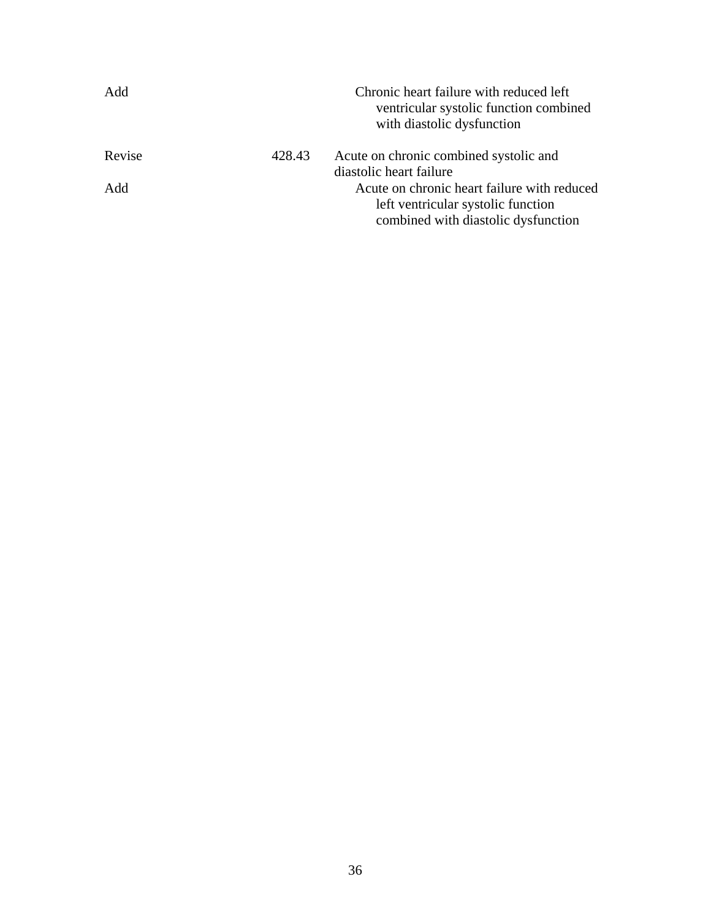| Add    |        | Chronic heart failure with reduced left<br>ventricular systolic function combined<br>with diastolic dysfunction |
|--------|--------|-----------------------------------------------------------------------------------------------------------------|
| Revise | 428.43 | Acute on chronic combined systolic and                                                                          |
|        |        | diastolic heart failure                                                                                         |
| Add    |        | Acute on chronic heart failure with reduced                                                                     |
|        |        | left ventricular systolic function                                                                              |
|        |        | combined with diastolic dysfunction                                                                             |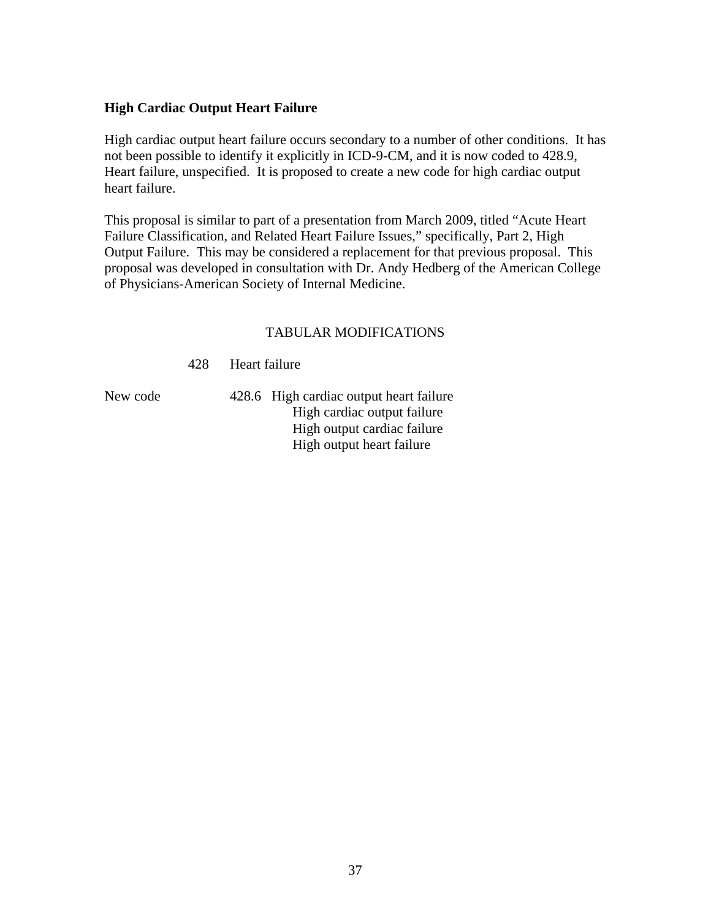#### <span id="page-36-0"></span>**High Cardiac Output Heart Failure**

High cardiac output heart failure occurs secondary to a number of other conditions. It has not been possible to identify it explicitly in ICD-9-CM, and it is now coded to 428.9, Heart failure, unspecified. It is proposed to create a new code for high cardiac output heart failure.

This proposal is similar to part of a presentation from March 2009, titled "Acute Heart Failure Classification, and Related Heart Failure Issues," specifically, Part 2, High Output Failure. This may be considered a replacement for that previous proposal. This proposal was developed in consultation with Dr. Andy Hedberg of the American College of Physicians-American Society of Internal Medicine.

#### TABULAR MODIFICATIONS

428 Heart failure

New code 428.6 High cardiac output heart failure High cardiac output failure High output cardiac failure High output heart failure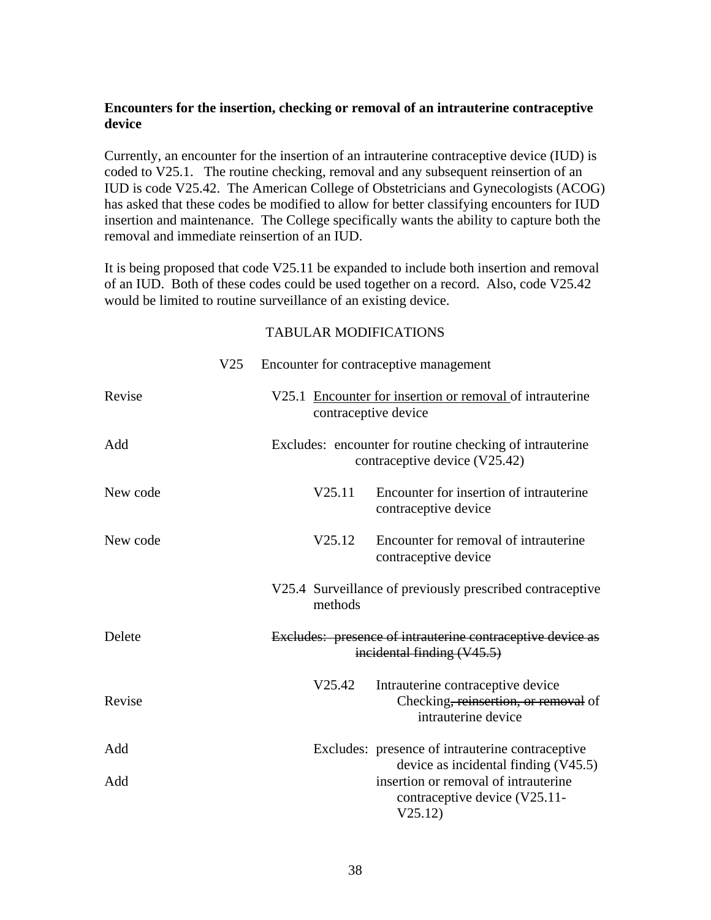#### <span id="page-37-0"></span>**Encounters for the insertion, checking or removal of an intrauterine contraceptive device**

Currently, an encounter for the insertion of an intrauterine contraceptive device (IUD) is coded to V25.1. The routine checking, removal and any subsequent reinsertion of an IUD is code V25.42. The American College of Obstetricians and Gynecologists (ACOG) has asked that these codes be modified to allow for better classifying encounters for IUD insertion and maintenance. The College specifically wants the ability to capture both the removal and immediate reinsertion of an IUD.

It is being proposed that code V25.11 be expanded to include both insertion and removal of an IUD. Both of these codes could be used together on a record. Also, code V25.42 would be limited to routine surveillance of an existing device.

|          | V <sub>25</sub> |                      | Encounter for contraceptive management                                                                                    |
|----------|-----------------|----------------------|---------------------------------------------------------------------------------------------------------------------------|
| Revise   |                 | contraceptive device | V25.1 Encounter for insertion or removal of intrauterine                                                                  |
| Add      |                 |                      | Excludes: encounter for routine checking of intrauterine<br>contraceptive device (V25.42)                                 |
| New code |                 | V25.11               | Encounter for insertion of intrauterine<br>contraceptive device                                                           |
| New code |                 | V25.12               | Encounter for removal of intrauterine<br>contraceptive device                                                             |
|          |                 | methods              | V25.4 Surveillance of previously prescribed contraceptive                                                                 |
| Delete   |                 |                      | Excludes: presence of intrauterine contraceptive device as<br>incidental finding (V45.5)                                  |
| Revise   |                 | V25.42               | Intrauterine contraceptive device<br>Checking, reinsertion, or removal of<br>intrauterine device                          |
| Add      |                 |                      | Excludes: presence of intrauterine contraceptive                                                                          |
| Add      |                 |                      | device as incidental finding $(V45.5)$<br>insertion or removal of intrauterine<br>contraceptive device (V25.11-<br>V25.12 |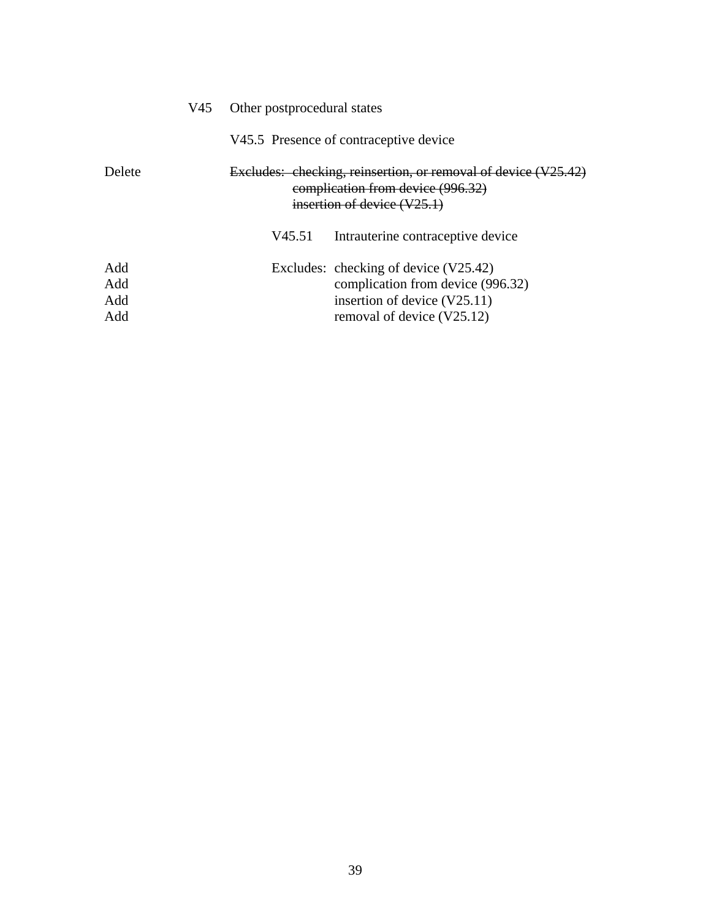|        | V45 | Other postprocedural states<br>V45.5 Presence of contraceptive device                                                                |                                       |  |  |  |
|--------|-----|--------------------------------------------------------------------------------------------------------------------------------------|---------------------------------------|--|--|--|
|        |     |                                                                                                                                      |                                       |  |  |  |
| Delete |     | Excludes: checking, reinsertion, or removal of device (V25.42)<br>complication from device (996.32)<br>insertion of device $(V25.1)$ |                                       |  |  |  |
|        |     | V45.51                                                                                                                               | Intrauterine contraceptive device     |  |  |  |
| Add    |     |                                                                                                                                      | Excludes: checking of device (V25.42) |  |  |  |
| Add    |     |                                                                                                                                      | complication from device (996.32)     |  |  |  |
| Add    |     |                                                                                                                                      | insertion of device $(V25.11)$        |  |  |  |
| Add    |     |                                                                                                                                      | removal of device (V25.12)            |  |  |  |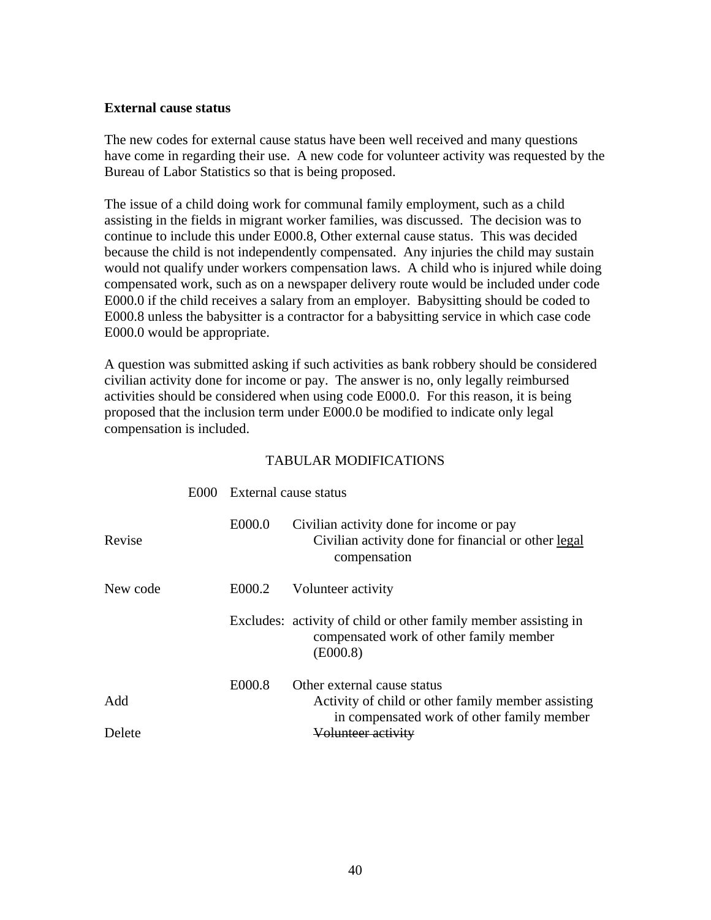#### <span id="page-39-0"></span>**External cause status**

The new codes for external cause status have been well received and many questions have come in regarding their use. A new code for volunteer activity was requested by the Bureau of Labor Statistics so that is being proposed.

The issue of a child doing work for communal family employment, such as a child assisting in the fields in migrant worker families, was discussed. The decision was to continue to include this under E000.8, Other external cause status. This was decided because the child is not independently compensated. Any injuries the child may sustain would not qualify under workers compensation laws. A child who is injured while doing compensated work, such as on a newspaper delivery route would be included under code E000.0 if the child receives a salary from an employer. Babysitting should be coded to E000.8 unless the babysitter is a contractor for a babysitting service in which case code E000.0 would be appropriate.

A question was submitted asking if such activities as bank robbery should be considered civilian activity done for income or pay. The answer is no, only legally reimbursed activities should be considered when using code E000.0. For this reason, it is being proposed that the inclusion term under E000.0 be modified to indicate only legal compensation is included.

|          | E000 | External cause status |                                                                                                                        |
|----------|------|-----------------------|------------------------------------------------------------------------------------------------------------------------|
| Revise   |      | E000.0                | Civilian activity done for income or pay<br>Civilian activity done for financial or other legal<br>compensation        |
| New code |      | E000.2                | Volunteer activity                                                                                                     |
|          |      |                       | Excludes: activity of child or other family member assisting in<br>compensated work of other family member<br>(E000.8) |
|          |      | E000.8                | Other external cause status                                                                                            |
| Add      |      |                       | Activity of child or other family member assisting<br>in compensated work of other family member                       |
| Delete   |      |                       | Volunteer activity                                                                                                     |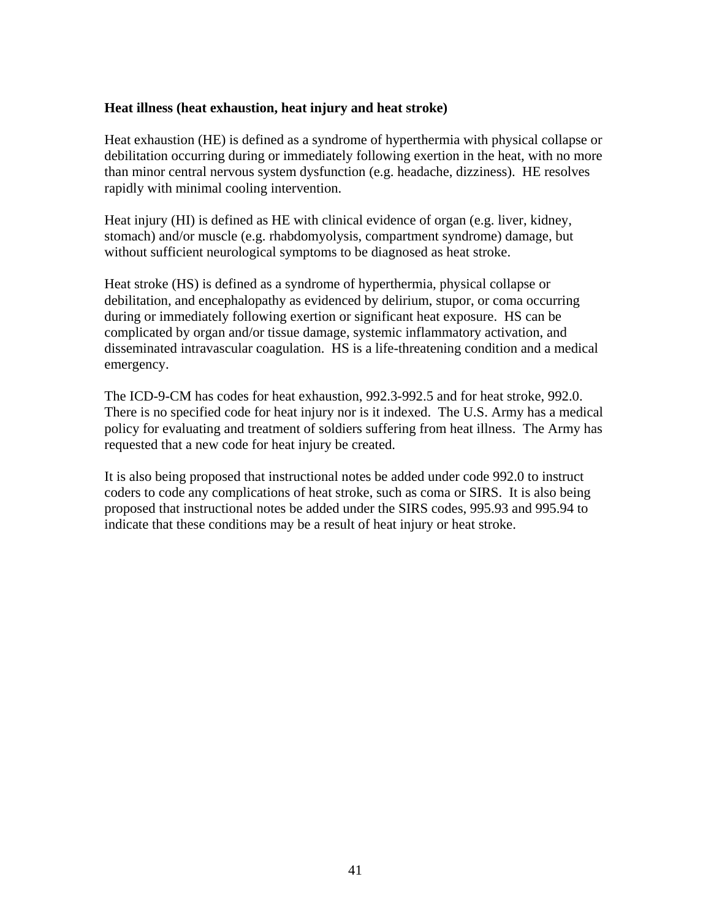#### <span id="page-40-0"></span>**Heat illness (heat exhaustion, heat injury and heat stroke)**

Heat exhaustion (HE) is defined as a syndrome of hyperthermia with physical collapse or debilitation occurring during or immediately following exertion in the heat, with no more than minor central nervous system dysfunction (e.g. headache, dizziness). HE resolves rapidly with minimal cooling intervention.

Heat injury (HI) is defined as HE with clinical evidence of organ (e.g. liver, kidney, stomach) and/or muscle (e.g. rhabdomyolysis, compartment syndrome) damage, but without sufficient neurological symptoms to be diagnosed as heat stroke.

Heat stroke (HS) is defined as a syndrome of hyperthermia, physical collapse or debilitation, and encephalopathy as evidenced by delirium, stupor, or coma occurring during or immediately following exertion or significant heat exposure. HS can be complicated by organ and/or tissue damage, systemic inflammatory activation, and disseminated intravascular coagulation. HS is a life-threatening condition and a medical emergency.

The ICD-9-CM has codes for heat exhaustion, 992.3-992.5 and for heat stroke, 992.0. There is no specified code for heat injury nor is it indexed. The U.S. Army has a medical policy for evaluating and treatment of soldiers suffering from heat illness. The Army has requested that a new code for heat injury be created.

It is also being proposed that instructional notes be added under code 992.0 to instruct coders to code any complications of heat stroke, such as coma or SIRS. It is also being proposed that instructional notes be added under the SIRS codes, 995.93 and 995.94 to indicate that these conditions may be a result of heat injury or heat stroke.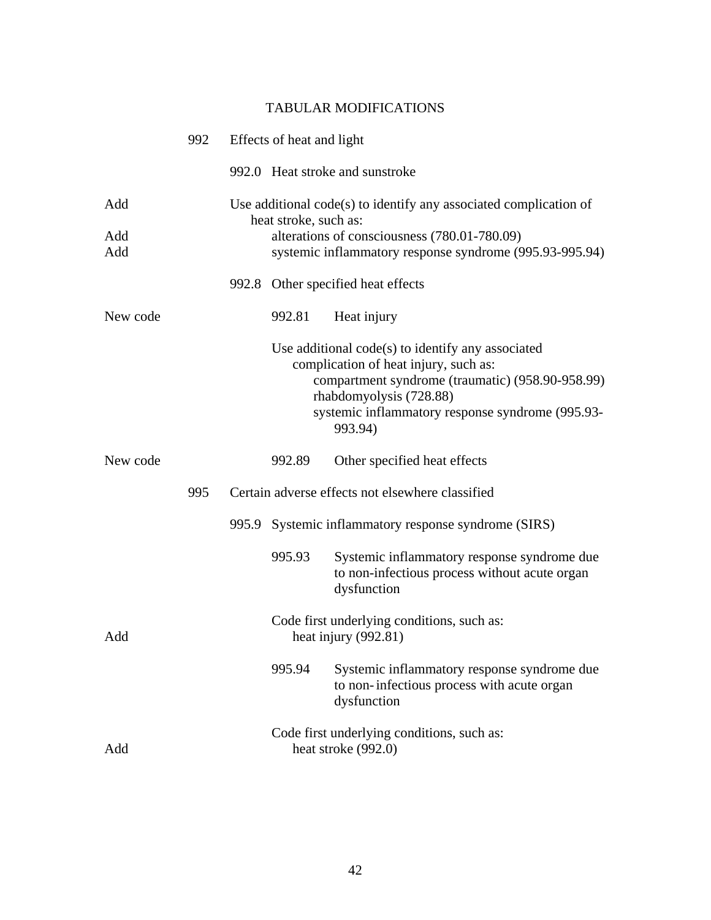|            | 992 | Effects of heat and light                                                                                                        |                                                                                                                                                                                                                                            |  |  |
|------------|-----|----------------------------------------------------------------------------------------------------------------------------------|--------------------------------------------------------------------------------------------------------------------------------------------------------------------------------------------------------------------------------------------|--|--|
|            |     |                                                                                                                                  | 992.0 Heat stroke and sunstroke                                                                                                                                                                                                            |  |  |
| Add        |     | Use additional code(s) to identify any associated complication of                                                                |                                                                                                                                                                                                                                            |  |  |
| Add<br>Add |     | heat stroke, such as:<br>alterations of consciousness (780.01-780.09)<br>systemic inflammatory response syndrome (995.93-995.94) |                                                                                                                                                                                                                                            |  |  |
|            |     |                                                                                                                                  | 992.8 Other specified heat effects                                                                                                                                                                                                         |  |  |
| New code   |     | 992.81                                                                                                                           | Heat injury                                                                                                                                                                                                                                |  |  |
|            |     |                                                                                                                                  | Use additional $code(s)$ to identify any associated<br>complication of heat injury, such as:<br>compartment syndrome (traumatic) (958.90-958.99)<br>rhabdomyolysis (728.88)<br>systemic inflammatory response syndrome (995.93-<br>993.94) |  |  |
| New code   |     | 992.89                                                                                                                           | Other specified heat effects                                                                                                                                                                                                               |  |  |
|            | 995 |                                                                                                                                  | Certain adverse effects not elsewhere classified                                                                                                                                                                                           |  |  |
|            |     |                                                                                                                                  | 995.9 Systemic inflammatory response syndrome (SIRS)                                                                                                                                                                                       |  |  |
|            |     | 995.93                                                                                                                           | Systemic inflammatory response syndrome due<br>to non-infectious process without acute organ<br>dysfunction                                                                                                                                |  |  |
| Add        |     |                                                                                                                                  | Code first underlying conditions, such as:<br>heat injury $(992.81)$                                                                                                                                                                       |  |  |
|            |     | 995.94                                                                                                                           | Systemic inflammatory response syndrome due<br>to non-infectious process with acute organ<br>dysfunction                                                                                                                                   |  |  |
| Add        |     |                                                                                                                                  | Code first underlying conditions, such as:<br>heat stroke (992.0)                                                                                                                                                                          |  |  |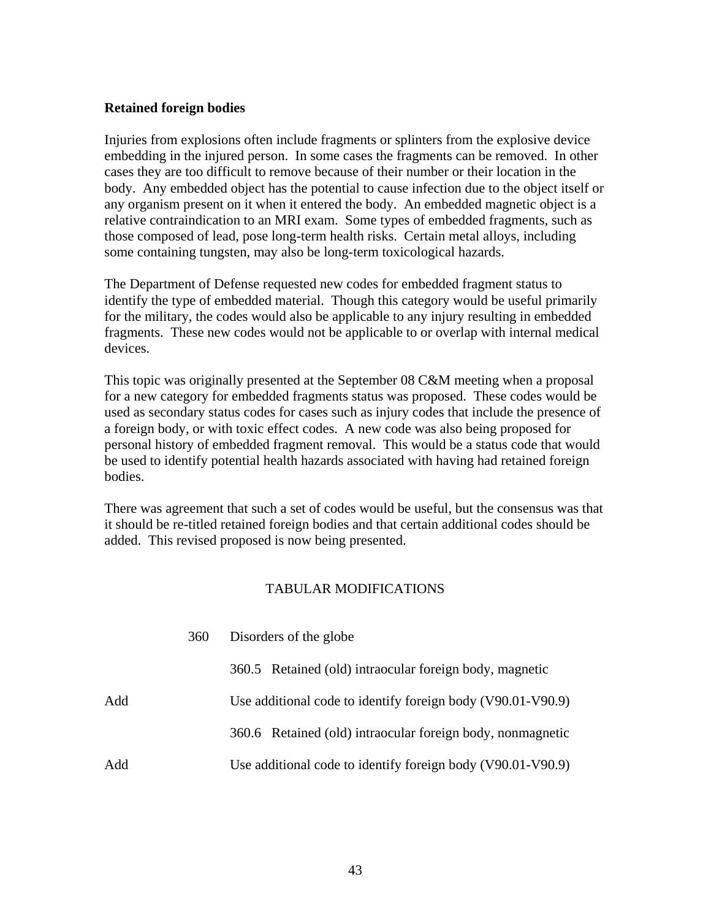#### <span id="page-42-0"></span>**Retained foreign bodies**

Injuries from explosions often include fragments or splinters from the explosive device embedding in the injured person. In some cases the fragments can be removed. In other cases they are too difficult to remove because of their number or their location in the body. Any embedded object has the potential to cause infection due to the object itself or any organism present on it when it entered the body. An embedded magnetic object is a relative contraindication to an MRI exam. Some types of embedded fragments, such as those composed of lead, pose long-term health risks. Certain metal alloys, including some containing tungsten, may also be long-term toxicological hazards.

The Department of Defense requested new codes for embedded fragment status to identify the type of embedded material. Though this category would be useful primarily for the military, the codes would also be applicable to any injury resulting in embedded fragments. These new codes would not be applicable to or overlap with internal medical devices.

This topic was originally presented at the September 08 C&M meeting when a proposal for a new category for embedded fragments status was proposed. These codes would be used as secondary status codes for cases such as injury codes that include the presence of a foreign body, or with toxic effect codes. A new code was also being proposed for personal history of embedded fragment removal. This would be a status code that would be used to identify potential health hazards associated with having had retained foreign bodies.

There was agreement that such a set of codes would be useful, but the consensus was that it should be re-titled retained foreign bodies and that certain additional codes should be added. This revised proposed is now being presented.

|     | 360 | Disorders of the globe                                      |  |  |
|-----|-----|-------------------------------------------------------------|--|--|
|     |     | 360.5 Retained (old) intraocular foreign body, magnetic     |  |  |
| Add |     | Use additional code to identify foreign body (V90.01-V90.9) |  |  |
|     |     | 360.6 Retained (old) intraocular foreign body, nonmagnetic  |  |  |
| Add |     | Use additional code to identify foreign body (V90.01-V90.9) |  |  |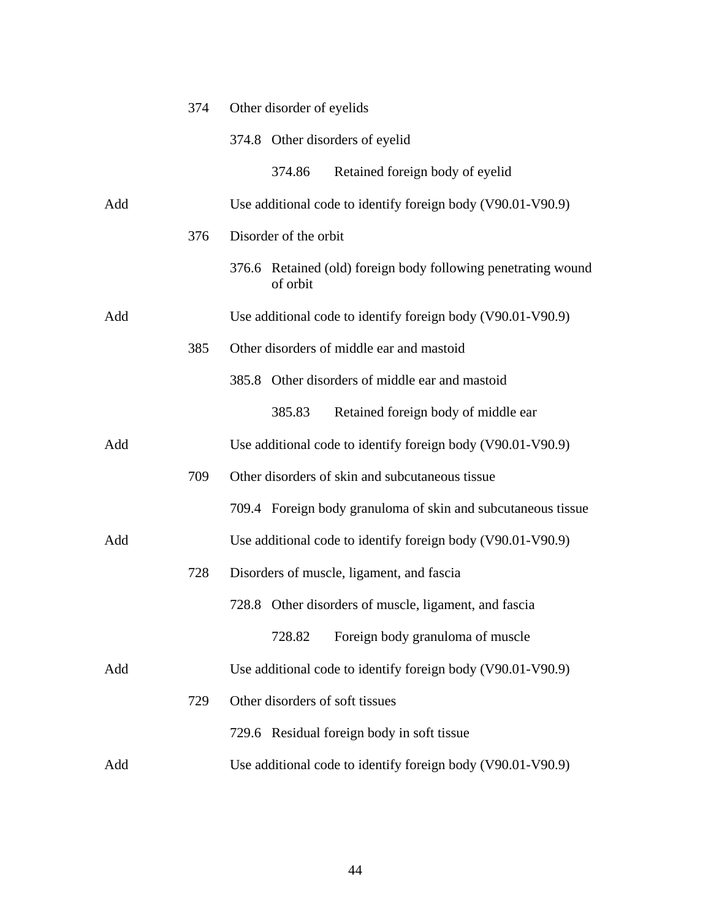|     | 374 | Other disorder of eyelids                                                 |  |  |
|-----|-----|---------------------------------------------------------------------------|--|--|
|     |     | 374.8 Other disorders of eyelid                                           |  |  |
|     |     | Retained foreign body of eyelid<br>374.86                                 |  |  |
| Add |     | Use additional code to identify foreign body (V90.01-V90.9)               |  |  |
|     | 376 | Disorder of the orbit                                                     |  |  |
|     |     | 376.6 Retained (old) foreign body following penetrating wound<br>of orbit |  |  |
| Add |     | Use additional code to identify foreign body (V90.01-V90.9)               |  |  |
|     | 385 | Other disorders of middle ear and mastoid                                 |  |  |
|     |     | 385.8 Other disorders of middle ear and mastoid                           |  |  |
|     |     | Retained foreign body of middle ear<br>385.83                             |  |  |
| Add |     | Use additional code to identify foreign body (V90.01-V90.9)               |  |  |
|     | 709 | Other disorders of skin and subcutaneous tissue                           |  |  |
|     |     | 709.4 Foreign body granuloma of skin and subcutaneous tissue              |  |  |
| Add |     | Use additional code to identify foreign body (V90.01-V90.9)               |  |  |
|     | 728 | Disorders of muscle, ligament, and fascia                                 |  |  |
|     |     | 728.8 Other disorders of muscle, ligament, and fascia                     |  |  |
|     |     | Foreign body granuloma of muscle<br>728.82                                |  |  |
| Add |     | Use additional code to identify foreign body (V90.01-V90.9)               |  |  |
|     | 729 | Other disorders of soft tissues                                           |  |  |
|     |     | 729.6 Residual foreign body in soft tissue                                |  |  |
| Add |     | Use additional code to identify foreign body (V90.01-V90.9)               |  |  |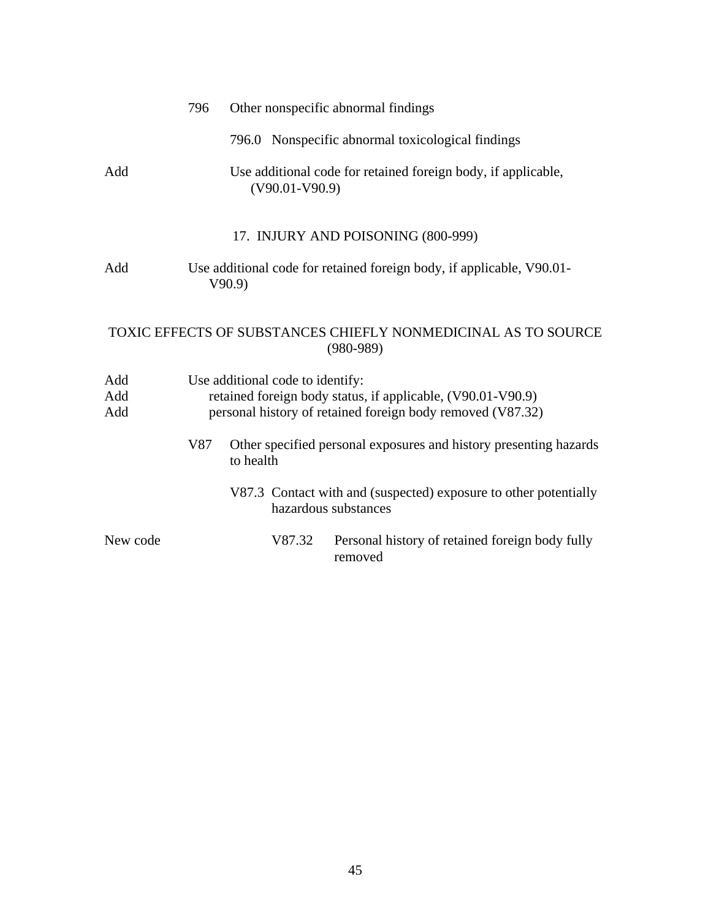|                   | 796 |                                  | Other nonspecific abnormal findings                                                                                       |
|-------------------|-----|----------------------------------|---------------------------------------------------------------------------------------------------------------------------|
|                   |     |                                  | 796.0 Nonspecific abnormal toxicological findings                                                                         |
| Add               |     | $(V90.01-V90.9)$                 | Use additional code for retained foreign body, if applicable,                                                             |
|                   |     |                                  | 17. INJURY AND POISONING (800-999)                                                                                        |
| Add               |     | V90.9                            | Use additional code for retained foreign body, if applicable, V90.01-                                                     |
|                   |     |                                  | TOXIC EFFECTS OF SUBSTANCES CHIEFLY NONMEDICINAL AS TO SOURCE<br>$(980-989)$                                              |
| Add<br>Add<br>Add |     | Use additional code to identify: | retained foreign body status, if applicable, (V90.01-V90.9)<br>personal history of retained foreign body removed (V87.32) |
|                   | V87 | to health                        | Other specified personal exposures and history presenting hazards                                                         |
|                   |     |                                  | V87.3 Contact with and (suspected) exposure to other potentially<br>hazardous substances                                  |
| New code          |     | V87.32                           | Personal history of retained foreign body fully<br>removed                                                                |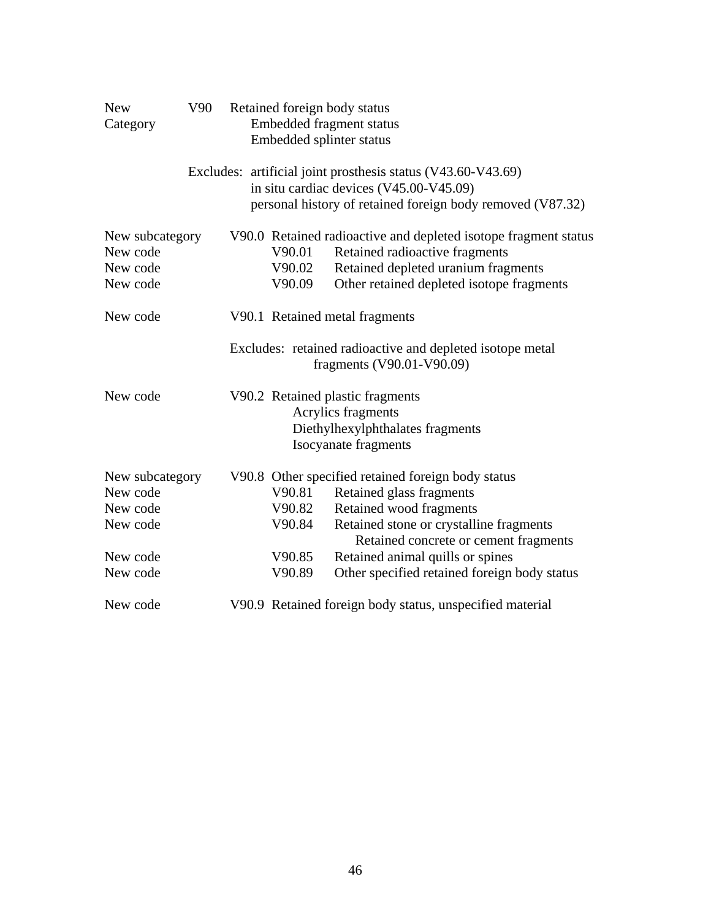| <b>New</b><br>Category                              | V90 |                            | Retained foreign body status<br>Embedded fragment status<br>Embedded splinter status                                                                                                  |
|-----------------------------------------------------|-----|----------------------------|---------------------------------------------------------------------------------------------------------------------------------------------------------------------------------------|
|                                                     |     |                            | Excludes: artificial joint prosthesis status (V43.60-V43.69)<br>in situ cardiac devices (V45.00-V45.09)<br>personal history of retained foreign body removed (V87.32)                 |
| New subcategory<br>New code<br>New code<br>New code |     | V90.01<br>V90.02<br>V90.09 | V90.0 Retained radioactive and depleted isotope fragment status<br>Retained radioactive fragments<br>Retained depleted uranium fragments<br>Other retained depleted isotope fragments |
| New code                                            |     |                            | V90.1 Retained metal fragments                                                                                                                                                        |
|                                                     |     |                            | Excludes: retained radioactive and depleted isotope metal<br>fragments (V90.01-V90.09)                                                                                                |
| New code                                            |     |                            | V90.2 Retained plastic fragments<br>Acrylics fragments<br>Diethylhexylphthalates fragments<br><b>Isocyanate</b> fragments                                                             |
| New subcategory<br>New code                         |     | V90.81                     | V90.8 Other specified retained foreign body status                                                                                                                                    |
| New code                                            |     | V90.82                     | Retained glass fragments<br>Retained wood fragments                                                                                                                                   |
| New code                                            |     | V90.84                     | Retained stone or crystalline fragments<br>Retained concrete or cement fragments                                                                                                      |
| New code                                            |     | V90.85                     | Retained animal quills or spines                                                                                                                                                      |
| New code                                            |     | V90.89                     | Other specified retained foreign body status                                                                                                                                          |
| New code                                            |     |                            | V90.9 Retained foreign body status, unspecified material                                                                                                                              |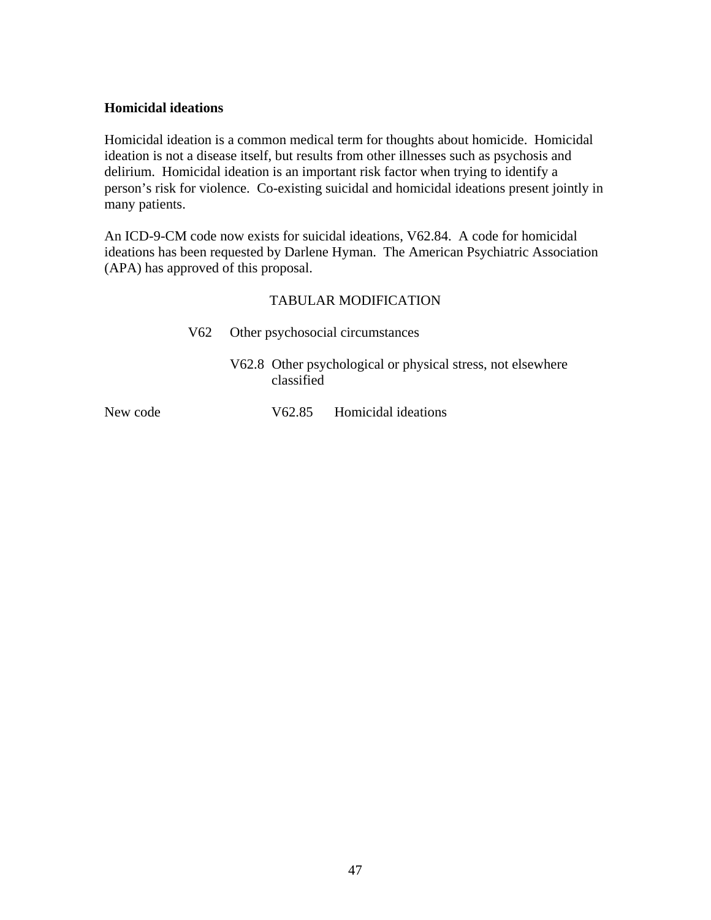#### <span id="page-46-0"></span>**Homicidal ideations**

Homicidal ideation is a common medical term for thoughts about homicide. Homicidal ideation is not a disease itself, but results from other illnesses such as psychosis and delirium. Homicidal ideation is an important risk factor when trying to identify a person's risk for violence. Co-existing suicidal and homicidal ideations present jointly in many patients.

An ICD-9-CM code now exists for suicidal ideations, V62.84. A code for homicidal ideations has been requested by Darlene Hyman. The American Psychiatric Association (APA) has approved of this proposal.

|          | V62 | Other psychosocial circumstances                                          |
|----------|-----|---------------------------------------------------------------------------|
|          |     | V62.8 Other psychological or physical stress, not elsewhere<br>classified |
| New code |     | V62.85 Homicidal ideations                                                |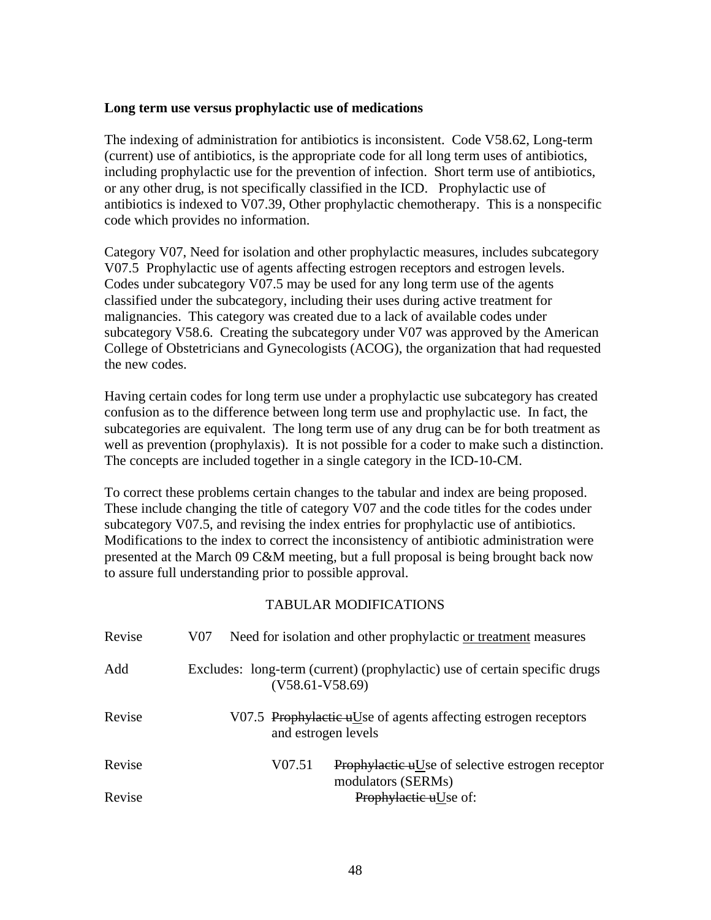#### <span id="page-47-0"></span>**Long term use versus prophylactic use of medications**

The indexing of administration for antibiotics is inconsistent. Code V58.62, Long-term (current) use of antibiotics, is the appropriate code for all long term uses of antibiotics, including prophylactic use for the prevention of infection. Short term use of antibiotics, or any other drug, is not specifically classified in the ICD. Prophylactic use of antibiotics is indexed to V07.39, Other prophylactic chemotherapy. This is a nonspecific code which provides no information.

Category V07, Need for isolation and other prophylactic measures, includes subcategory V07.5 Prophylactic use of agents affecting estrogen receptors and estrogen levels. Codes under subcategory V07.5 may be used for any long term use of the agents classified under the subcategory, including their uses during active treatment for malignancies. This category was created due to a lack of available codes under subcategory V58.6. Creating the subcategory under V07 was approved by the American College of Obstetricians and Gynecologists (ACOG), the organization that had requested the new codes.

Having certain codes for long term use under a prophylactic use subcategory has created confusion as to the difference between long term use and prophylactic use. In fact, the subcategories are equivalent. The long term use of any drug can be for both treatment as well as prevention (prophylaxis). It is not possible for a coder to make such a distinction. The concepts are included together in a single category in the ICD-10-CM.

To correct these problems certain changes to the tabular and index are being proposed. These include changing the title of category V07 and the code titles for the codes under subcategory V07.5, and revising the index entries for prophylactic use of antibiotics. Modifications to the index to correct the inconsistency of antibiotic administration were presented at the March 09 C&M meeting, but a full proposal is being brought back now to assure full understanding prior to possible approval.

| Revise | Need for isolation and other prophylactic or treatment measures<br>V07                          |
|--------|-------------------------------------------------------------------------------------------------|
| Add    | Excludes: long-term (current) (prophylactic) use of certain specific drugs<br>$(V58.61-V58.69)$ |
| Revise | V07.5 Prophylactic uUse of agents affecting estrogen receptors<br>and estrogen levels           |
| Revise | V07.51<br>Prophylactic uUse of selective estrogen receptor<br>modulators (SERMs)                |
| Revise | Prophylactic uUse of:                                                                           |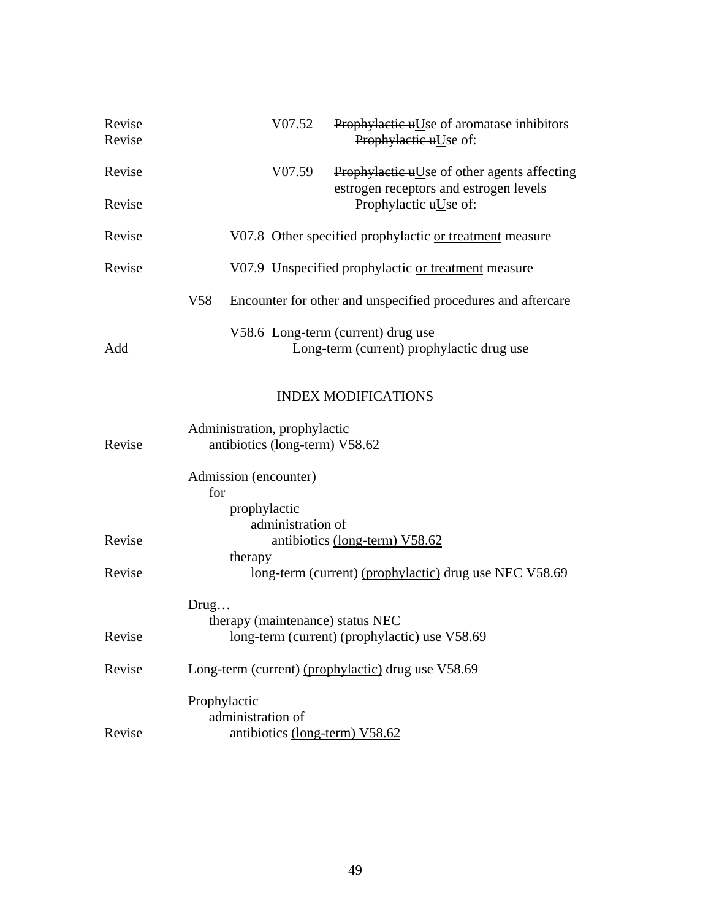| Revise<br>Revise |                 |                   | V07.52                         | Prophylactic uUse of aromatase inhibitors<br>Prophylactic uUse of:                    |
|------------------|-----------------|-------------------|--------------------------------|---------------------------------------------------------------------------------------|
|                  |                 |                   |                                |                                                                                       |
| Revise           |                 |                   | V07.59                         | Prophylactic uUse of other agents affecting<br>estrogen receptors and estrogen levels |
| Revise           |                 |                   |                                | Prophylactic uUse of:                                                                 |
| Revise           |                 |                   |                                | V07.8 Other specified prophylactic or treatment measure                               |
| Revise           |                 |                   |                                | V07.9 Unspecified prophylactic or treatment measure                                   |
|                  | V <sub>58</sub> |                   |                                | Encounter for other and unspecified procedures and aftercare                          |
|                  |                 |                   |                                | V58.6 Long-term (current) drug use                                                    |
| Add              |                 |                   |                                | Long-term (current) prophylactic drug use                                             |
|                  |                 |                   |                                | <b>INDEX MODIFICATIONS</b>                                                            |
|                  |                 |                   | Administration, prophylactic   |                                                                                       |
| Revise           |                 |                   | antibiotics (long-term) V58.62 |                                                                                       |
|                  | for             |                   | Admission (encounter)          |                                                                                       |
|                  |                 | prophylactic      |                                |                                                                                       |
|                  |                 |                   | administration of              |                                                                                       |
| Revise           |                 | therapy           |                                | antibiotics (long-term) V58.62                                                        |
| Revise           |                 |                   |                                | long-term (current) (prophylactic) drug use NEC V58.69                                |
|                  | Drug            |                   |                                |                                                                                       |
|                  |                 |                   |                                | therapy (maintenance) status NEC                                                      |
| Revise           |                 |                   |                                | long-term (current) (prophylactic) use V58.69                                         |
| Revise           |                 |                   |                                | Long-term (current) (prophylactic) drug use V58.69                                    |
|                  |                 | Prophylactic      |                                |                                                                                       |
|                  |                 | administration of |                                |                                                                                       |
| Revise           |                 |                   |                                | antibiotics (long-term) V58.62                                                        |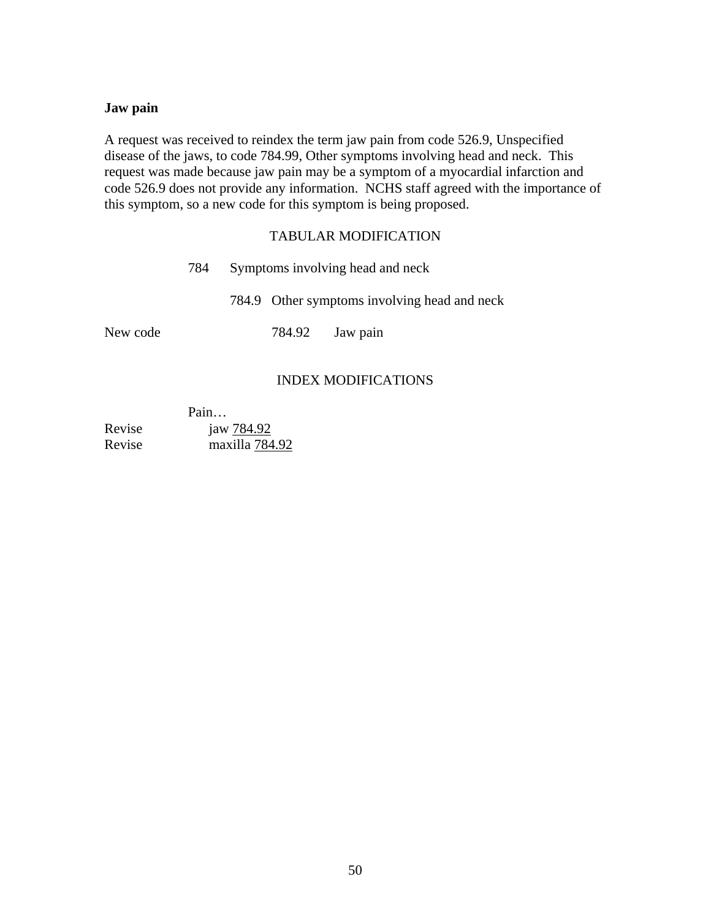#### <span id="page-49-0"></span>**Jaw pain**

A request was received to reindex the term jaw pain from code 526.9, Unspecified disease of the jaws, to code 784.99, Other symptoms involving head and neck. This request was made because jaw pain may be a symptom of a myocardial infarction and code 526.9 does not provide any information. NCHS staff agreed with the importance of this symptom, so a new code for this symptom is being proposed.

#### TABULAR MODIFICATION

|          | 784 | Symptoms involving head and neck |        |                                              |
|----------|-----|----------------------------------|--------|----------------------------------------------|
|          |     |                                  |        | 784.9 Other symptoms involving head and neck |
| New code |     |                                  | 784.92 | Jaw pain                                     |
|          |     |                                  |        |                                              |

### INDEX MODIFICATIONS

 Pain… Revise jaw 784.92 Revise maxilla 784.92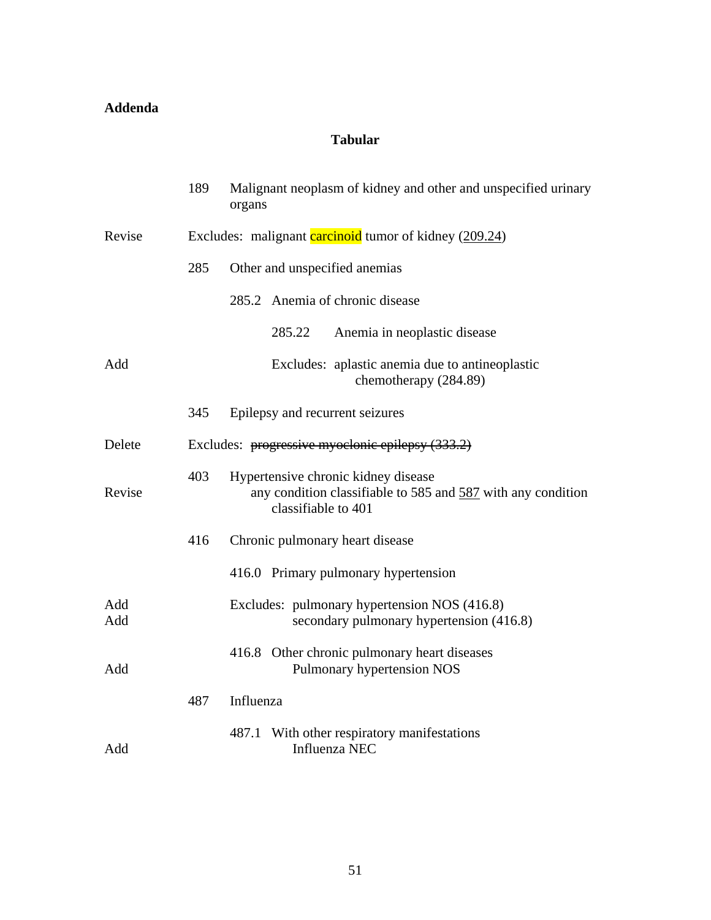### <span id="page-50-0"></span>**Addenda**

### **Tabular**

|            | 189 | Malignant neoplasm of kidney and other and unspecified urinary<br>organs                                                   |  |  |
|------------|-----|----------------------------------------------------------------------------------------------------------------------------|--|--|
| Revise     |     | Excludes: malignant carcinoid tumor of kidney (209.24)                                                                     |  |  |
|            | 285 | Other and unspecified anemias                                                                                              |  |  |
|            |     | 285.2 Anemia of chronic disease                                                                                            |  |  |
|            |     | 285.22<br>Anemia in neoplastic disease                                                                                     |  |  |
| Add        |     | Excludes: aplastic anemia due to antineoplastic<br>chemotherapy (284.89)                                                   |  |  |
|            | 345 | Epilepsy and recurrent seizures                                                                                            |  |  |
| Delete     |     | Excludes: progressive myoclonic epilepsy (333.2)                                                                           |  |  |
| Revise     | 403 | Hypertensive chronic kidney disease<br>any condition classifiable to 585 and 587 with any condition<br>classifiable to 401 |  |  |
|            | 416 | Chronic pulmonary heart disease                                                                                            |  |  |
|            |     | 416.0 Primary pulmonary hypertension                                                                                       |  |  |
| Add<br>Add |     | Excludes: pulmonary hypertension NOS (416.8)<br>secondary pulmonary hypertension (416.8)                                   |  |  |
| Add        |     | 416.8 Other chronic pulmonary heart diseases<br>Pulmonary hypertension NOS                                                 |  |  |
|            | 487 | Influenza                                                                                                                  |  |  |
| Add        |     | 487.1 With other respiratory manifestations<br>Influenza NEC                                                               |  |  |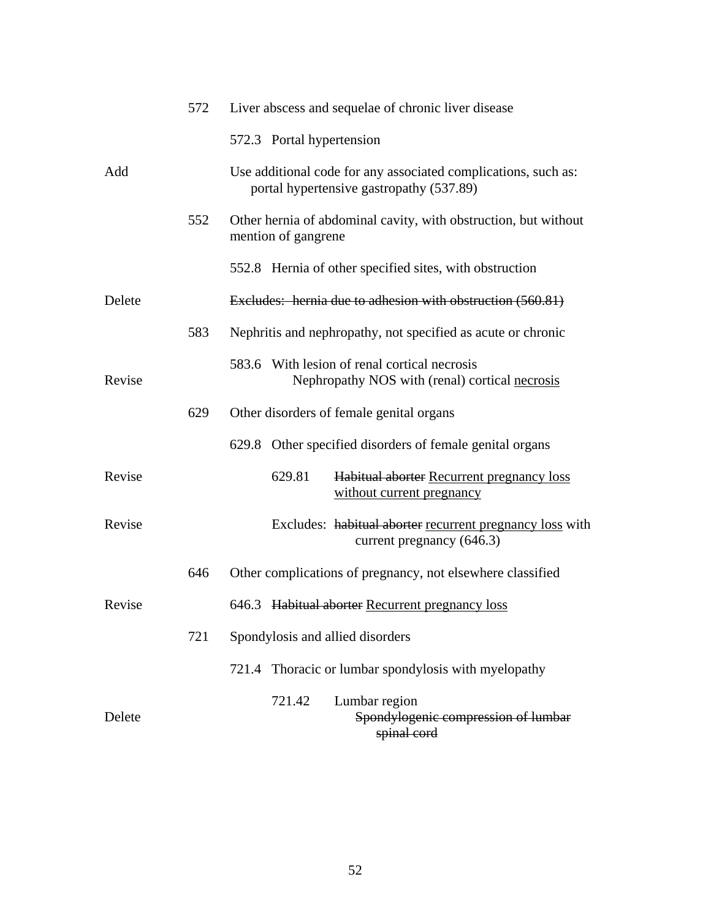|        | 572 | Liver abscess and sequelae of chronic liver disease                                                        |
|--------|-----|------------------------------------------------------------------------------------------------------------|
|        |     | 572.3 Portal hypertension                                                                                  |
| Add    |     | Use additional code for any associated complications, such as:<br>portal hypertensive gastropathy (537.89) |
|        | 552 | Other hernia of abdominal cavity, with obstruction, but without<br>mention of gangrene                     |
|        |     | 552.8 Hernia of other specified sites, with obstruction                                                    |
| Delete |     | Excludes: hernia due to adhesion with obstruction (560.81)                                                 |
|        | 583 | Nephritis and nephropathy, not specified as acute or chronic                                               |
| Revise |     | 583.6 With lesion of renal cortical necrosis<br>Nephropathy NOS with (renal) cortical necrosis             |
|        | 629 | Other disorders of female genital organs                                                                   |
|        |     | 629.8 Other specified disorders of female genital organs                                                   |
| Revise |     | 629.81<br>Habitual aborter Recurrent pregnancy loss<br>without current pregnancy                           |
| Revise |     | Excludes: habitual aborter recurrent pregnancy loss with<br>current pregnancy (646.3)                      |
|        | 646 | Other complications of pregnancy, not elsewhere classified                                                 |
| Revise |     | 646.3 Habitual aborter Recurrent pregnancy loss                                                            |
|        | 721 | Spondylosis and allied disorders                                                                           |
|        |     | Thoracic or lumbar spondylosis with myelopathy<br>721.4                                                    |
| Delete |     | Lumbar region<br>721.42<br>Spondylogenic compression of lumbar<br>spinal cord                              |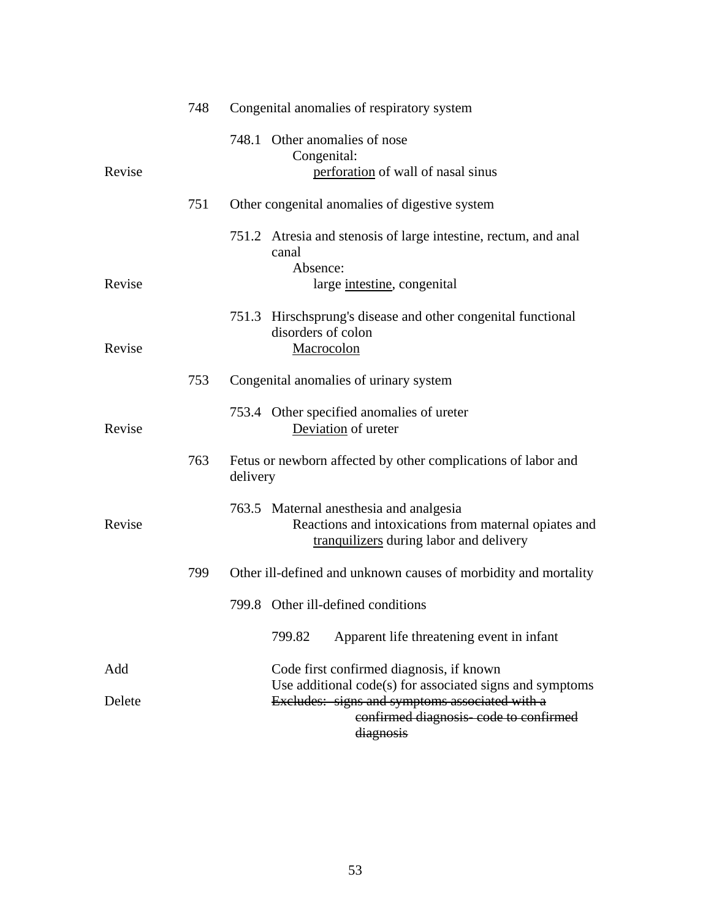|        | 748 | Congenital anomalies of respiratory system                                                                                                                       |
|--------|-----|------------------------------------------------------------------------------------------------------------------------------------------------------------------|
| Revise |     | 748.1 Other anomalies of nose<br>Congenital:<br>perforation of wall of nasal sinus                                                                               |
|        | 751 | Other congenital anomalies of digestive system                                                                                                                   |
|        |     | 751.2 Atresia and stenosis of large intestine, rectum, and anal<br>canal<br>Absence:                                                                             |
| Revise |     | large intestine, congenital                                                                                                                                      |
| Revise |     | 751.3 Hirschsprung's disease and other congenital functional<br>disorders of colon<br>Macrocolon                                                                 |
|        |     |                                                                                                                                                                  |
|        | 753 | Congenital anomalies of urinary system                                                                                                                           |
| Revise |     | 753.4 Other specified anomalies of ureter<br>Deviation of ureter                                                                                                 |
|        | 763 | Fetus or newborn affected by other complications of labor and<br>delivery                                                                                        |
| Revise |     | 763.5 Maternal anesthesia and analgesia<br>Reactions and intoxications from maternal opiates and<br>tranquilizers during labor and delivery                      |
|        | 799 | Other ill-defined and unknown causes of morbidity and mortality                                                                                                  |
|        |     | 799.8 Other ill-defined conditions                                                                                                                               |
|        |     | 799.82<br>Apparent life threatening event in infant                                                                                                              |
| Add    |     | Code first confirmed diagnosis, if known                                                                                                                         |
| Delete |     | Use additional code(s) for associated signs and symptoms<br>Excludes: signs and symptoms associated with a<br>confirmed diagnosis-code to confirmed<br>diagnosis |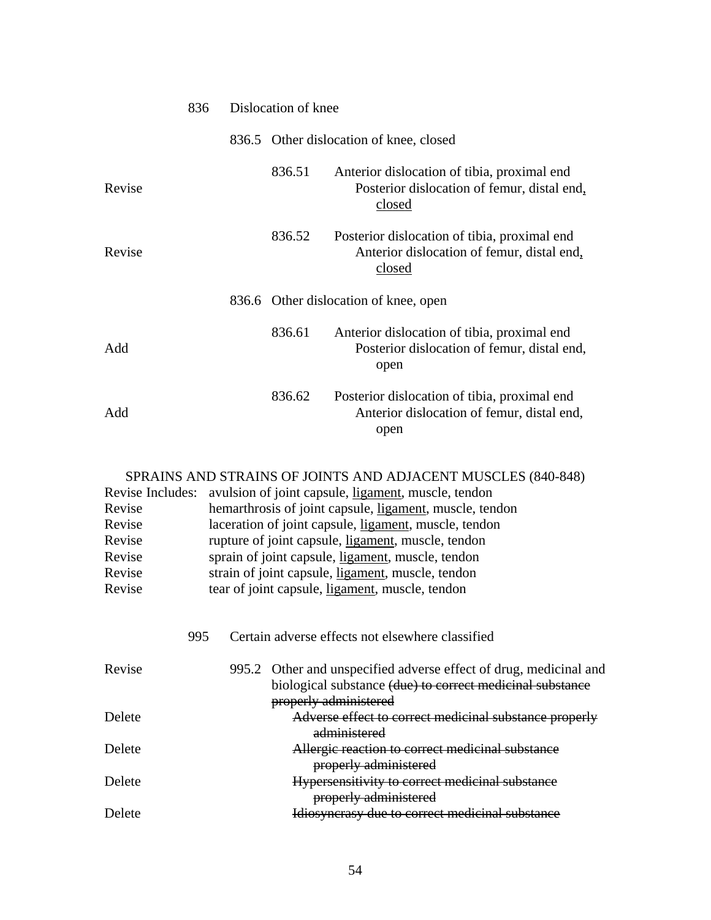|        | 836 | Dislocation of knee |                                                                                                      |
|--------|-----|---------------------|------------------------------------------------------------------------------------------------------|
|        |     |                     | 836.5 Other dislocation of knee, closed                                                              |
| Revise |     | 836.51              | Anterior dislocation of tibia, proximal end<br>Posterior dislocation of femur, distal end,<br>closed |
| Revise |     | 836.52              | Posterior dislocation of tibia, proximal end<br>Anterior dislocation of femur, distal end,<br>closed |
|        |     |                     | 836.6 Other dislocation of knee, open                                                                |
| Add    |     | 836.61              | Anterior dislocation of tibia, proximal end<br>Posterior dislocation of femur, distal end,<br>open   |
| Add    |     | 836.62              | Posterior dislocation of tibia, proximal end<br>Anterior dislocation of femur, distal end,<br>open   |

### SPRAINS AND STRAINS OF JOINTS AND ADJACENT MUSCLES (840-848)

| Revise Includes:<br>Revise<br>Revise<br>Revise<br>Revise<br>Revise<br>Revise | avulsion of joint capsule, ligament, muscle, tendon<br>hemarthrosis of joint capsule, ligament, muscle, tendon<br>laceration of joint capsule, ligament, muscle, tendon<br>rupture of joint capsule, ligament, muscle, tendon<br>sprain of joint capsule, ligament, muscle, tendon<br>strain of joint capsule, ligament, muscle, tendon<br>tear of joint capsule, ligament, muscle, tendon |  |  |
|------------------------------------------------------------------------------|--------------------------------------------------------------------------------------------------------------------------------------------------------------------------------------------------------------------------------------------------------------------------------------------------------------------------------------------------------------------------------------------|--|--|
| 995                                                                          | Certain adverse effects not elsewhere classified                                                                                                                                                                                                                                                                                                                                           |  |  |
| Revise                                                                       | 995.2 Other and unspecified adverse effect of drug, medicinal and<br>biological substance (due) to correct medicinal substance<br>properly administered                                                                                                                                                                                                                                    |  |  |
| Delete                                                                       | Adverse effect to correct medicinal substance properly<br>administered                                                                                                                                                                                                                                                                                                                     |  |  |
| Delete                                                                       | Allergic reaction to correct medicinal substance<br>properly administered                                                                                                                                                                                                                                                                                                                  |  |  |
| Delete                                                                       | Hypersensitivity to correct medicinal substance<br>properly administered                                                                                                                                                                                                                                                                                                                   |  |  |
| Delete                                                                       | Idiosyncrasy due to correct medicinal substance                                                                                                                                                                                                                                                                                                                                            |  |  |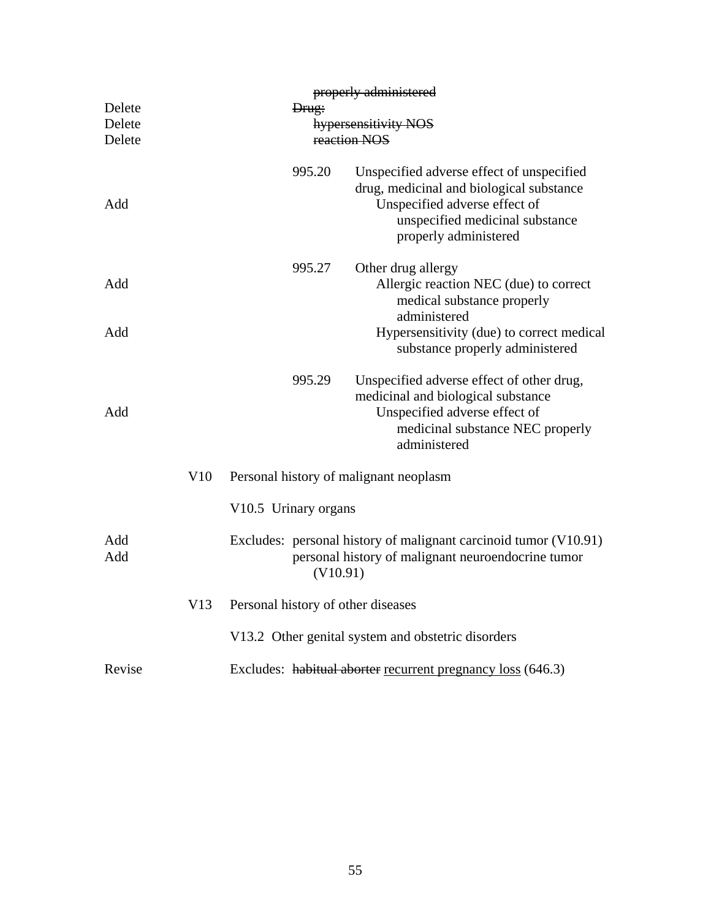|                            |     |                      |          | properly administered                                                                                                                                                              |
|----------------------------|-----|----------------------|----------|------------------------------------------------------------------------------------------------------------------------------------------------------------------------------------|
| Delete<br>Delete<br>Delete |     |                      | Drug:    | hypersensitivity NOS<br>reaction NOS                                                                                                                                               |
| Add                        |     |                      | 995.20   | Unspecified adverse effect of unspecified<br>drug, medicinal and biological substance<br>Unspecified adverse effect of<br>unspecified medicinal substance<br>properly administered |
| Add                        |     |                      | 995.27   | Other drug allergy<br>Allergic reaction NEC (due) to correct<br>medical substance properly<br>administered                                                                         |
| Add                        |     |                      |          | Hypersensitivity (due) to correct medical<br>substance properly administered                                                                                                       |
| Add                        |     |                      | 995.29   | Unspecified adverse effect of other drug,<br>medicinal and biological substance<br>Unspecified adverse effect of<br>medicinal substance NEC properly<br>administered               |
|                            | V10 |                      |          | Personal history of malignant neoplasm                                                                                                                                             |
|                            |     | V10.5 Urinary organs |          |                                                                                                                                                                                    |
| Add<br>Add                 |     |                      | (V10.91) | Excludes: personal history of malignant carcinoid tumor (V10.91)<br>personal history of malignant neuroendocrine tumor                                                             |
|                            | V13 |                      |          | Personal history of other diseases                                                                                                                                                 |
|                            |     |                      |          | V13.2 Other genital system and obstetric disorders                                                                                                                                 |
| Revise                     |     |                      |          | Excludes: habitual aborter recurrent pregnancy loss (646.3)                                                                                                                        |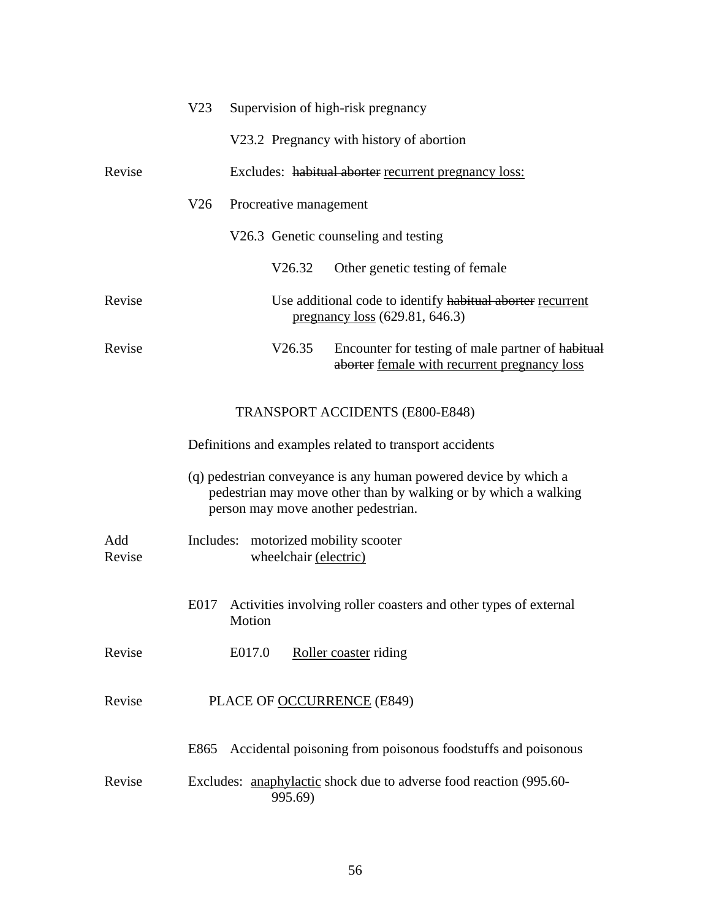|               | V <sub>23</sub> |        |                        | Supervision of high-risk pregnancy                                                                                                                                         |
|---------------|-----------------|--------|------------------------|----------------------------------------------------------------------------------------------------------------------------------------------------------------------------|
|               |                 |        |                        | V23.2 Pregnancy with history of abortion                                                                                                                                   |
| Revise        |                 |        |                        | Excludes: habitual aborter recurrent pregnancy loss:                                                                                                                       |
|               | V26             |        | Procreative management |                                                                                                                                                                            |
|               |                 |        |                        | V26.3 Genetic counseling and testing                                                                                                                                       |
|               |                 |        | V26.32                 | Other genetic testing of female                                                                                                                                            |
| Revise        |                 |        |                        | Use additional code to identify habitual aborter recurrent<br><u>pregnancy</u> $loss (629.81, 646.3)$                                                                      |
| Revise        |                 |        | V26.35                 | Encounter for testing of male partner of habitual<br>aborter female with recurrent pregnancy loss                                                                          |
|               |                 |        |                        | <b>TRANSPORT ACCIDENTS (E800-E848)</b>                                                                                                                                     |
|               |                 |        |                        | Definitions and examples related to transport accidents                                                                                                                    |
|               |                 |        |                        | (q) pedestrian conveyance is any human powered device by which a<br>pedestrian may move other than by walking or by which a walking<br>person may move another pedestrian. |
| Add<br>Revise | Includes:       |        | wheelchair (electric)  | motorized mobility scooter                                                                                                                                                 |
|               |                 | Motion |                        | E017 Activities involving roller coasters and other types of external                                                                                                      |
| Revise        |                 | E017.0 |                        | Roller coaster riding                                                                                                                                                      |
| Revise        |                 |        |                        | PLACE OF OCCURRENCE (E849)                                                                                                                                                 |
|               | E865            |        |                        | Accidental poisoning from poisonous foodstuffs and poisonous                                                                                                               |
| Revise        |                 |        | 995.69)                | Excludes: anaphylactic shock due to adverse food reaction (995.60-                                                                                                         |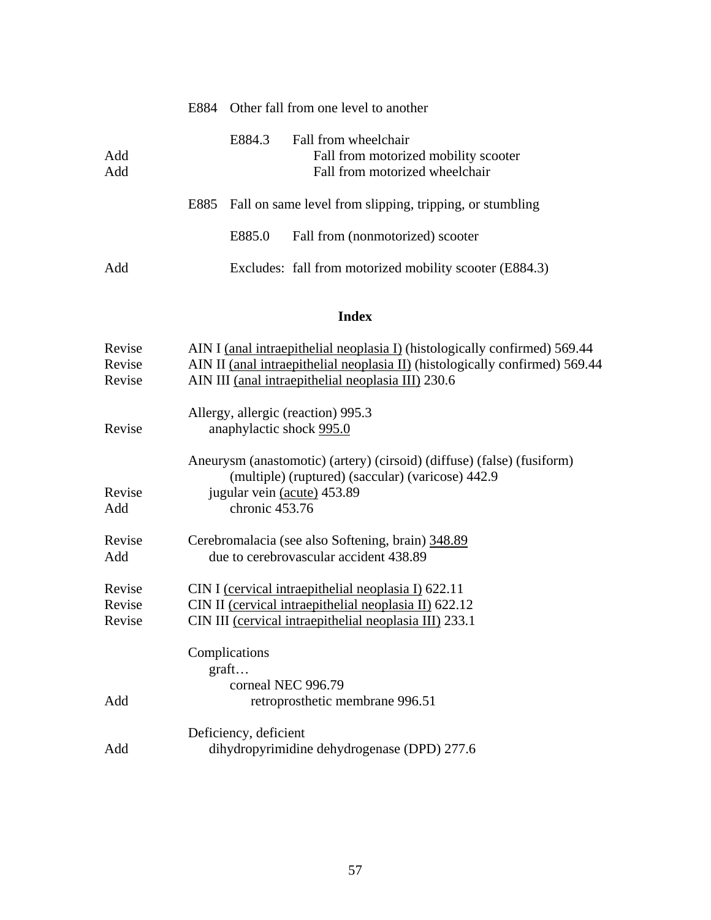|            |        | E884 Other fall from one level to another                                                      |
|------------|--------|------------------------------------------------------------------------------------------------|
| Add<br>Add | E884.3 | Fall from wheelchair<br>Fall from motorized mobility scooter<br>Fall from motorized wheelchair |
|            |        | E885 Fall on same level from slipping, tripping, or stumbling                                  |
|            | E885.0 | Fall from (nonmotorized) scooter                                                               |
| Add        |        | Excludes: fall from motorized mobility scooter (E884.3)                                        |

## **Index**

| AIN I (anal intraepithelial neoplasia I) (histologically confirmed) 569.44   |
|------------------------------------------------------------------------------|
| AIN II (anal intraepithelial neoplasia II) (histologically confirmed) 569.44 |
| AIN III (anal intraepithelial neoplasia III) 230.6                           |
|                                                                              |
| Allergy, allergic (reaction) 995.3                                           |
| anaphylactic shock 995.0                                                     |
|                                                                              |
| Aneurysm (anastomotic) (artery) (cirsoid) (diffuse) (false) (fusiform)       |
| (multiple) (ruptured) (saccular) (varicose) 442.9                            |
| jugular vein (acute) 453.89                                                  |
| chronic 453.76                                                               |
|                                                                              |
| Cerebromalacia (see also Softening, brain) 348.89                            |
| due to cerebrovascular accident 438.89                                       |
|                                                                              |
| CIN I (cervical intraepithelial neoplasia I) 622.11                          |
| CIN II (cervical intraepithelial neoplasia II) 622.12                        |
| CIN III (cervical intraepithelial neoplasia III) 233.1                       |
|                                                                              |
| Complications                                                                |
| graft                                                                        |
| corneal NEC 996.79                                                           |
| retroprosthetic membrane 996.51                                              |
|                                                                              |
| Deficiency, deficient                                                        |
| dihydropyrimidine dehydrogenase (DPD) 277.6                                  |
|                                                                              |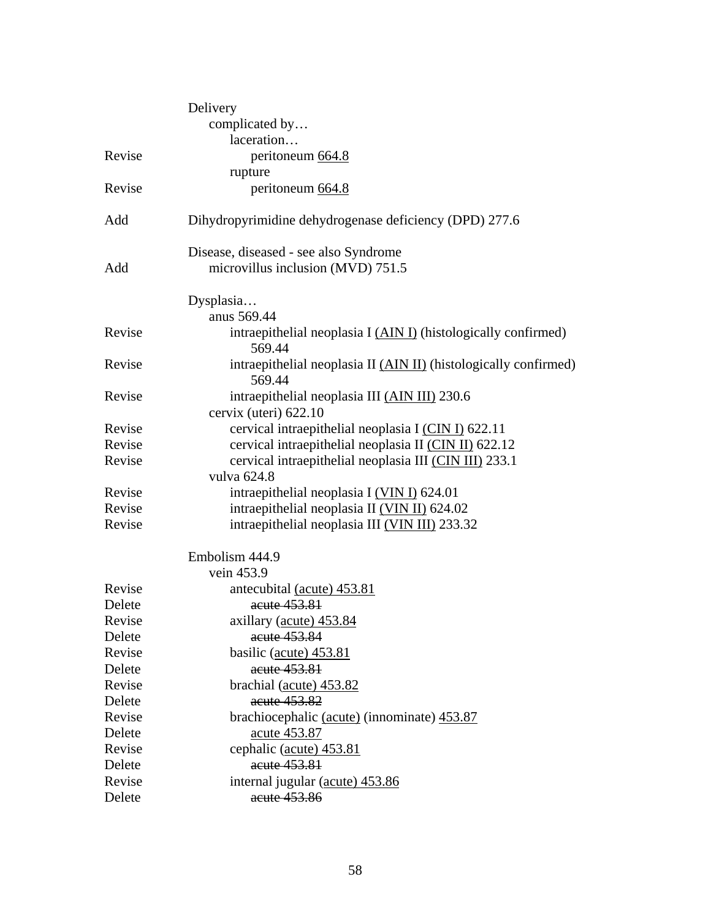|        | Delivery                                                                   |
|--------|----------------------------------------------------------------------------|
|        | complicated by                                                             |
|        | laceration                                                                 |
| Revise | peritoneum 664.8                                                           |
|        | rupture                                                                    |
| Revise | peritoneum 664.8                                                           |
| Add    | Dihydropyrimidine dehydrogenase deficiency (DPD) 277.6                     |
|        | Disease, diseased - see also Syndrome                                      |
| Add    | microvillus inclusion (MVD) 751.5                                          |
|        | Dysplasia                                                                  |
|        | anus 569.44                                                                |
| Revise | intraepithelial neoplasia I (AIN I) (histologically confirmed)<br>569.44   |
| Revise | intraepithelial neoplasia II (AIN II) (histologically confirmed)<br>569.44 |
| Revise | intraepithelial neoplasia III (AIN III) 230.6                              |
|        | cervix (uteri) 622.10                                                      |
| Revise | cervical intraepithelial neoplasia I (CIN I) 622.11                        |
| Revise | cervical intraepithelial neoplasia II (CIN II) 622.12                      |
| Revise | cervical intraepithelial neoplasia III (CIN III) 233.1                     |
|        | vulva 624.8                                                                |
| Revise | intraepithelial neoplasia I (VIN I) 624.01                                 |
| Revise | intraepithelial neoplasia II (VIN II) 624.02                               |
| Revise | intraepithelial neoplasia III (VIN III) 233.32                             |
|        | Embolism 444.9                                                             |
|        | vein 453.9                                                                 |
| Revise | antecubital (acute) 453.81                                                 |
| Delete | acute 453.81                                                               |
| Revise | axillary (acute) 453.84                                                    |
| Delete | acute 453.84                                                               |
| Revise | basilic (acute) 453.81                                                     |
| Delete | acute 453.81                                                               |
| Revise | brachial (acute) 453.82                                                    |
| Delete | acute 453.82                                                               |
| Revise | brachiocephalic (acute) (innominate) 453.87                                |
| Delete | acute 453.87                                                               |
| Revise | cephalic (acute) 453.81                                                    |
| Delete | acute 453.81                                                               |
| Revise | internal jugular (acute) 453.86                                            |
| Delete | acute 453.86                                                               |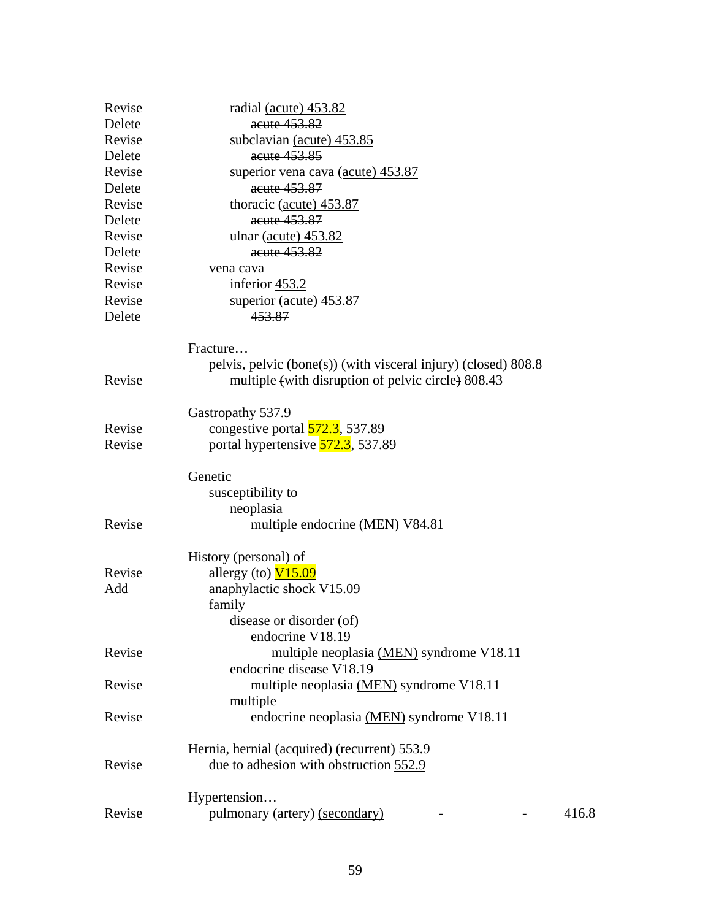| Revise | radial (acute) 453.82                                          |       |
|--------|----------------------------------------------------------------|-------|
| Delete | acute 453.82                                                   |       |
| Revise | subclavian (acute) 453.85                                      |       |
| Delete | acute 453.85                                                   |       |
| Revise | superior vena cava (acute) 453.87                              |       |
| Delete | acute 453.87                                                   |       |
| Revise | thoracic (acute) 453.87                                        |       |
| Delete | acute 453.87                                                   |       |
| Revise | ulnar (acute) 453.82                                           |       |
| Delete | acute 453.82                                                   |       |
| Revise | vena cava                                                      |       |
| Revise | inferior $453.2$                                               |       |
| Revise | superior (acute) 453.87                                        |       |
| Delete | 453.87                                                         |       |
|        | Fracture                                                       |       |
|        | pelvis, pelvic (bone(s)) (with visceral injury) (closed) 808.8 |       |
| Revise | multiple (with disruption of pelvic circle) 808.43             |       |
|        | Gastropathy 537.9                                              |       |
| Revise | congestive portal $\overline{572.3}$ , 537.89                  |       |
| Revise | portal hypertensive <b>572.3</b> , 537.89                      |       |
|        | Genetic                                                        |       |
|        | susceptibility to                                              |       |
|        | neoplasia                                                      |       |
| Revise | multiple endocrine (MEN) V84.81                                |       |
|        | History (personal) of                                          |       |
| Revise | allergy (to) $V15.09$                                          |       |
| Add    | anaphylactic shock V15.09                                      |       |
|        | family                                                         |       |
|        | disease or disorder (of)                                       |       |
|        | endocrine V18.19                                               |       |
| Revise | multiple neoplasia (MEN) syndrome V18.11                       |       |
|        | endocrine disease V18.19                                       |       |
| Revise | multiple neoplasia (MEN) syndrome V18.11                       |       |
|        | multiple                                                       |       |
| Revise | endocrine neoplasia (MEN) syndrome V18.11                      |       |
|        | Hernia, hernial (acquired) (recurrent) 553.9                   |       |
| Revise | due to adhesion with obstruction 552.9                         |       |
|        | Hypertension                                                   |       |
| Revise | pulmonary (artery) (secondary)                                 | 416.8 |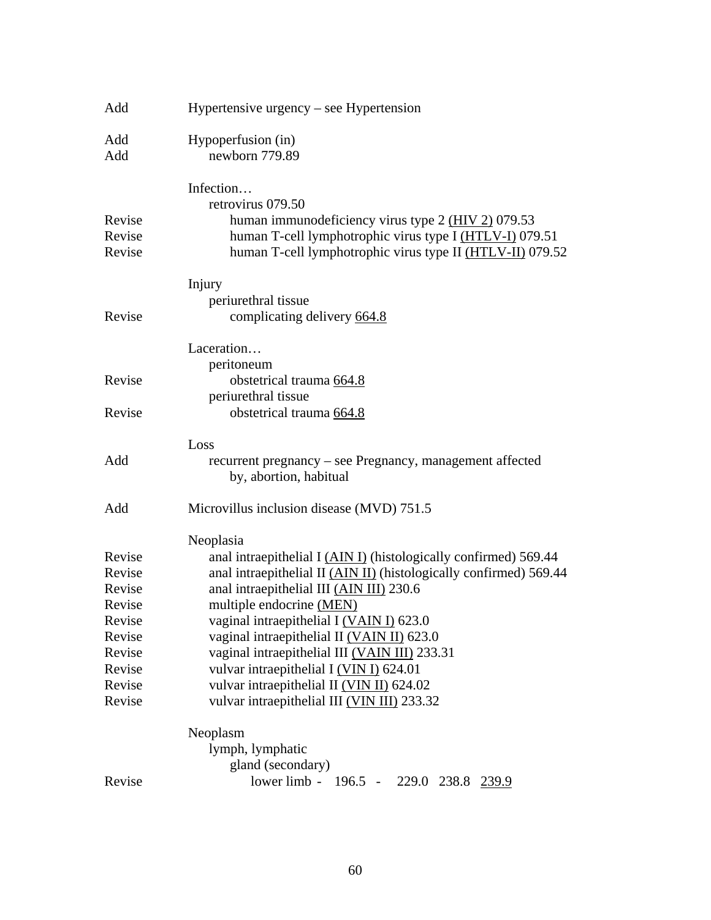| Add    | Hypertensive urgency $-$ see Hypertension                                          |
|--------|------------------------------------------------------------------------------------|
| Add    | Hypoperfusion (in)                                                                 |
| Add    | newborn 779.89                                                                     |
|        | Infection                                                                          |
|        | retrovirus 079.50                                                                  |
| Revise | human immunodeficiency virus type $2$ (HIV $2$ ) 079.53                            |
| Revise | human T-cell lymphotrophic virus type I (HTLV-I) 079.51                            |
| Revise | human T-cell lymphotrophic virus type II (HTLV-II) 079.52                          |
|        | Injury                                                                             |
|        | periurethral tissue                                                                |
| Revise | complicating delivery 664.8                                                        |
|        | Laceration                                                                         |
|        | peritoneum                                                                         |
| Revise | obstetrical trauma 664.8                                                           |
|        | periurethral tissue                                                                |
| Revise | obstetrical trauma 664.8                                                           |
|        | Loss                                                                               |
| Add    | recurrent pregnancy - see Pregnancy, management affected<br>by, abortion, habitual |
| Add    | Microvillus inclusion disease (MVD) 751.5                                          |
|        | Neoplasia                                                                          |
| Revise | anal intraepithelial I (AIN I) (histologically confirmed) 569.44                   |
| Revise | anal intraepithelial II (AIN II) (histologically confirmed) 569.44                 |
| Revise | anal intraepithelial III (AIN III) 230.6                                           |
| Revise | multiple endocrine (MEN)                                                           |
| Revise | vaginal intraepithelial I (VAIN I) 623.0                                           |
| Revise | vaginal intraepithelial II (VAIN II) 623.0                                         |
| Revise | vaginal intraepithelial III (VAIN III) 233.31                                      |
| Revise | vulvar intraepithelial I (VIN I) 624.01                                            |
| Revise | vulvar intraepithelial II (VIN II) 624.02                                          |
| Revise | vulvar intraepithelial III (VIN III) 233.32                                        |
|        | Neoplasm                                                                           |
|        | lymph, lymphatic                                                                   |
|        | gland (secondary)                                                                  |
| Revise | lower limb - 196.5 - 229.0 238.8 239.9                                             |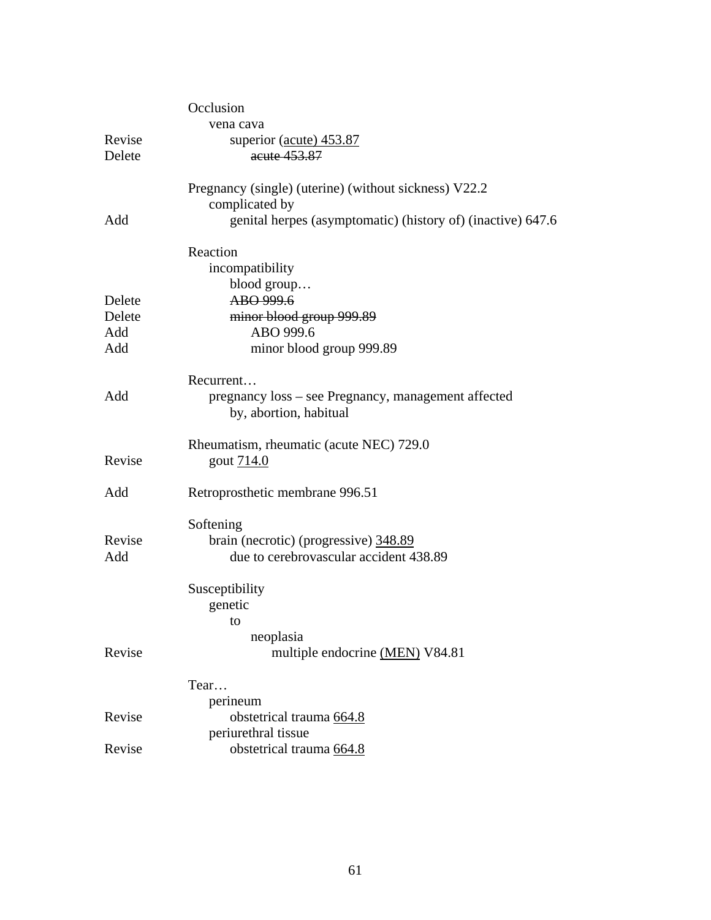|        | Occlusion                                                   |
|--------|-------------------------------------------------------------|
|        | vena cava                                                   |
| Revise | superior (acute) 453.87                                     |
| Delete | acute 453.87                                                |
|        |                                                             |
|        | Pregnancy (single) (uterine) (without sickness) V22.2       |
|        | complicated by                                              |
| Add    | genital herpes (asymptomatic) (history of) (inactive) 647.6 |
|        | Reaction                                                    |
|        | incompatibility                                             |
|        | blood group                                                 |
| Delete | ABO 999.6                                                   |
| Delete | minor blood group 999.89                                    |
| Add    | ABO 999.6                                                   |
| Add    | minor blood group 999.89                                    |
|        | Recurrent                                                   |
| Add    | pregnancy loss – see Pregnancy, management affected         |
|        | by, abortion, habitual                                      |
|        | Rheumatism, rheumatic (acute NEC) 729.0                     |
| Revise | gout 714.0                                                  |
|        |                                                             |
| Add    | Retroprosthetic membrane 996.51                             |
|        | Softening                                                   |
| Revise | brain (necrotic) (progressive) 348.89                       |
| Add    | due to cerebrovascular accident 438.89                      |
|        |                                                             |
|        | Susceptibility                                              |
|        | genetic                                                     |
|        | to                                                          |
|        | neoplasia                                                   |
| Revise | multiple endocrine (MEN) V84.81                             |
|        | Tear                                                        |
|        | perineum                                                    |
| Revise | obstetrical trauma 664.8                                    |
|        | periurethral tissue                                         |
| Revise | obstetrical trauma 664.8                                    |
|        |                                                             |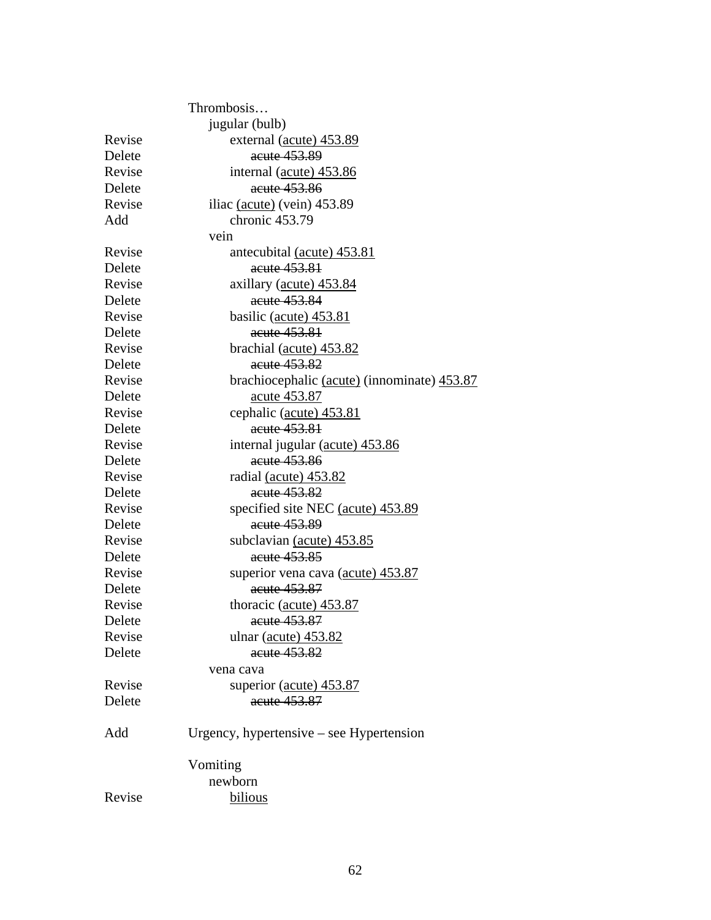|        | Thrombosis                                  |
|--------|---------------------------------------------|
|        | jugular (bulb)                              |
| Revise | external (acute) 453.89                     |
| Delete | acute 453.89                                |
| Revise | internal (acute) 453.86                     |
| Delete | acute 453.86                                |
| Revise | iliac $(\text{acute})$ (vein) 453.89        |
| Add    | chronic 453.79                              |
|        | vein                                        |
| Revise | antecubital (acute) 453.81                  |
| Delete | acute 453.81                                |
| Revise | axillary (acute) 453.84                     |
| Delete | acute 453.84                                |
| Revise | basilic (acute) 453.81                      |
| Delete | acute 453.81                                |
| Revise | brachial (acute) 453.82                     |
| Delete | acute 453.82                                |
| Revise | brachiocephalic (acute) (innominate) 453.87 |
| Delete | acute 453.87                                |
| Revise | cephalic (acute) 453.81                     |
| Delete | acute 453.81                                |
| Revise | internal jugular (acute) 453.86             |
| Delete | acute 453.86                                |
| Revise | radial (acute) 453.82                       |
| Delete | acute 453.82                                |
| Revise | specified site NEC (acute) 453.89           |
| Delete | acute 453.89                                |
| Revise | subclavian (acute) 453.85                   |
| Delete | acute 453.85                                |
| Revise | superior vena cava (acute) 453.87           |
| Delete | acute 453.87                                |
| Revise | thoracic (acute) 453.87                     |
| Delete | acute 453.87                                |
| Revise | ulnar $(\text{acute})$ 453.82               |
| Delete | acute 453.82                                |
|        | vena cava                                   |
| Revise | superior (acute) 453.87                     |
| Delete | acute 453.87                                |
| Add    | Urgency, hypertensive $-$ see Hypertension  |
|        | Vomiting                                    |
|        | newborn                                     |
| Revise | bilious                                     |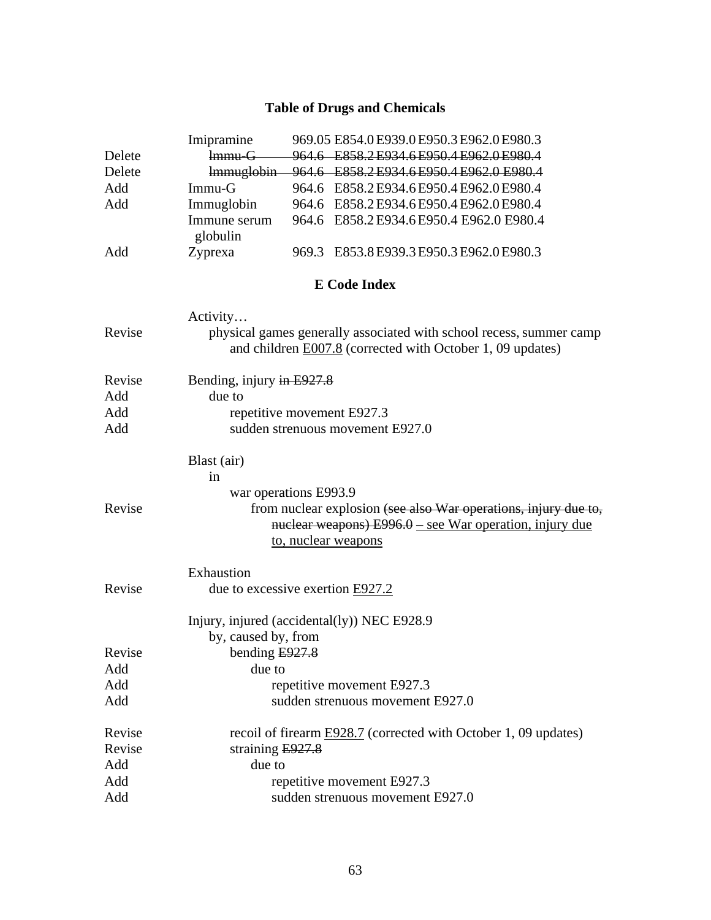### **Table of Drugs and Chemicals**

|        | Imipramine                       | 969.05 E854.0 E939.0 E950.3 E962.0 E980.3                                                                                                |
|--------|----------------------------------|------------------------------------------------------------------------------------------------------------------------------------------|
| Delete | <b>Immu-G</b>                    | 964.6 E858.2 E934.6 E950.4 E962.0 E980.4                                                                                                 |
| Delete | lmmuglobin                       | 964.6 E858.2 E934.6 E950.4 E962.0 E980.4                                                                                                 |
| Add    | $Immu-G$                         | 964.6 E858.2 E934.6 E950.4 E962.0 E980.4                                                                                                 |
| Add    | Immuglobin                       | 964.6 E858.2 E934.6 E950.4 E962.0 E980.4                                                                                                 |
|        | Immune serum                     | 964.6 E858.2 E934.6 E950.4 E962.0 E980.4                                                                                                 |
|        | globulin                         |                                                                                                                                          |
| Add    | Zyprexa                          | 969.3 E853.8 E939.3 E950.3 E962.0 E980.3                                                                                                 |
|        |                                  | <b>E</b> Code Index                                                                                                                      |
| Revise | Activity                         | physical games generally associated with school recess, summer camp<br>and children <b>E007.8</b> (corrected with October 1, 09 updates) |
|        |                                  |                                                                                                                                          |
| Revise | Bending, injury in E927.8        |                                                                                                                                          |
| Add    | due to                           |                                                                                                                                          |
| Add    |                                  | repetitive movement E927.3                                                                                                               |
| Add    |                                  | sudden strenuous movement E927.0                                                                                                         |
|        | Blast (air)                      |                                                                                                                                          |
|        | in                               |                                                                                                                                          |
|        | war operations E993.9            |                                                                                                                                          |
| Revise |                                  | from nuclear explosion (see also War operations, injury due to,                                                                          |
|        |                                  | nuclear weapons) $E996.0$ – see War operation, injury due                                                                                |
|        |                                  | to, nuclear weapons                                                                                                                      |
|        | Exhaustion                       |                                                                                                                                          |
| Revise | due to excessive exertion E927.2 |                                                                                                                                          |
|        |                                  | Injury, injured (accidental(ly)) NEC E928.9                                                                                              |
|        | by, caused by, from              |                                                                                                                                          |
| Revise | bending $E927.8$                 |                                                                                                                                          |
| Add    | due to                           |                                                                                                                                          |
| Add    |                                  | repetitive movement E927.3                                                                                                               |
| Add    |                                  | sudden strenuous movement E927.0                                                                                                         |
| Revise |                                  | recoil of firearm <b>E928.7</b> (corrected with October 1, 09 updates)                                                                   |
| Revise | straining $E927.8$               |                                                                                                                                          |
| Add    | due to                           |                                                                                                                                          |
| Add    |                                  | repetitive movement E927.3                                                                                                               |
| Add    |                                  | sudden strenuous movement E927.0                                                                                                         |